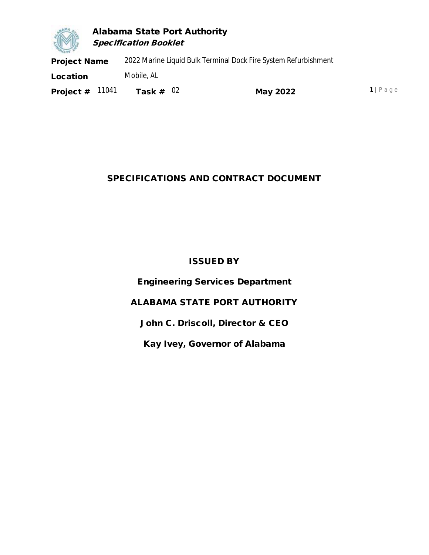

**Project # 11041 Task # 02 May 2022** 1 Page

## SPECIFICATIONS AND CONTRACT DOCUMENT

## ISSUED BY

Engineering Services Department

ALABAMA STATE PORT AUTHORITY

John C. Driscoll, Director & CEO

Kay Ivey, Governor of Alabama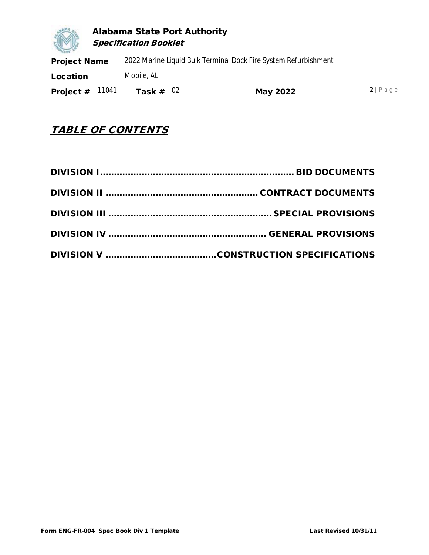|                     |       | <b>Alabama State Port Authority</b><br><b>Specification Booklet</b> |     |                                                                 |                              |  |
|---------------------|-------|---------------------------------------------------------------------|-----|-----------------------------------------------------------------|------------------------------|--|
| <b>Project Name</b> |       |                                                                     |     | 2022 Marine Liquid Bulk Terminal Dock Fire System Refurbishment |                              |  |
| Location            |       | Mobile, AL                                                          |     |                                                                 |                              |  |
| Project #           | 11041 | Task $#$                                                            | -02 | May 2022                                                        | $2 P \text{ a } q \text{ e}$ |  |

# TABLE OF CONTENTS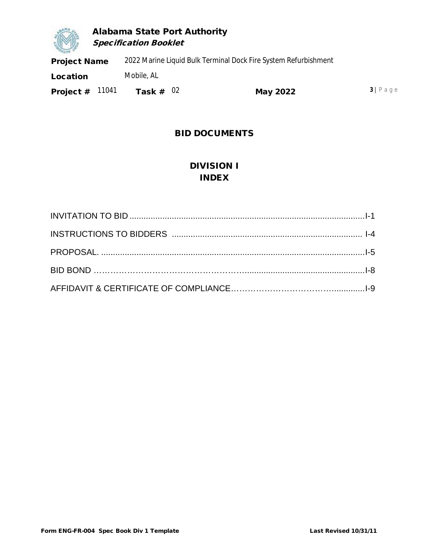|                     | <b>Alabama State Port Authority</b><br><b>Specification Booklet</b> |            |     |                                                                 |                   |
|---------------------|---------------------------------------------------------------------|------------|-----|-----------------------------------------------------------------|-------------------|
| <b>Project Name</b> |                                                                     |            |     | 2022 Marine Liquid Bulk Terminal Dock Fire System Refurbishment |                   |
| Location            |                                                                     | Mobile, AL |     |                                                                 |                   |
| Project #           | 11041                                                               | Task $#$   | -02 | May 2022                                                        | $3 P \text{age} $ |

## BID DOCUMENTS

# DIVISION I INDEX

| PROPOSAL (1111) 1991) 1991 - 1992 - 1993 - 1994 - 1994 - 1994 - 1994 - 1994 - 1994 - 1994 - 1994 - 1994 - 1994 - 1994 - 1994 - 1994 - 1994 - 1994 - 1994 - 1994 - 1994 - 1994 - 1994 - 1994 - 1994 - 1994 - 1994 - 1994 - 1994 |  |
|--------------------------------------------------------------------------------------------------------------------------------------------------------------------------------------------------------------------------------|--|
|                                                                                                                                                                                                                                |  |
|                                                                                                                                                                                                                                |  |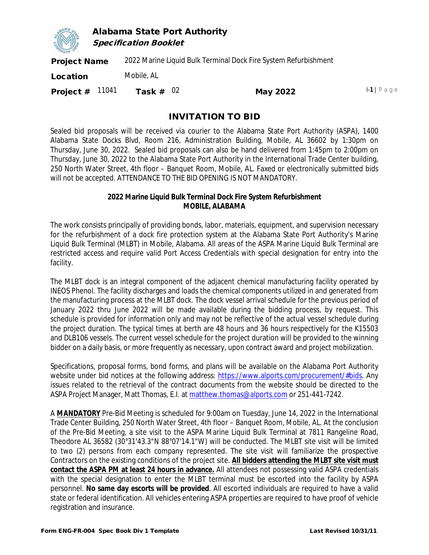

| <b>Project Name</b>      | 2022 Marine Liquid Bulk Terminal Dock Fire System Refurbishment |          |              |  |
|--------------------------|-----------------------------------------------------------------|----------|--------------|--|
| Location                 | Mobile, AL                                                      |          |              |  |
| <b>Project</b> # $11041$ | Task $# 02$                                                     | May 2022 | $l-1$   Page |  |

## INVITATION TO BID

Sealed bid proposals will be received via courier to the Alabama State Port Authority (ASPA), 1400 Alabama State Docks Blvd, Room 216, Administration Building, Mobile, AL 36602 by 1:30pm on Thursday, June 30, 2022. Sealed bid proposals can also be hand delivered from 1:45pm to 2:00pm on Thursday, June 30, 2022 to the Alabama State Port Authority in the International Trade Center building, 250 North Water Street, 4th floor – Banquet Room, Mobile, AL. Faxed or electronically submitted bids will not be accepted. ATTENDANCE TO THE BID OPENING IS NOT MANDATORY.

## **2022 Marine Liquid Bulk Terminal Dock Fire System Refurbishment MOBILE, ALABAMA**

The work consists principally of providing bonds, labor, materials, equipment, and supervision necessary for the refurbishment of a dock fire protection system at the Alabama State Port Authority's Marine Liquid Bulk Terminal (MLBT) in Mobile, Alabama. All areas of the ASPA Marine Liquid Bulk Terminal are restricted access and require valid Port Access Credentials with special designation for entry into the facility.

The MLBT dock is an integral component of the adjacent chemical manufacturing facility operated by INEOS Phenol. The facility discharges and loads the chemical components utilized in and generated from the manufacturing process at the MLBT dock. The dock vessel arrival schedule for the previous period of January 2022 thru June 2022 will be made available during the bidding process, by request. This schedule is provided for information only and may not be reflective of the actual vessel schedule during the project duration. The typical times at berth are 48 hours and 36 hours respectively for the K15503 and DLB106 vessels. The current vessel schedule for the project duration will be provided to the winning bidder on a daily basis, or more frequently as necessary, upon contract award and project mobilization.

Specifications, proposal forms, bond forms, and plans will be available on the Alabama Port Authority website under bid notices at the following address: [https://www.alports.com/procurement/#bids.](https://www.alports.com/procurement/#bids) Any issues related to the retrieval of the contract documents from the website should be directed to the ASPA Project Manager, Matt Thomas, E.I. at [matthew.thomas@alports.com](mailto:matthew.thomas@alports.com) or 251-441-7242.

A **MANDATORY** Pre-Bid Meeting is scheduled for 9:00am on Tuesday, June 14, 2022 in the International Trade Center Building, 250 North Water Street, 4th floor – Banquet Room, Mobile, AL. At the conclusion of the Pre-Bid Meeting, a site visit to the ASPA Marine Liquid Bulk Terminal at 7811 Rangeline Road, Theodore AL 36582 (30°31'43.3"N 88°07'14.1"W) will be conducted. The MLBT site visit will be limited to two (2) persons from each company represented. The site visit will familiarize the prospective Contractors on the existing conditions of the project site. **All bidders attending the MLBT site visit must contact the ASPA PM at least 24 hours in advance.** All attendees not possessing valid ASPA credentials with the special designation to enter the MLBT terminal must be escorted into the facility by ASPA personnel. **No same day escorts will be provided**. All escorted individuals are required to have a valid state or federal identification. All vehicles entering ASPA properties are required to have proof of vehicle registration and insurance.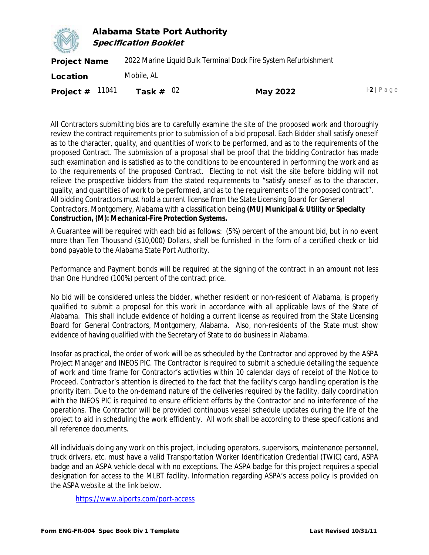

**Project # 11041 Task # 02 May 2022** I-2 | Page

All Contractors submitting bids are to carefully examine the site of the proposed work and thoroughly review the contract requirements prior to submission of a bid proposal. Each Bidder shall satisfy oneself as to the character, quality, and quantities of work to be performed, and as to the requirements of the proposed Contract. The submission of a proposal shall be proof that the bidding Contractor has made such examination and is satisfied as to the conditions to be encountered in performing the work and as to the requirements of the proposed Contract. Electing to not visit the site before bidding will not relieve the prospective bidders from the stated requirements to "satisfy oneself as to the character, quality, and quantities of work to be performed, and as to the requirements of the proposed contract". All bidding Contractors must hold a current license from the State Licensing Board for General Contractors, Montgomery, Alabama with a classification being **(MU) Municipal & Utility or Specialty Construction, (M): Mechanical-Fire Protection Systems.**

A Guarantee will be required with each bid as follows: (5%) percent of the amount bid, but in no event more than Ten Thousand (\$10,000) Dollars, shall be furnished in the form of a certified check or bid bond payable to the Alabama State Port Authority.

Performance and Payment bonds will be required at the signing of the contract in an amount not less than One Hundred (100%) percent of the contract price.

No bid will be considered unless the bidder, whether resident or non-resident of Alabama, is properly qualified to submit a proposal for this work in accordance with all applicable laws of the State of Alabama. This shall include evidence of holding a current license as required from the State Licensing Board for General Contractors, Montgomery, Alabama. Also, non-residents of the State must show evidence of having qualified with the Secretary of State to do business in Alabama.

Insofar as practical, the order of work will be as scheduled by the Contractor and approved by the ASPA Project Manager and INEOS PIC. The Contractor is required to submit a schedule detailing the sequence of work and time frame for Contractor's activities within 10 calendar days of receipt of the Notice to Proceed. Contractor's attention is directed to the fact that the facility's cargo handling operation is the priority item. Due to the on-demand nature of the deliveries required by the facility, daily coordination with the INEOS PIC is required to ensure efficient efforts by the Contractor and no interference of the operations. The Contractor will be provided continuous vessel schedule updates during the life of the project to aid in scheduling the work efficiently. All work shall be according to these specifications and all reference documents.

All individuals doing any work on this project, including operators, supervisors, maintenance personnel, truck drivers, etc. must have a valid Transportation Worker Identification Credential (TWIC) card, ASPA badge and an ASPA vehicle decal with no exceptions. The ASPA badge for this project requires a special designation for access to the MLBT facility. Information regarding ASPA's access policy is provided on the ASPA website at the link below.

<https://www.alports.com/port-access>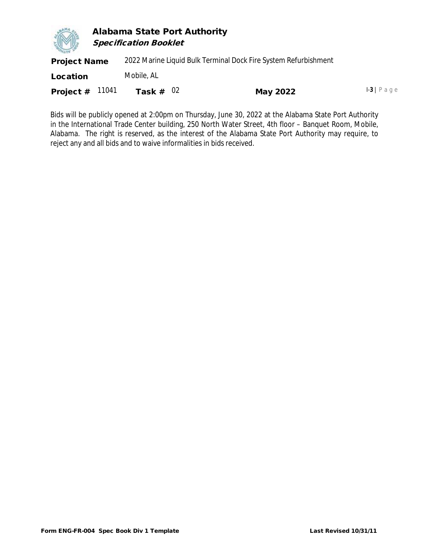

**Project # 11041 Task # 02 May 2022** I-3 | Page

Bids will be publicly opened at 2:00pm on Thursday, June 30, 2022 at the Alabama State Port Authority in the International Trade Center building, 250 North Water Street, 4th floor – Banquet Room, Mobile, Alabama. The right is reserved, as the interest of the Alabama State Port Authority may require, to reject any and all bids and to waive informalities in bids received.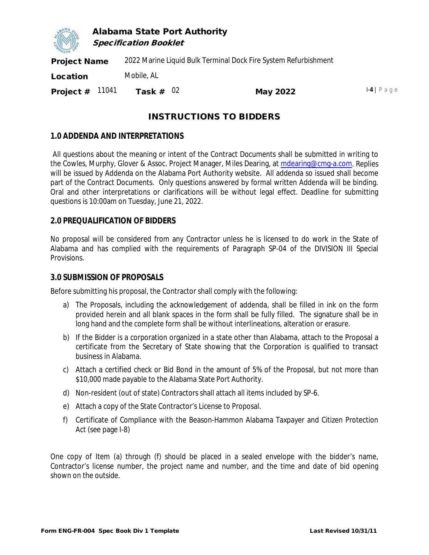

| <b>Project Name</b> | 2022 Marine Liquid Bulk Terminal Dock Fire System Refurbishment |          |                             |  |
|---------------------|-----------------------------------------------------------------|----------|-----------------------------|--|
| Location            | Mobile, AL                                                      |          |                             |  |
| 11041<br>Project #  | Task $# 02$                                                     | May 2022 | $\left  -4 \right $ P a g e |  |

## INSTRUCTIONS TO BIDDERS

## **1.0 ADDENDA AND INTERPRETATIONS**

All questions about the meaning or intent of the Contract Documents shall be submitted in writing to the Cowles, Murphy, Glover & Assoc. Project Manager, Miles Dearing, a[t mdearing@cmg-a.com.](mailto:mdearing@cmg-a.com) Replies will be issued by Addenda on the Alabama Port Authority website. All addenda so issued shall become part of the Contract Documents. Only questions answered by formal written Addenda will be binding. Oral and other interpretations or clarifications will be without legal effect. Deadline for submitting questions is 10:00am on Tuesday, June 21, 2022.

## **2.0 PREQUALIFICATION OF BIDDERS**

No proposal will be considered from any Contractor unless he is licensed to do work in the State of Alabama and has complied with the requirements of Paragraph SP-04 of the DIVISION III Special Provisions.

#### **3.0 SUBMISSION OF PROPOSALS**

Before submitting his proposal, the Contractor shall comply with the following:

- a) The Proposals, including the acknowledgement of addenda, shall be filled in ink on the form provided herein and all blank spaces in the form shall be fully filled. The signature shall be in long hand and the complete form shall be without interlineations, alteration or erasure.
- b) If the Bidder is a corporation organized in a state other than Alabama, attach to the Proposal a certificate from the Secretary of State showing that the Corporation is qualified to transact business in Alabama.
- c) Attach a certified check or Bid Bond in the amount of 5% of the Proposal, but not more than \$10,000 made payable to the Alabama State Port Authority.
- d) Non-resident (out of state) Contractors shall attach all items included by SP-6.
- e) Attach a copy of the State Contractor's License to Proposal.
- f) Certificate of Compliance with the Beason-Hammon Alabama Taxpayer and Citizen Protection Act (see page I-8)

One copy of Item (a) through (f) should be placed in a sealed envelope with the bidder's name, Contractor's license number, the project name and number, and the time and date of bid opening shown on the outside.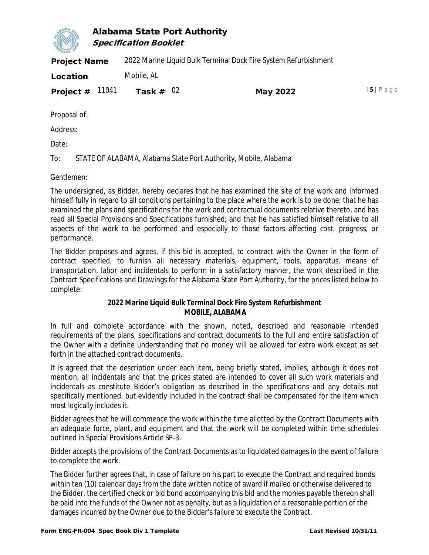

**Project Name** 2022 Marine Liquid Bulk Terminal Dock Fire System Refurbishment

**Location** Mobile, AL

**Project # 11041 Task # 02 May 2022** I-5 | Page

Proposal of:

Address:

Date:

To: STATE OF ALABAMA, Alabama State Port Authority, Mobile, Alabama

Gentlemen:

The undersigned, as Bidder, hereby declares that he has examined the site of the work and informed himself fully in regard to all conditions pertaining to the place where the work is to be done; that he has examined the plans and specifications for the work and contractual documents relative thereto, and has read all Special Provisions and Specifications furnished; and that he has satisfied himself relative to all aspects of the work to be performed and especially to those factors affecting cost, progress, or performance.

The Bidder proposes and agrees, if this bid is accepted, to contract with the Owner in the form of contract specified, to furnish all necessary materials, equipment, tools, apparatus, means of transportation, labor and incidentals to perform in a satisfactory manner, the work described in the Contract Specifications and Drawings for the Alabama State Port Authority, for the prices listed below to complete:

## **2022 Marine Liquid Bulk Terminal Dock Fire System Refurbishment MOBILE, ALABAMA**

In full and complete accordance with the shown, noted, described and reasonable intended requirements of the plans, specifications and contract documents to the full and entire satisfaction of the Owner with a definite understanding that no money will be allowed for extra work except as set forth in the attached contract documents.

It is agreed that the description under each item, being briefly stated, implies, although it does not mention, all incidentals and that the prices stated are intended to cover all such work materials and incidentals as constitute Bidder's obligation as described in the specifications and any details not specifically mentioned, but evidently included in the contract shall be compensated for the item which most logically includes it.

Bidder agrees that he will commence the work within the time allotted by the Contract Documents with an adequate force, plant, and equipment and that the work will be completed within time schedules outlined in Special Provisions Article SP-3.

Bidder accepts the provisions of the Contract Documents as to liquidated damages in the event of failure to complete the work.

The Bidder further agrees that, in case of failure on his part to execute the Contract and required bonds within ten (10) calendar days from the date written notice of award if mailed or otherwise delivered to the Bidder, the certified check or bid bond accompanying this bid and the monies payable thereon shall be paid into the funds of the Owner not as penalty, but as a liquidation of a reasonable portion of the damages incurred by the Owner due to the Bidder's failure to execute the Contract.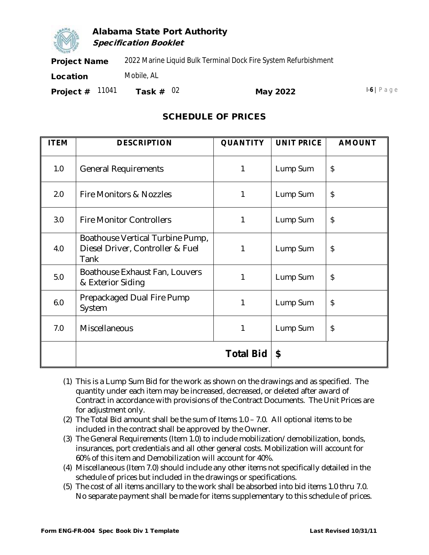

**Project Name** 2022 Marine Liquid Bulk Terminal Dock Fire System Refurbishment

**Location** Mobile, AL

**Project # 11041 Task # 02 May 2022** I-6 | Page

## SCHEDULE OF PRICES

| <b>ITEM</b> | <b>DESCRIPTION</b>                                                                  | <b>QUANTITY</b>  | <b>UNIT PRICE</b> | <b>AMOUNT</b> |
|-------------|-------------------------------------------------------------------------------------|------------------|-------------------|---------------|
| 1.0         | <b>General Requirements</b>                                                         | $\mathbf{1}$     | Lump Sum          | $\mathcal{S}$ |
| 2.0         | <b>Fire Monitors &amp; Nozzles</b>                                                  | $\mathbf{1}$     | Lump Sum          | $\mathcal{S}$ |
| 3.0         | <b>Fire Monitor Controllers</b>                                                     | $\mathbf{1}$     | Lump Sum          | $\mathcal{S}$ |
| 4.0         | <b>Boathouse Vertical Turbine Pump,</b><br>Diesel Driver, Controller & Fuel<br>Tank | 1                | Lump Sum          | $\mathcal{S}$ |
| 5.0         | <b>Boathouse Exhaust Fan, Louvers</b><br>& Exterior Siding                          | $\mathbf{1}$     | Lump Sum          | \$            |
| 6.0         | <b>Prepackaged Dual Fire Pump</b><br><b>System</b>                                  | $\mathbf{1}$     | Lump Sum          | $\mathcal{S}$ |
| 7.0         | <b>Miscellaneous</b>                                                                | 1                | Lump Sum          | $\mathcal{S}$ |
|             |                                                                                     | <b>Total Bid</b> | S                 |               |

- (1) This is a Lump Sum Bid for the work as shown on the drawings and as specified. The quantity under each item may be increased, decreased, or deleted after award of Contract in accordance with provisions of the Contract Documents. The Unit Prices are for adjustment only.
- (2) The Total Bid amount shall be the sum of Items 1.0 7.0. All optional items to be included in the contract shall be approved by the Owner.
- (3) The General Requirements (Item 1.0) to include mobilization/demobilization, bonds, insurances, port credentials and all other general costs. Mobilization will account for 60% of this item and Demobilization will account for 40%.
- (4) Miscellaneous (Item 7.0) should include any other items not specifically detailed in the schedule of prices but included in the drawings or specifications.
- (5) The cost of all items ancillary to the work shall be absorbed into bid items 1.0 thru 7.0. No separate payment shall be made for items supplementary to this schedule of prices.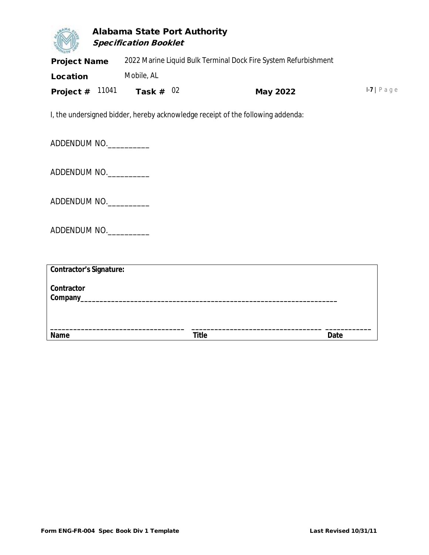|                                                                                 |  | <b>Specification Booklet</b> | <b>Alabama State Port Authority</b> |                                                                 |                |
|---------------------------------------------------------------------------------|--|------------------------------|-------------------------------------|-----------------------------------------------------------------|----------------|
| <b>Project Name</b>                                                             |  |                              |                                     | 2022 Marine Liquid Bulk Terminal Dock Fire System Refurbishment |                |
| Location                                                                        |  | Mobile, AL                   |                                     |                                                                 |                |
| <b>Project #</b> $11041$                                                        |  | Task $# 02$                  |                                     | <b>May 2022</b>                                                 | $I - 7$   Page |
| I, the undersigned bidder, hereby acknowledge receipt of the following addenda: |  |                              |                                     |                                                                 |                |
| ADDENDUM NO.                                                                    |  |                              |                                     |                                                                 |                |
| ADDENDUM NO.                                                                    |  |                              |                                     |                                                                 |                |
| ADDENDUM NO.                                                                    |  |                              |                                     |                                                                 |                |
| ADDENDUM NO.                                                                    |  |                              |                                     |                                                                 |                |

| <b>Contractor's Signature:</b> |       |      |
|--------------------------------|-------|------|
| Contractor                     |       |      |
| Company_                       |       |      |
|                                |       |      |
| Name                           | Title | Date |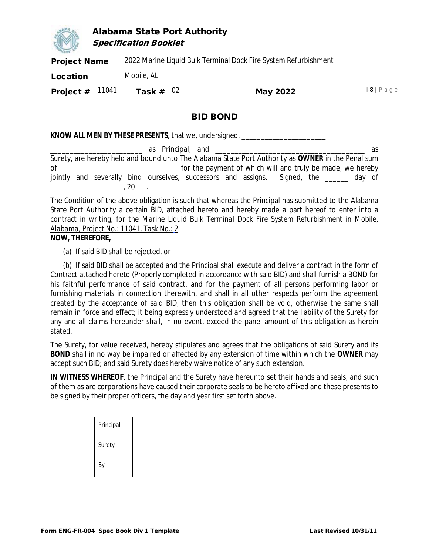

**Project Name** 2022 Marine Liquid Bulk Terminal Dock Fire System Refurbishment

**Location** Mobile, AL

**Project # 11041 Task # 02 May 2022** I-8 | Page

## BID BOND

**KNOW ALL MEN BY THESE PRESENTS**, that we, undersigned, \_\_\_\_\_\_\_\_\_\_\_\_\_\_\_\_\_\_\_\_\_\_

| as Principal, and the contract of the contract of the contract of the contract of the contract of the contract of the contract of the contract of the contract of the contract of the contract of the contract of the contract | as |
|--------------------------------------------------------------------------------------------------------------------------------------------------------------------------------------------------------------------------------|----|
| Surety, are hereby held and bound unto The Alabama State Port Authority as OWNER in the Penal sum                                                                                                                              |    |
| for the payment of which will and truly be made, we hereby<br>Οf                                                                                                                                                               |    |
| jointly and severally bind ourselves, successors and assigns. Signed, the ______ day of                                                                                                                                        |    |
|                                                                                                                                                                                                                                |    |

The Condition of the above obligation is such that whereas the Principal has submitted to the Alabama State Port Authority a certain BID, attached hereto and hereby made a part hereof to enter into a contract in writing, for the *Marine Liquid Bulk Terminal Dock Fire System Refurbishment in Mobile, Alabama, Project No.: 11041, Task No.: 2*

## **NOW, THEREFORE,**

(a) If said BID shall be rejected, or

(b) If said BID shall be accepted and the Principal shall execute and deliver a contract in the form of Contract attached hereto (Properly completed in accordance with said BID) and shall furnish a BOND for his faithful performance of said contract, and for the payment of all persons performing labor or furnishing materials in connection therewith, and shall in all other respects perform the agreement created by the acceptance of said BID, then this obligation shall be void, otherwise the same shall remain in force and effect; it being expressly understood and agreed that the liability of the Surety for any and all claims hereunder shall, in no event, exceed the panel amount of this obligation as herein stated.

The Surety, for value received, hereby stipulates and agrees that the obligations of said Surety and its **BOND** shall in no way be impaired or affected by any extension of time within which the **OWNER** may accept such BID; and said Surety does hereby waive notice of any such extension.

**IN WITNESS WHEREOF**, the Principal and the Surety have hereunto set their hands and seals, and such of them as are corporations have caused their corporate seals to be hereto affixed and these presents to be signed by their proper officers, the day and year first set forth above.

| Principal      |  |
|----------------|--|
| Surety         |  |
| B <sub>)</sub> |  |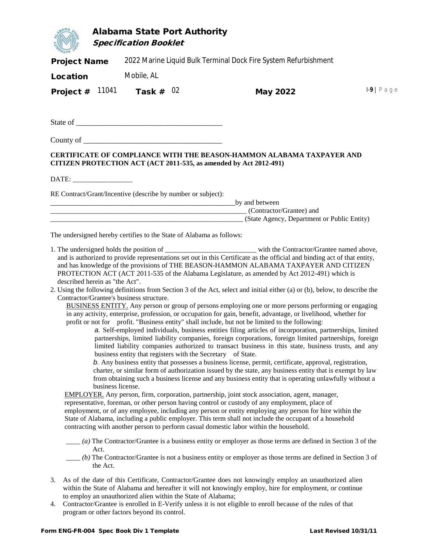|          |                                                     | <b>Alabama State Port Authority</b><br><b>Specification Booklet</b>                                                                                                                                                                                                                                                                                                                                                                                                                                                                                                                                                                                                                                                                                                                                                                                                                                                                                                                                                                                                                                                                                                                                                                                                                                                                                                                                                                                                                                                                                                                                                                                                                                                                                                                                                                                                                                                                                                                                                                                                                                                                                                                                                                                                                                          |                 |              |
|----------|-----------------------------------------------------|--------------------------------------------------------------------------------------------------------------------------------------------------------------------------------------------------------------------------------------------------------------------------------------------------------------------------------------------------------------------------------------------------------------------------------------------------------------------------------------------------------------------------------------------------------------------------------------------------------------------------------------------------------------------------------------------------------------------------------------------------------------------------------------------------------------------------------------------------------------------------------------------------------------------------------------------------------------------------------------------------------------------------------------------------------------------------------------------------------------------------------------------------------------------------------------------------------------------------------------------------------------------------------------------------------------------------------------------------------------------------------------------------------------------------------------------------------------------------------------------------------------------------------------------------------------------------------------------------------------------------------------------------------------------------------------------------------------------------------------------------------------------------------------------------------------------------------------------------------------------------------------------------------------------------------------------------------------------------------------------------------------------------------------------------------------------------------------------------------------------------------------------------------------------------------------------------------------------------------------------------------------------------------------------------------------|-----------------|--------------|
|          | <b>Project Name</b>                                 | 2022 Marine Liquid Bulk Terminal Dock Fire System Refurbishment                                                                                                                                                                                                                                                                                                                                                                                                                                                                                                                                                                                                                                                                                                                                                                                                                                                                                                                                                                                                                                                                                                                                                                                                                                                                                                                                                                                                                                                                                                                                                                                                                                                                                                                                                                                                                                                                                                                                                                                                                                                                                                                                                                                                                                              |                 |              |
| Location |                                                     | Mobile, AL                                                                                                                                                                                                                                                                                                                                                                                                                                                                                                                                                                                                                                                                                                                                                                                                                                                                                                                                                                                                                                                                                                                                                                                                                                                                                                                                                                                                                                                                                                                                                                                                                                                                                                                                                                                                                                                                                                                                                                                                                                                                                                                                                                                                                                                                                                   |                 |              |
|          | <b>Project # 11041</b>                              | <b>Task</b> # $02$                                                                                                                                                                                                                                                                                                                                                                                                                                                                                                                                                                                                                                                                                                                                                                                                                                                                                                                                                                                                                                                                                                                                                                                                                                                                                                                                                                                                                                                                                                                                                                                                                                                                                                                                                                                                                                                                                                                                                                                                                                                                                                                                                                                                                                                                                           | <b>May 2022</b> | $I-9$   Page |
|          |                                                     |                                                                                                                                                                                                                                                                                                                                                                                                                                                                                                                                                                                                                                                                                                                                                                                                                                                                                                                                                                                                                                                                                                                                                                                                                                                                                                                                                                                                                                                                                                                                                                                                                                                                                                                                                                                                                                                                                                                                                                                                                                                                                                                                                                                                                                                                                                              |                 |              |
|          |                                                     |                                                                                                                                                                                                                                                                                                                                                                                                                                                                                                                                                                                                                                                                                                                                                                                                                                                                                                                                                                                                                                                                                                                                                                                                                                                                                                                                                                                                                                                                                                                                                                                                                                                                                                                                                                                                                                                                                                                                                                                                                                                                                                                                                                                                                                                                                                              |                 |              |
|          |                                                     | County of $\_\_\_\_\_\_\_\_\_\_\_$                                                                                                                                                                                                                                                                                                                                                                                                                                                                                                                                                                                                                                                                                                                                                                                                                                                                                                                                                                                                                                                                                                                                                                                                                                                                                                                                                                                                                                                                                                                                                                                                                                                                                                                                                                                                                                                                                                                                                                                                                                                                                                                                                                                                                                                                           |                 |              |
|          |                                                     | <b>CERTIFICATE OF COMPLIANCE WITH THE BEASON-HAMMON ALABAMA TAXPAYER AND</b><br>CITIZEN PROTECTION ACT (ACT 2011-535, as amended by Act 2012-491)                                                                                                                                                                                                                                                                                                                                                                                                                                                                                                                                                                                                                                                                                                                                                                                                                                                                                                                                                                                                                                                                                                                                                                                                                                                                                                                                                                                                                                                                                                                                                                                                                                                                                                                                                                                                                                                                                                                                                                                                                                                                                                                                                            |                 |              |
|          | DATE: _________________                             |                                                                                                                                                                                                                                                                                                                                                                                                                                                                                                                                                                                                                                                                                                                                                                                                                                                                                                                                                                                                                                                                                                                                                                                                                                                                                                                                                                                                                                                                                                                                                                                                                                                                                                                                                                                                                                                                                                                                                                                                                                                                                                                                                                                                                                                                                                              |                 |              |
|          |                                                     | RE Contract/Grant/Incentive (describe by number or subject):                                                                                                                                                                                                                                                                                                                                                                                                                                                                                                                                                                                                                                                                                                                                                                                                                                                                                                                                                                                                                                                                                                                                                                                                                                                                                                                                                                                                                                                                                                                                                                                                                                                                                                                                                                                                                                                                                                                                                                                                                                                                                                                                                                                                                                                 |                 |              |
|          |                                                     | <u>Land between</u> the same state of the same state of the same state of the same state of the same state of the same state of the same state of the same state of the same state of the same state of the same state of the same<br>Contractor/Grantee) and                                                                                                                                                                                                                                                                                                                                                                                                                                                                                                                                                                                                                                                                                                                                                                                                                                                                                                                                                                                                                                                                                                                                                                                                                                                                                                                                                                                                                                                                                                                                                                                                                                                                                                                                                                                                                                                                                                                                                                                                                                                |                 |              |
|          |                                                     | (State Agency, Department or Public Entity)                                                                                                                                                                                                                                                                                                                                                                                                                                                                                                                                                                                                                                                                                                                                                                                                                                                                                                                                                                                                                                                                                                                                                                                                                                                                                                                                                                                                                                                                                                                                                                                                                                                                                                                                                                                                                                                                                                                                                                                                                                                                                                                                                                                                                                                                  |                 |              |
|          |                                                     | The undersigned hereby certifies to the State of Alabama as follows:                                                                                                                                                                                                                                                                                                                                                                                                                                                                                                                                                                                                                                                                                                                                                                                                                                                                                                                                                                                                                                                                                                                                                                                                                                                                                                                                                                                                                                                                                                                                                                                                                                                                                                                                                                                                                                                                                                                                                                                                                                                                                                                                                                                                                                         |                 |              |
|          | described herein as "the Act".<br>business license. | 1. The undersigned holds the position of _________________________________ with the Contractor/Grantee named above,<br>and is authorized to provide representations set out in this Certificate as the official and binding act of that entity,<br>and has knowledge of the provisions of THE BEASON-HAMMON ALABAMA TAXPAYER AND CITIZEN<br>PROTECTION ACT (ACT 2011-535 of the Alabama Legislature, as amended by Act 2012-491) which is<br>2. Using the following definitions from Section 3 of the Act, select and initial either (a) or (b), below, to describe the<br>Contractor/Grantee's business structure.<br>BUSINESS ENTITY. Any person or group of persons employing one or more persons performing or engaging<br>in any activity, enterprise, profession, or occupation for gain, benefit, advantage, or livelihood, whether for<br>profit or not for profit. "Business entity" shall include, but not be limited to the following:<br>a. Self-employed individuals, business entities filing articles of incorporation, partnerships, limited<br>partnerships, limited liability companies, foreign corporations, foreign limited partnerships, foreign<br>limited liability companies authorized to transact business in this state, business trusts, and any<br>business entity that registers with the Secretary of State.<br>b. Any business entity that possesses a business license, permit, certificate, approval, registration,<br>charter, or similar form of authorization issued by the state, any business entity that is exempt by law<br>from obtaining such a business license and any business entity that is operating unlawfully without a<br>EMPLOYER. Any person, firm, corporation, partnership, joint stock association, agent, manager,<br>representative, foreman, or other person having control or custody of any employment, place of<br>employment, or of any employee, including any person or entity employing any person for hire within the<br>State of Alabama, including a public employer. This term shall not include the occupant of a household<br>contracting with another person to perform casual domestic labor within the household.<br>(a) The Contractor/Grantee is a business entity or employer as those terms are defined in Section 3 of the |                 |              |
|          | Act.<br>the Act.                                    | (b) The Contractor/Grantee is not a business entity or employer as those terms are defined in Section 3 of                                                                                                                                                                                                                                                                                                                                                                                                                                                                                                                                                                                                                                                                                                                                                                                                                                                                                                                                                                                                                                                                                                                                                                                                                                                                                                                                                                                                                                                                                                                                                                                                                                                                                                                                                                                                                                                                                                                                                                                                                                                                                                                                                                                                   |                 |              |
| 3.       |                                                     | As of the date of this Certificate, Contractor/Grantee does not knowingly employ an unauthorized alien<br>within the State of Alabama and hereafter it will not knowingly employ, hire for employment, or continue<br>to employ an unauthorized alien within the State of Alabama;                                                                                                                                                                                                                                                                                                                                                                                                                                                                                                                                                                                                                                                                                                                                                                                                                                                                                                                                                                                                                                                                                                                                                                                                                                                                                                                                                                                                                                                                                                                                                                                                                                                                                                                                                                                                                                                                                                                                                                                                                           |                 |              |
| 4.       |                                                     | Contractor/Grantee is enrolled in E-Verify unless it is not eligible to enroll because of the rules of that<br>program or other factors beyond its control.                                                                                                                                                                                                                                                                                                                                                                                                                                                                                                                                                                                                                                                                                                                                                                                                                                                                                                                                                                                                                                                                                                                                                                                                                                                                                                                                                                                                                                                                                                                                                                                                                                                                                                                                                                                                                                                                                                                                                                                                                                                                                                                                                  |                 |              |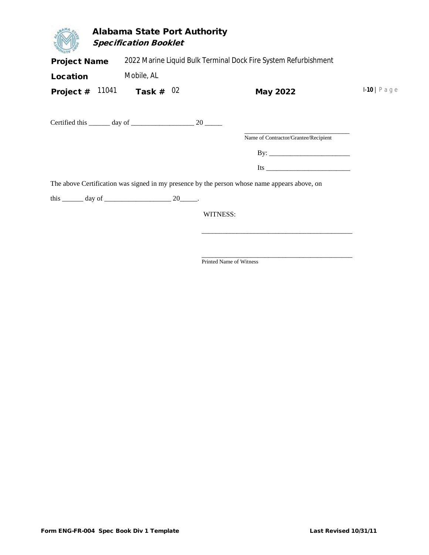|                     | <b>Alabama State Port Authority</b><br><b>Specification Booklet</b> |                                                                                              |                  |
|---------------------|---------------------------------------------------------------------|----------------------------------------------------------------------------------------------|------------------|
| <b>Project Name</b> |                                                                     | 2022 Marine Liquid Bulk Terminal Dock Fire System Refurbishment                              |                  |
| Location            | Mobile, AL                                                          |                                                                                              |                  |
|                     | <b>Project # 11041 Task # 02</b>                                    | <b>May 2022</b>                                                                              | $I-10$   P a g e |
|                     | Certified this $\frac{1}{2}$ day of $\frac{1}{2}$ 20                | Name of Contractor/Grantee/Recipient                                                         |                  |
|                     |                                                                     | The above Certification was signed in my presence by the person whose name appears above, on |                  |
|                     |                                                                     |                                                                                              |                  |

WITNESS:

Printed Name of Witness

\_\_\_\_\_\_\_\_\_\_\_\_\_\_\_\_\_\_\_\_\_\_\_\_\_\_\_\_\_\_\_\_\_\_\_\_\_\_\_\_\_\_\_

\_\_\_\_\_\_\_\_\_\_\_\_\_\_\_\_\_\_\_\_\_\_\_\_\_\_\_\_\_\_\_\_\_\_\_\_\_\_\_\_\_\_\_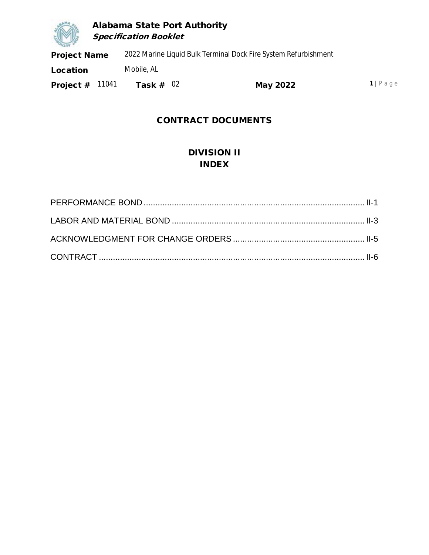

## CONTRACT DOCUMENTS

# DIVISION II INDEX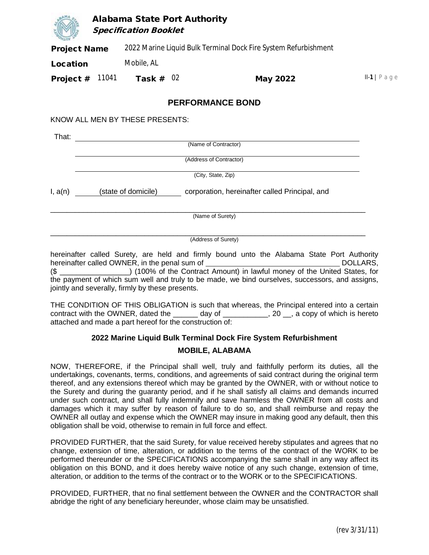Alabama State Port Authority Specification Booklet **Project Name** 2022 Marine Liquid Bulk Terminal Dock Fire System Refurbishment **Location** Mobile, AL **Project # 11041 Task # 02 May 2022** II-1 | Page

## **PERFORMANCE BOND**

#### KNOW ALL MEN BY THESE PRESENTS:

| That:   |                     |                                                |
|---------|---------------------|------------------------------------------------|
|         |                     | (Name of Contractor)                           |
|         |                     | (Address of Contractor)                        |
|         |                     | (City, State, Zip)                             |
| l, a(n) | (state of domicile) | corporation, hereinafter called Principal, and |
|         |                     | (Name of Surety)                               |
|         |                     |                                                |

(Address of Surety)

hereinafter called Surety, are held and firmly bound unto the Alabama State Port Authority hereinafter called OWNER, in the penal sum of  $DOLLARS$ , (\$ \_\_\_\_\_\_\_\_\_\_\_\_\_\_\_\_\_) (100% of the Contract Amount) in lawful money of the United States, for the payment of which sum well and truly to be made, we bind ourselves, successors, and assigns, jointly and severally, firmly by these presents.

THE CONDITION OF THIS OBLIGATION is such that whereas, the Principal entered into a certain contract with the OWNER, dated the day of  $\qquad \qquad$ , 20  $\qquad$ , a copy of which is hereto attached and made a part hereof for the construction of:

#### **2022 Marine Liquid Bulk Terminal Dock Fire System Refurbishment**

#### **MOBILE, ALABAMA**

NOW, THEREFORE, if the Principal shall well, truly and faithfully perform its duties, all the undertakings, covenants, terms, conditions, and agreements of said contract during the original term thereof, and any extensions thereof which may be granted by the OWNER, with or without notice to the Surety and during the guaranty period, and if he shall satisfy all claims and demands incurred under such contract, and shall fully indemnify and save harmless the OWNER from all costs and damages which it may suffer by reason of failure to do so, and shall reimburse and repay the OWNER all outlay and expense which the OWNER may insure in making good any default, then this obligation shall be void, otherwise to remain in full force and effect.

PROVIDED FURTHER, that the said Surety, for value received hereby stipulates and agrees that no change, extension of time, alteration, or addition to the terms of the contract of the WORK to be performed thereunder or the SPECIFICATIONS accompanying the same shall in any way affect its obligation on this BOND, and it does hereby waive notice of any such change, extension of time, alteration, or addition to the terms of the contract or to the WORK or to the SPECIFICATIONS.

PROVIDED, FURTHER, that no final settlement between the OWNER and the CONTRACTOR shall abridge the right of any beneficiary hereunder, whose claim may be unsatisfied.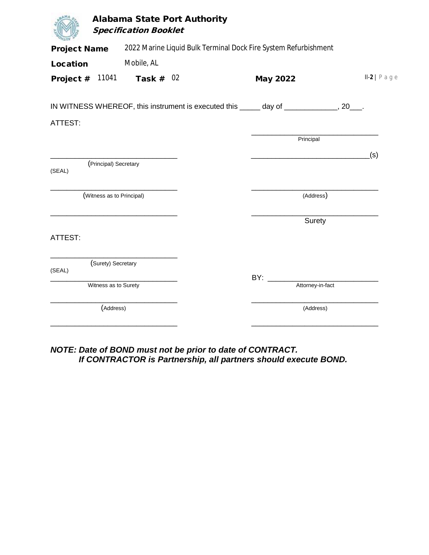|                     |                           | <b>Specification Booklet</b> | <b>Alabama State Port Authority</b>                                                    |                 |                  |
|---------------------|---------------------------|------------------------------|----------------------------------------------------------------------------------------|-----------------|------------------|
| <b>Project Name</b> |                           |                              | 2022 Marine Liquid Bulk Terminal Dock Fire System Refurbishment                        |                 |                  |
| Location            |                           | Mobile, AL                   |                                                                                        |                 |                  |
| Project $#$ 11041   |                           | Task $# 02$                  |                                                                                        | <b>May 2022</b> | $II-2$   P a g e |
|                     |                           |                              | IN WITNESS WHEREOF, this instrument is executed this _____ day of ____________, 20___. |                 |                  |
| ATTEST:             |                           |                              |                                                                                        |                 |                  |
|                     |                           |                              |                                                                                        | Principal       |                  |
|                     |                           |                              |                                                                                        |                 | (s)              |
| (SEAL)              | (Principal) Secretary     |                              |                                                                                        |                 |                  |
|                     |                           |                              |                                                                                        |                 |                  |
|                     | (Witness as to Principal) |                              |                                                                                        | (Address)       |                  |
|                     |                           |                              |                                                                                        | Surety          |                  |
| ATTEST:             |                           |                              |                                                                                        |                 |                  |
| (SEAL)              | (Surety) Secretary        |                              |                                                                                        |                 |                  |
|                     | Witness as to Surety      |                              |                                                                                        |                 |                  |
|                     | (Address)                 |                              |                                                                                        | (Address)       |                  |
|                     |                           |                              |                                                                                        |                 |                  |

## *NOTE: Date of BOND must not be prior to date of CONTRACT. If CONTRACTOR is Partnership, all partners should execute BOND.*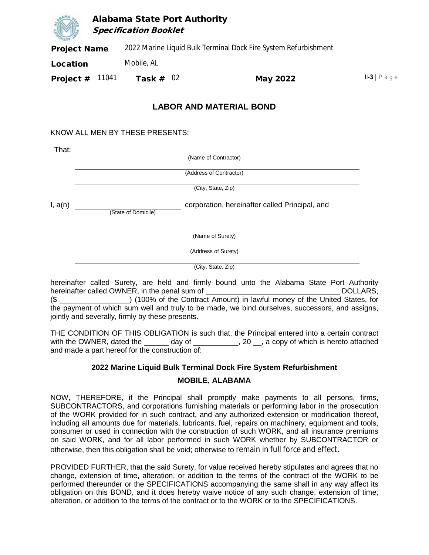|                     | <b>Alabama State Port Authority</b><br><b>Specification Booklet</b> |                                                                 |                  |
|---------------------|---------------------------------------------------------------------|-----------------------------------------------------------------|------------------|
| <b>Project Name</b> |                                                                     | 2022 Marine Liquid Bulk Terminal Dock Fire System Refurbishment |                  |
| Location            | Mobile, AL                                                          |                                                                 |                  |
| 11041<br>Project #  | Task #<br>- 02                                                      | <b>May 2022</b>                                                 | $II-3$   P a g e |

## **LABOR AND MATERIAL BOND**

#### KNOW ALL MEN BY THESE PRESENTS:

| That:   |                                                                       |
|---------|-----------------------------------------------------------------------|
|         | (Name of Contractor)                                                  |
|         | (Address of Contractor)                                               |
|         | (City, State, Zip)                                                    |
| I, a(n) | corporation, hereinafter called Principal, and<br>(State of Domicile) |
|         | (Name of Surety)                                                      |
|         | (Address of Surety)                                                   |
|         | (City, State, Zip)                                                    |

hereinafter called Surety, are held and firmly bound unto the Alabama State Port Authority hereinafter called OWNER, in the penal sum of  $DOLLARS$ , (\$ \_\_\_\_\_\_\_\_\_\_\_\_\_\_\_\_\_) (100% of the Contract Amount) in lawful money of the United States, for the payment of which sum well and truly to be made, we bind ourselves, successors, and assigns, jointly and severally, firmly by these presents.

THE CONDITION OF THIS OBLIGATION is such that, the Principal entered into a certain contract with the OWNER, dated the day of  $\qquad \qquad$ , 20, a copy of which is hereto attached and made a part hereof for the construction of:

## **2022 Marine Liquid Bulk Terminal Dock Fire System Refurbishment**

## **MOBILE, ALABAMA**

NOW, THEREFORE, if the Principal shall promptly make payments to all persons, firms, SUBCONTRACTORS, and corporations furnishing materials or performing labor in the prosecution of the WORK provided for in such contract, and any authorized extension or modification thereof, including all amounts due for materials, lubricants, fuel, repairs on machinery, equipment and tools, consumer or used in connection with the construction of such WORK, and all insurance premiums on said WORK, and for all labor performed in such WORK whether by SUBCONTRACTOR or otherwise, then this obligation shall be void; otherwise to remain in full force and effect.

PROVIDED FURTHER, that the said Surety, for value received hereby stipulates and agrees that no change, extension of time, alteration, or addition to the terms of the contract of the WORK to be performed thereunder or the SPECIFICATIONS accompanying the same shall in any way affect its obligation on this BOND, and it does hereby waive notice of any such change, extension of time, alteration, or addition to the terms of the contract or to the WORK or to the SPECIFICATIONS.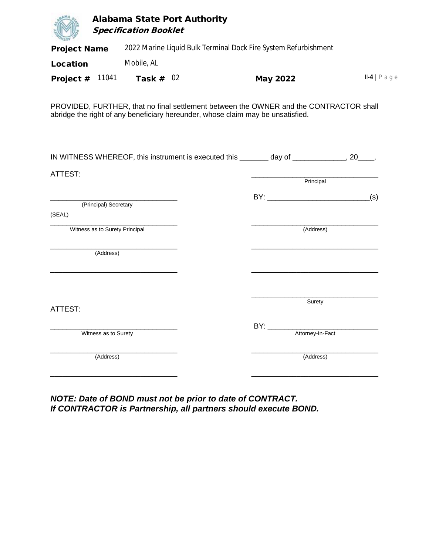|                     |       | <b>Alabama State Port Authority</b><br><b>Specification Booklet</b> |      |                                                                 |               |
|---------------------|-------|---------------------------------------------------------------------|------|-----------------------------------------------------------------|---------------|
| <b>Project Name</b> |       |                                                                     |      | 2022 Marine Liquid Bulk Terminal Dock Fire System Refurbishment |               |
| Location            |       | Mobile, AL                                                          |      |                                                                 |               |
| Project #           | 11041 | Task #                                                              | - 02 | May 2022                                                        | $II-4$   Page |

PROVIDED, FURTHER, that no final settlement between the OWNER and the CONTRACTOR shall abridge the right of any beneficiary hereunder, whose claim may be unsatisfied.

| IN WITNESS WHEREOF, this instrument is executed this _______ day of ___________, 20____. |     |                  |
|------------------------------------------------------------------------------------------|-----|------------------|
| ATTEST:                                                                                  |     |                  |
|                                                                                          |     | Principal        |
|                                                                                          |     | (s)              |
| (Principal) Secretary                                                                    |     |                  |
| (SEAL)                                                                                   |     |                  |
| Witness as to Surety Principal                                                           |     | (Address)        |
| (Address)                                                                                |     |                  |
|                                                                                          |     |                  |
| ATTEST:                                                                                  |     | Surety           |
|                                                                                          | BY: |                  |
| Witness as to Surety                                                                     |     | Attorney-In-Fact |
| (Address)                                                                                |     | (Address)        |
|                                                                                          |     |                  |

*NOTE: Date of BOND must not be prior to date of CONTRACT. If CONTRACTOR is Partnership, all partners should execute BOND.*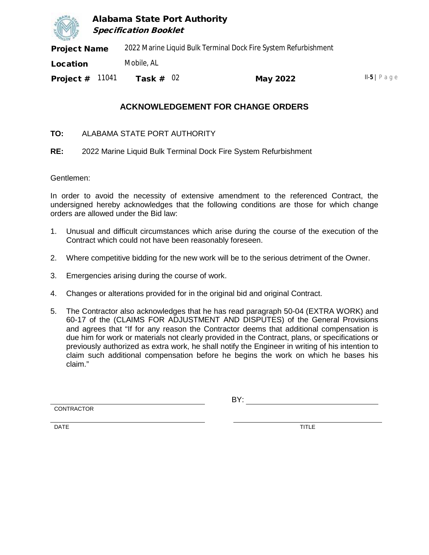

**Location** Mobile, AL

**Project # 11041 Task # 02 May 2022** II-5 | Page

## **ACKNOWLEDGEMENT FOR CHANGE ORDERS**

**TO:** ALABAMA STATE PORT AUTHORITY

**RE:** 2022 Marine Liquid Bulk Terminal Dock Fire System Refurbishment

#### Gentlemen:

In order to avoid the necessity of extensive amendment to the referenced Contract, the undersigned hereby acknowledges that the following conditions are those for which change orders are allowed under the Bid law:

- 1. Unusual and difficult circumstances which arise during the course of the execution of the Contract which could not have been reasonably foreseen.
- 2. Where competitive bidding for the new work will be to the serious detriment of the Owner.
- 3. Emergencies arising during the course of work.
- 4. Changes or alterations provided for in the original bid and original Contract.
- 5. The Contractor also acknowledges that he has read paragraph 50-04 (EXTRA WORK) and 60-17 of the (CLAIMS FOR ADJUSTMENT AND DISPUTES) of the General Provisions and agrees that "If for any reason the Contractor deems that additional compensation is due him for work or materials not clearly provided in the Contract, plans, or specifications or previously authorized as extra work, he shall notify the Engineer in writing of his intention to claim such additional compensation before he begins the work on which he bases his claim."

CONTRACTOR

BY:

DATE TITLE THE STATE OF THE STATE OF THE STATE OF THE STATE OF THE STATE OF THE STATE OF THE STATE OF THE STATE OF THE STATE OF THE STATE OF THE STATE OF THE STATE OF THE STATE OF THE STATE OF THE STATE OF THE STATE OF THE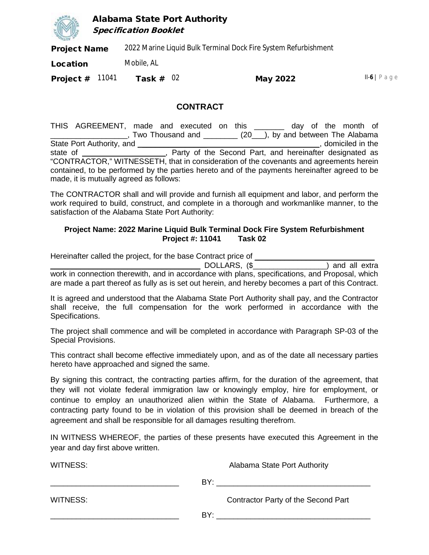

**Project Name** 2022 Marine Liquid Bulk Terminal Dock Fire System Refurbishment

**Location** Mobile, AL

**Project # 11041 Task # 02 May 2022** II-6 | Page

## **CONTRACT**

THIS AGREEMENT, made and executed on this \_\_\_\_\_\_\_ day of the month of Two Thousand and \_\_\_\_\_\_\_\_\_ (20\_\_\_), by and between The Alabama State Port Authority, and \_\_\_\_\_\_\_\_\_\_\_\_\_\_\_ , domiciled in the state of , Party of the Second Part, and hereinafter designated as "CONTRACTOR," WITNESSETH, that in consideration of the covenants and agreements herein contained, to be performed by the parties hereto and of the payments hereinafter agreed to be made, it is mutually agreed as follows:

The CONTRACTOR shall and will provide and furnish all equipment and labor, and perform the work required to build, construct, and complete in a thorough and workmanlike manner, to the satisfaction of the Alabama State Port Authority:

## **Project Name: 2022 Marine Liquid Bulk Terminal Dock Fire System Refurbishment Project #: 11041 Task 02**

Hereinafter called the project, for the base Contract price of

DOLLARS, (\$  $\qquad \qquad$  ) and all extra work in connection therewith, and in accordance with plans, specifications, and Proposal, which are made a part thereof as fully as is set out herein, and hereby becomes a part of this Contract.

It is agreed and understood that the Alabama State Port Authority shall pay, and the Contractor shall receive, the full compensation for the work performed in accordance with the Specifications.

The project shall commence and will be completed in accordance with Paragraph SP-03 of the Special Provisions.

This contract shall become effective immediately upon, and as of the date all necessary parties hereto have approached and signed the same.

By signing this contract, the contracting parties affirm, for the duration of the agreement, that they will not violate federal immigration law or knowingly employ, hire for employment, or continue to employ an unauthorized alien within the State of Alabama. Furthermore, a contracting party found to be in violation of this provision shall be deemed in breach of the agreement and shall be responsible for all damages resulting therefrom.

IN WITNESS WHEREOF, the parties of these presents have executed this Agreement in the year and day first above written.

WITNESS: WITNESS: Alabama State Port Authority

|          | BY: |                                     |
|----------|-----|-------------------------------------|
| WITNESS: |     | Contractor Party of the Second Part |
|          | BY: |                                     |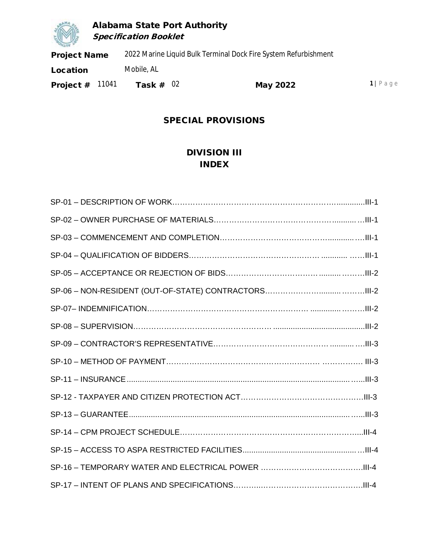

## SPECIAL PROVISIONS

## DIVISION III INDEX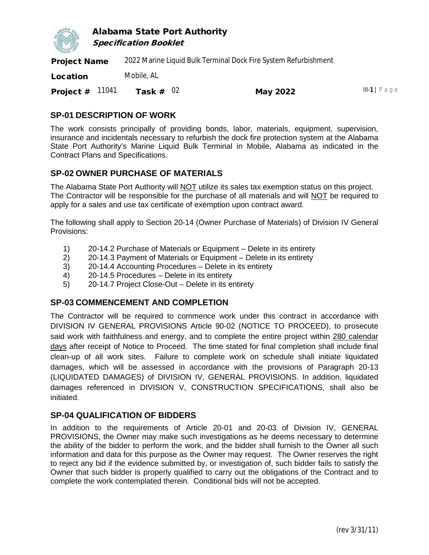

**Project Name** 2022 Marine Liquid Bulk Terminal Dock Fire System Refurbishment

**Location** Mobile, AL

**Project # 11041 Task # 02 May 2022** III-1 | Page

## **SP-01 DESCRIPTION OF WORK**

The work consists principally of providing bonds, labor, materials, equipment, supervision, insurance and incidentals necessary to refurbish the dock fire protection system at the Alabama State Port Authority's Marine Liquid Bulk Terminal in Mobile, Alabama as indicated in the Contract Plans and Specifications.

## **SP-02 OWNER PURCHASE OF MATERIALS**

The Alabama State Port Authority will NOT utilize its sales tax exemption status on this project. The Contractor will be responsible for the purchase of all materials and will NOT be required to apply for a sales and use tax certificate of exemption upon contract award.

The following shall apply to Section 20-14 (Owner Purchase of Materials) of Division IV General Provisions:

- 1) 20-14.2 Purchase of Materials or Equipment Delete in its entirety
- 2) 20-14.3 Payment of Materials or Equipment Delete in its entirety
- 3) 20-14.4 Accounting Procedures Delete in its entirety
- 4) 20-14.5 Procedures Delete in its entirety
- 5) 20-14.7 Project Close-Out Delete in its entirety

## **SP-03 COMMENCEMENT AND COMPLETION**

The Contractor will be required to commence work under this contract in accordance with DIVISION IV GENERAL PROVISIONS Article 90-02 (NOTICE TO PROCEED), to prosecute said work with faithfulness and energy, and to complete the entire project within 280 calendar days after receipt of Notice to Proceed. The time stated for final completion shall include final clean-up of all work sites. Failure to complete work on schedule shall initiate liquidated damages, which will be assessed in accordance with the provisions of Paragraph 20-13 (LIQUIDATED DAMAGES) of DIVISION IV, GENERAL PROVISIONS. In addition, liquidated damages referenced in DIVISION V, CONSTRUCTION SPECIFICATIONS, shall also be initiated.

## **SP-04 QUALIFICATION OF BIDDERS**

In addition to the requirements of Article 20-01 and 20-03 of Division IV, GENERAL PROVISIONS, the Owner may make such investigations as he deems necessary to determine the ability of the bidder to perform the work, and the bidder shall furnish to the Owner all such information and data for this purpose as the Owner may request. The Owner reserves the right to reject any bid if the evidence submitted by, or investigation of, such bidder fails to satisfy the Owner that such bidder is properly qualified to carry out the obligations of the Contract and to complete the work contemplated therein. Conditional bids will not be accepted.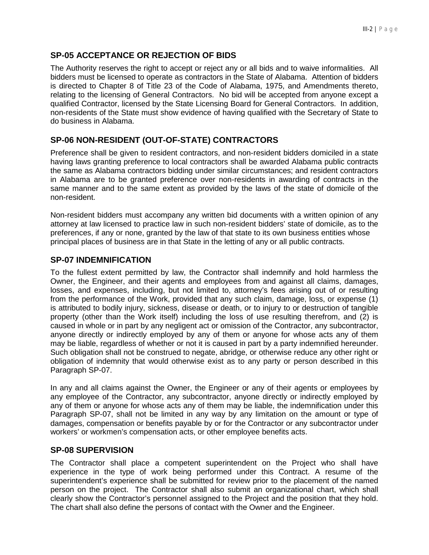## **SP-05 ACCEPTANCE OR REJECTION OF BIDS**

The Authority reserves the right to accept or reject any or all bids and to waive informalities. All bidders must be licensed to operate as contractors in the State of Alabama. Attention of bidders is directed to Chapter 8 of Title 23 of the Code of Alabama, 1975, and Amendments thereto, relating to the licensing of General Contractors. No bid will be accepted from anyone except a qualified Contractor, licensed by the State Licensing Board for General Contractors. In addition, non-residents of the State must show evidence of having qualified with the Secretary of State to do business in Alabama.

## **SP-06 NON-RESIDENT (OUT-OF-STATE) CONTRACTORS**

Preference shall be given to resident contractors, and non-resident bidders domiciled in a state having laws granting preference to local contractors shall be awarded Alabama public contracts the same as Alabama contractors bidding under similar circumstances; and resident contractors in Alabama are to be granted preference over non-residents in awarding of contracts in the same manner and to the same extent as provided by the laws of the state of domicile of the non-resident.

Non-resident bidders must accompany any written bid documents with a written opinion of any attorney at law licensed to practice law in such non-resident bidders' state of domicile, as to the preferences, if any or none, granted by the law of that state to its own business entities whose principal places of business are in that State in the letting of any or all public contracts.

## **SP-07 INDEMNIFICATION**

To the fullest extent permitted by law, the Contractor shall indemnify and hold harmless the Owner, the Engineer, and their agents and employees from and against all claims, damages, losses, and expenses, including, but not limited to, attorney's fees arising out of or resulting from the performance of the Work, provided that any such claim, damage, loss, or expense (1) is attributed to bodily injury, sickness, disease or death, or to injury to or destruction of tangible property (other than the Work itself) including the loss of use resulting therefrom, and (2) is caused in whole or in part by any negligent act or omission of the Contractor, any subcontractor, anyone directly or indirectly employed by any of them or anyone for whose acts any of them may be liable, regardless of whether or not it is caused in part by a party indemnified hereunder. Such obligation shall not be construed to negate, abridge, or otherwise reduce any other right or obligation of indemnity that would otherwise exist as to any party or person described in this Paragraph SP-07.

In any and all claims against the Owner, the Engineer or any of their agents or employees by any employee of the Contractor, any subcontractor, anyone directly or indirectly employed by any of them or anyone for whose acts any of them may be liable, the indemnification under this Paragraph SP-07, shall not be limited in any way by any limitation on the amount or type of damages, compensation or benefits payable by or for the Contractor or any subcontractor under workers' or workmen's compensation acts, or other employee benefits acts.

## **SP-08 SUPERVISION**

The Contractor shall place a competent superintendent on the Project who shall have experience in the type of work being performed under this Contract. A resume of the superintendent's experience shall be submitted for review prior to the placement of the named person on the project. The Contractor shall also submit an organizational chart, which shall clearly show the Contractor's personnel assigned to the Project and the position that they hold. The chart shall also define the persons of contact with the Owner and the Engineer.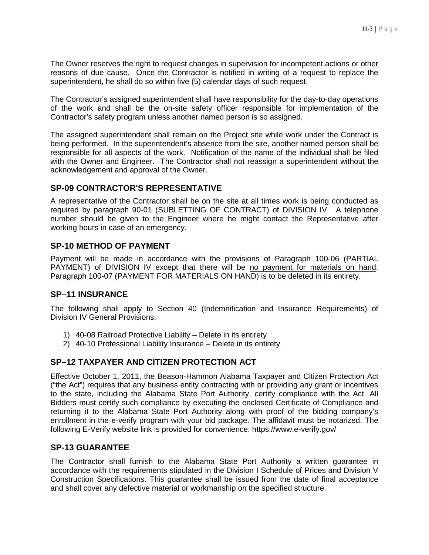The Owner reserves the right to request changes in supervision for incompetent actions or other reasons of due cause. Once the Contractor is notified in writing of a request to replace the superintendent, he shall do so within five (5) calendar days of such request.

The Contractor's assigned superintendent shall have responsibility for the day-to-day operations of the work and shall be the on-site safety officer responsible for implementation of the Contractor's safety program unless another named person is so assigned.

The assigned superintendent shall remain on the Project site while work under the Contract is being performed. In the superintendent's absence from the site, another named person shall be responsible for all aspects of the work. Notification of the name of the individual shall be filed with the Owner and Engineer. The Contractor shall not reassign a superintendent without the acknowledgement and approval of the Owner.

## **SP-09 CONTRACTOR'S REPRESENTATIVE**

A representative of the Contractor shall be on the site at all times work is being conducted as required by paragraph 90-01 (SUBLETTING OF CONTRACT) of DIVISION IV. A telephone number should be given to the Engineer where he might contact the Representative after working hours in case of an emergency.

## **SP-10 METHOD OF PAYMENT**

Payment will be made in accordance with the provisions of Paragraph 100-06 (PARTIAL PAYMENT) of DIVISION IV except that there will be no payment for materials on hand. Paragraph 100-07 (PAYMENT FOR MATERIALS ON HAND) is to be deleted in its entirety.

## **SP–11 INSURANCE**

The following shall apply to Section 40 (Indemnification and Insurance Requirements) of Division IV General Provisions:

- 1) 40-08 Railroad Protective Liability Delete in its entirety
- 2) 40-10 Professional Liability Insurance Delete in its entirety

## **SP–12 TAXPAYER AND CITIZEN PROTECTION ACT**

Effective October 1, 2011, the Beason-Hammon Alabama Taxpayer and Citizen Protection Act ("the Act") requires that any business entity contracting with or providing any grant or incentives to the state, including the Alabama State Port Authority, certify compliance with the Act. All Bidders must certify such compliance by executing the enclosed Certificate of Compliance and returning it to the Alabama State Port Authority along with proof of the bidding company's enrollment in the e-verify program with your bid package. The affidavit must be notarized. The following E-Verify website link is provided for convenience: https://www.e-verify.gov/

## **SP-13 GUARANTEE**

The Contractor shall furnish to the Alabama State Port Authority a written guarantee in accordance with the requirements stipulated in the Division I Schedule of Prices and Division V Construction Specifications. This guarantee shall be issued from the date of final acceptance and shall cover any defective material or workmanship on the specified structure.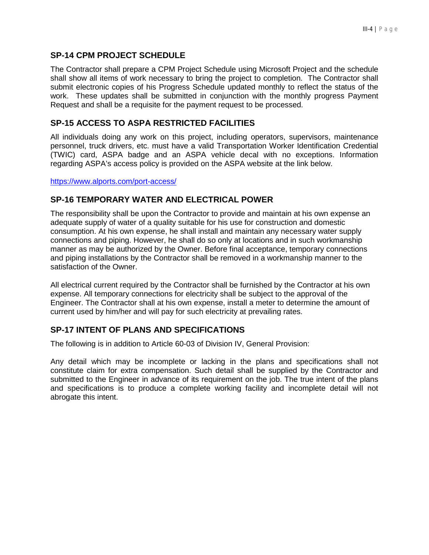## **SP-14 CPM PROJECT SCHEDULE**

The Contractor shall prepare a CPM Project Schedule using Microsoft Project and the schedule shall show all items of work necessary to bring the project to completion. The Contractor shall submit electronic copies of his Progress Schedule updated monthly to reflect the status of the work. These updates shall be submitted in conjunction with the monthly progress Payment Request and shall be a requisite for the payment request to be processed.

## **SP-15 ACCESS TO ASPA RESTRICTED FACILITIES**

All individuals doing any work on this project, including operators, supervisors, maintenance personnel, truck drivers, etc. must have a valid Transportation Worker Identification Credential (TWIC) card, ASPA badge and an ASPA vehicle decal with no exceptions. Information regarding ASPA's access policy is provided on the ASPA website at the link below.

#### <https://www.alports.com/port-access/>

## **SP-16 TEMPORARY WATER AND ELECTRICAL POWER**

The responsibility shall be upon the Contractor to provide and maintain at his own expense an adequate supply of water of a quality suitable for his use for construction and domestic consumption. At his own expense, he shall install and maintain any necessary water supply connections and piping. However, he shall do so only at locations and in such workmanship manner as may be authorized by the Owner. Before final acceptance, temporary connections and piping installations by the Contractor shall be removed in a workmanship manner to the satisfaction of the Owner.

All electrical current required by the Contractor shall be furnished by the Contractor at his own expense. All temporary connections for electricity shall be subject to the approval of the Engineer. The Contractor shall at his own expense, install a meter to determine the amount of current used by him/her and will pay for such electricity at prevailing rates.

## **SP-17 INTENT OF PLANS AND SPECIFICATIONS**

The following is in addition to Article 60-03 of Division IV, General Provision:

Any detail which may be incomplete or lacking in the plans and specifications shall not constitute claim for extra compensation. Such detail shall be supplied by the Contractor and submitted to the Engineer in advance of its requirement on the job. The true intent of the plans and specifications is to produce a complete working facility and incomplete detail will not abrogate this intent.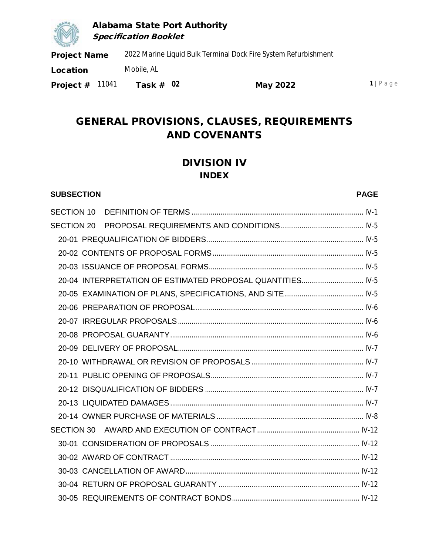

# GENERAL PROVISIONS, CLAUSES, REQUIREMENTS AND COVENANTS

# DIVISION IV INDEX

## **SUBSECTION PAGE**

| <b>SECTION 10</b> |  |  |
|-------------------|--|--|
|                   |  |  |
|                   |  |  |
|                   |  |  |
|                   |  |  |
|                   |  |  |
|                   |  |  |
|                   |  |  |
|                   |  |  |
|                   |  |  |
|                   |  |  |
|                   |  |  |
|                   |  |  |
|                   |  |  |
|                   |  |  |
|                   |  |  |
|                   |  |  |
|                   |  |  |
|                   |  |  |
|                   |  |  |
|                   |  |  |
|                   |  |  |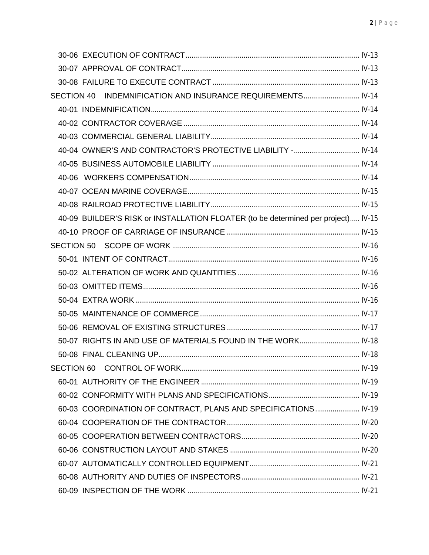| 40-09 BUILDER'S RISK or INSTALLATION FLOATER (to be determined per project) IV-15 |  |
|-----------------------------------------------------------------------------------|--|
|                                                                                   |  |
|                                                                                   |  |
|                                                                                   |  |
|                                                                                   |  |
|                                                                                   |  |
|                                                                                   |  |
|                                                                                   |  |
|                                                                                   |  |
|                                                                                   |  |
|                                                                                   |  |
|                                                                                   |  |
|                                                                                   |  |
|                                                                                   |  |
| 60-03 COORDINATION OF CONTRACT, PLANS AND SPECIFICATIONS IV-19                    |  |
|                                                                                   |  |
|                                                                                   |  |
|                                                                                   |  |
|                                                                                   |  |
|                                                                                   |  |
|                                                                                   |  |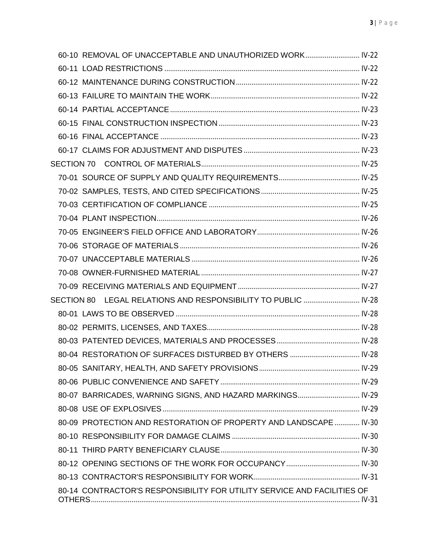|  | 60-10 REMOVAL OF UNACCEPTABLE AND UNAUTHORIZED WORK IV-22               |  |  |  |
|--|-------------------------------------------------------------------------|--|--|--|
|  |                                                                         |  |  |  |
|  |                                                                         |  |  |  |
|  |                                                                         |  |  |  |
|  |                                                                         |  |  |  |
|  |                                                                         |  |  |  |
|  |                                                                         |  |  |  |
|  |                                                                         |  |  |  |
|  |                                                                         |  |  |  |
|  |                                                                         |  |  |  |
|  |                                                                         |  |  |  |
|  |                                                                         |  |  |  |
|  |                                                                         |  |  |  |
|  |                                                                         |  |  |  |
|  |                                                                         |  |  |  |
|  |                                                                         |  |  |  |
|  |                                                                         |  |  |  |
|  |                                                                         |  |  |  |
|  | SECTION 80 LEGAL RELATIONS AND RESPONSIBILITY TO PUBLIC  IV-28          |  |  |  |
|  |                                                                         |  |  |  |
|  |                                                                         |  |  |  |
|  |                                                                         |  |  |  |
|  |                                                                         |  |  |  |
|  |                                                                         |  |  |  |
|  |                                                                         |  |  |  |
|  |                                                                         |  |  |  |
|  |                                                                         |  |  |  |
|  | 80-09 PROTECTION AND RESTORATION OF PROPERTY AND LANDSCAPE  IV-30       |  |  |  |
|  |                                                                         |  |  |  |
|  |                                                                         |  |  |  |
|  |                                                                         |  |  |  |
|  |                                                                         |  |  |  |
|  | 80-14 CONTRACTOR'S RESPONSIBILITY FOR UTILITY SERVICE AND FACILITIES OF |  |  |  |
|  |                                                                         |  |  |  |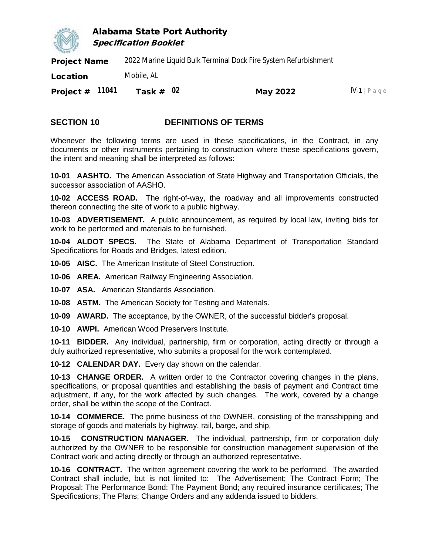

**Project Name** 2022 Marine Liquid Bulk Terminal Dock Fire System Refurbishment

**Location** Mobile, AL

**Project # 11041 Task # 02 May 2022** IV-1 | Page

## <span id="page-29-0"></span>**SECTION 10 DEFINITIONS OF TERMS**

Whenever the following terms are used in these specifications, in the Contract, in any documents or other instruments pertaining to construction where these specifications govern, the intent and meaning shall be interpreted as follows:

**10-01 AASHTO.** The American Association of State Highway and Transportation Officials, the successor association of AASHO.

**10-02 ACCESS ROAD.** The right-of-way, the roadway and all improvements constructed thereon connecting the site of work to a public highway.

**10-03 ADVERTISEMENT.** A public announcement, as required by local law, inviting bids for work to be performed and materials to be furnished.

**10-04 ALDOT SPECS.** The State of Alabama Department of Transportation Standard Specifications for Roads and Bridges, latest edition.

**10-05 AISC.** The American Institute of Steel Construction.

**10-06 AREA.** American Railway Engineering Association.

**10-07 ASA.** American Standards Association.

**10-08 ASTM.** The American Society for Testing and Materials.

**10-09 AWARD.** The acceptance, by the OWNER, of the successful bidder's proposal.

**10-10 AWPI.** American Wood Preservers Institute.

**10-11 BIDDER.** Any individual, partnership, firm or corporation, acting directly or through a duly authorized representative, who submits a proposal for the work contemplated.

**10-12 CALENDAR DAY.** Every day shown on the calendar.

**10-13 CHANGE ORDER.** A written order to the Contractor covering changes in the plans, specifications, or proposal quantities and establishing the basis of payment and Contract time adjustment, if any, for the work affected by such changes. The work, covered by a change order, shall be within the scope of the Contract.

**10-14 COMMERCE.** The prime business of the OWNER, consisting of the transshipping and storage of goods and materials by highway, rail, barge, and ship.

**10-15 CONSTRUCTION MANAGER**. The individual, partnership, firm or corporation duly authorized by the OWNER to be responsible for construction management supervision of the Contract work and acting directly or through an authorized representative.

**10-16 CONTRACT.** The written agreement covering the work to be performed. The awarded Contract shall include, but is not limited to: The Advertisement; The Contract Form; The Proposal; The Performance Bond; The Payment Bond; any required insurance certificates; The Specifications; The Plans; Change Orders and any addenda issued to bidders.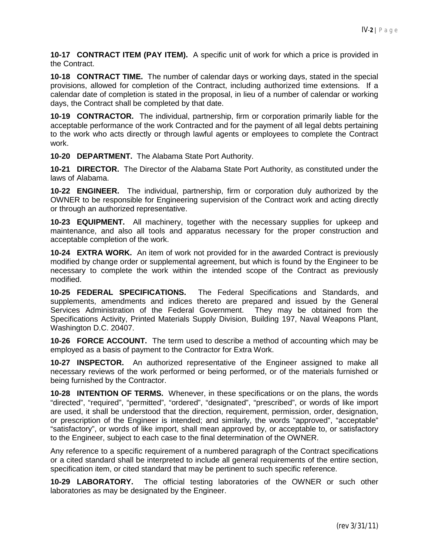**10-17 CONTRACT ITEM (PAY ITEM).** A specific unit of work for which a price is provided in the Contract.

**10-18 CONTRACT TIME.** The number of calendar days or working days, stated in the special provisions, allowed for completion of the Contract, including authorized time extensions. If a calendar date of completion is stated in the proposal, in lieu of a number of calendar or working days, the Contract shall be completed by that date.

**10-19 CONTRACTOR.** The individual, partnership, firm or corporation primarily liable for the acceptable performance of the work Contracted and for the payment of all legal debts pertaining to the work who acts directly or through lawful agents or employees to complete the Contract work.

**10-20 DEPARTMENT.** The Alabama State Port Authority.

**10-21 DIRECTOR.** The Director of the Alabama State Port Authority, as constituted under the laws of Alabama.

**10-22 ENGINEER.** The individual, partnership, firm or corporation duly authorized by the OWNER to be responsible for Engineering supervision of the Contract work and acting directly or through an authorized representative.

**10-23 EQUIPMENT.** All machinery, together with the necessary supplies for upkeep and maintenance, and also all tools and apparatus necessary for the proper construction and acceptable completion of the work.

**10-24 EXTRA WORK.** An item of work not provided for in the awarded Contract is previously modified by change order or supplemental agreement, but which is found by the Engineer to be necessary to complete the work within the intended scope of the Contract as previously modified.

**10-25 FEDERAL SPECIFICATIONS.** The Federal Specifications and Standards, and supplements, amendments and indices thereto are prepared and issued by the General Services Administration of the Federal Government. They may be obtained from the Specifications Activity, Printed Materials Supply Division, Building 197, Naval Weapons Plant, Washington D.C. 20407.

**10-26 FORCE ACCOUNT.** The term used to describe a method of accounting which may be employed as a basis of payment to the Contractor for Extra Work.

**10-27 INSPECTOR.** An authorized representative of the Engineer assigned to make all necessary reviews of the work performed or being performed, or of the materials furnished or being furnished by the Contractor.

**10-28 INTENTION OF TERMS.** Whenever, in these specifications or on the plans, the words "directed", "required", "permitted", "ordered", "designated", "prescribed", or words of like import are used, it shall be understood that the direction, requirement, permission, order, designation, or prescription of the Engineer is intended; and similarly, the words "approved", "acceptable" "satisfactory", or words of like import, shall mean approved by, or acceptable to, or satisfactory to the Engineer, subject to each case to the final determination of the OWNER.

Any reference to a specific requirement of a numbered paragraph of the Contract specifications or a cited standard shall be interpreted to include all general requirements of the entire section, specification item, or cited standard that may be pertinent to such specific reference.

**10-29 LABORATORY.** The official testing laboratories of the OWNER or such other laboratories as may be designated by the Engineer.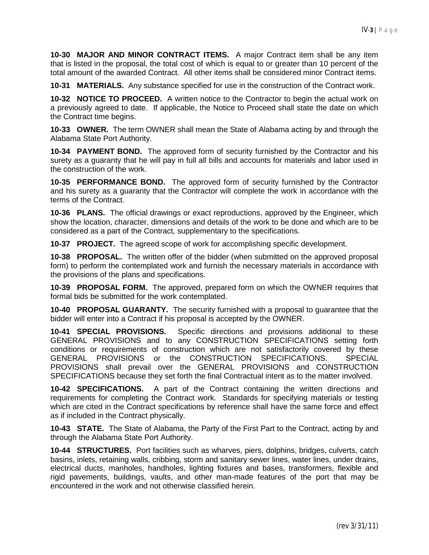**10-30 MAJOR AND MINOR CONTRACT ITEMS.** A major Contract item shall be any item that is listed in the proposal, the total cost of which is equal to or greater than 10 percent of the total amount of the awarded Contract. All other items shall be considered minor Contract items.

**10-31 MATERIALS.** Any substance specified for use in the construction of the Contract work.

**10-32 NOTICE TO PROCEED.** A written notice to the Contractor to begin the actual work on a previously agreed to date. If applicable, the Notice to Proceed shall state the date on which the Contract time begins.

**10-33 OWNER.** The term OWNER shall mean the State of Alabama acting by and through the Alabama State Port Authority.

**10-34 PAYMENT BOND.** The approved form of security furnished by the Contractor and his surety as a guaranty that he will pay in full all bills and accounts for materials and labor used in the construction of the work.

**10-35 PERFORMANCE BOND.** The approved form of security furnished by the Contractor and his surety as a guaranty that the Contractor will complete the work in accordance with the terms of the Contract.

**10-36 PLANS.** The official drawings or exact reproductions, approved by the Engineer, which show the location, character, dimensions and details of the work to be done and which are to be considered as a part of the Contract, supplementary to the specifications.

**10-37 PROJECT.** The agreed scope of work for accomplishing specific development.

**10-38 PROPOSAL.** The written offer of the bidder (when submitted on the approved proposal form) to perform the contemplated work and furnish the necessary materials in accordance with the provisions of the plans and specifications.

**10-39 PROPOSAL FORM.** The approved, prepared form on which the OWNER requires that formal bids be submitted for the work contemplated.

**10-40 PROPOSAL GUARANTY.** The security furnished with a proposal to guarantee that the bidder will enter into a Contract if his proposal is accepted by the OWNER.

**10-41 SPECIAL PROVISIONS.** Specific directions and provisions additional to these GENERAL PROVISIONS and to any CONSTRUCTION SPECIFICATIONS setting forth conditions or requirements of construction which are not satisfactorily covered by these<br>GENERAL PROVISIONS or the CONSTRUCTION SPECIFICATIONS. SPECIAL PROVISIONS or the CONSTRUCTION SPECIFICATIONS. SPECIAL PROVISIONS shall prevail over the GENERAL PROVISIONS and CONSTRUCTION SPECIFICATIONS because they set forth the final Contractual intent as to the matter involved.

**10-42 SPECIFICATIONS.** A part of the Contract containing the written directions and requirements for completing the Contract work. Standards for specifying materials or testing which are cited in the Contract specifications by reference shall have the same force and effect as if included in the Contract physically.

**10-43 STATE.** The State of Alabama, the Party of the First Part to the Contract, acting by and through the Alabama State Port Authority.

**10-44 STRUCTURES.** Port facilities such as wharves, piers, dolphins, bridges, culverts, catch basins, inlets, retaining walls, cribbing, storm and sanitary sewer lines, water lines, under drains, electrical ducts, manholes, handholes, lighting fixtures and bases, transformers, flexible and rigid pavements, buildings, vaults, and other man-made features of the port that may be encountered in the work and not otherwise classified herein.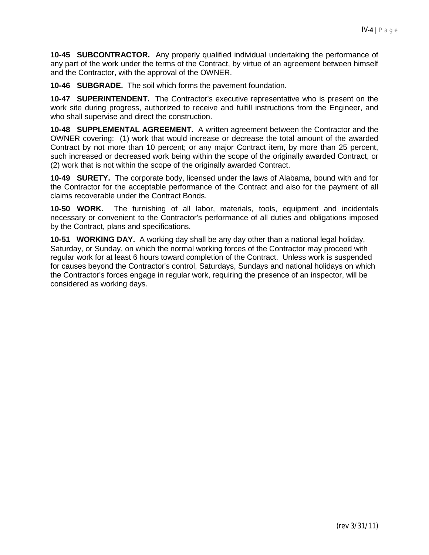**10-45 SUBCONTRACTOR.** Any properly qualified individual undertaking the performance of any part of the work under the terms of the Contract, by virtue of an agreement between himself and the Contractor, with the approval of the OWNER.

**10-46 SUBGRADE.** The soil which forms the pavement foundation.

**10-47 SUPERINTENDENT.** The Contractor's executive representative who is present on the work site during progress, authorized to receive and fulfill instructions from the Engineer, and who shall supervise and direct the construction.

**10-48 SUPPLEMENTAL AGREEMENT.** A written agreement between the Contractor and the OWNER covering: (1) work that would increase or decrease the total amount of the awarded Contract by not more than 10 percent; or any major Contract item, by more than 25 percent, such increased or decreased work being within the scope of the originally awarded Contract, or (2) work that is not within the scope of the originally awarded Contract.

**10-49 SURETY.** The corporate body, licensed under the laws of Alabama, bound with and for the Contractor for the acceptable performance of the Contract and also for the payment of all claims recoverable under the Contract Bonds.

**10-50 WORK.** The furnishing of all labor, materials, tools, equipment and incidentals necessary or convenient to the Contractor's performance of all duties and obligations imposed by the Contract, plans and specifications.

**10-51 WORKING DAY.** A working day shall be any day other than a national legal holiday, Saturday, or Sunday, on which the normal working forces of the Contractor may proceed with regular work for at least 6 hours toward completion of the Contract. Unless work is suspended for causes beyond the Contractor's control, Saturdays, Sundays and national holidays on which the Contractor's forces engage in regular work, requiring the presence of an inspector, will be considered as working days.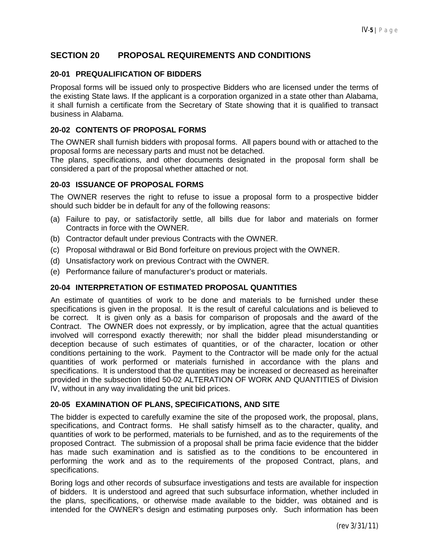## <span id="page-33-0"></span>**SECTION 20 PROPOSAL REQUIREMENTS AND CONDITIONS**

## <span id="page-33-1"></span>**20-01 PREQUALIFICATION OF BIDDERS**

Proposal forms will be issued only to prospective Bidders who are licensed under the terms of the existing State laws. If the applicant is a corporation organized in a state other than Alabama, it shall furnish a certificate from the Secretary of State showing that it is qualified to transact business in Alabama.

#### <span id="page-33-2"></span>**20-02 CONTENTS OF PROPOSAL FORMS**

The OWNER shall furnish bidders with proposal forms. All papers bound with or attached to the proposal forms are necessary parts and must not be detached.

The plans, specifications, and other documents designated in the proposal form shall be considered a part of the proposal whether attached or not.

#### <span id="page-33-3"></span>**20-03 ISSUANCE OF PROPOSAL FORMS**

The OWNER reserves the right to refuse to issue a proposal form to a prospective bidder should such bidder be in default for any of the following reasons:

- (a) Failure to pay, or satisfactorily settle, all bills due for labor and materials on former Contracts in force with the OWNER.
- (b) Contractor default under previous Contracts with the OWNER.
- (c) Proposal withdrawal or Bid Bond forfeiture on previous project with the OWNER.
- (d) Unsatisfactory work on previous Contract with the OWNER.
- (e) Performance failure of manufacturer's product or materials.

## <span id="page-33-4"></span>**20-04 INTERPRETATION OF ESTIMATED PROPOSAL QUANTITIES**

An estimate of quantities of work to be done and materials to be furnished under these specifications is given in the proposal. It is the result of careful calculations and is believed to be correct. It is given only as a basis for comparison of proposals and the award of the Contract. The OWNER does not expressly, or by implication, agree that the actual quantities involved will correspond exactly therewith; nor shall the bidder plead misunderstanding or deception because of such estimates of quantities, or of the character, location or other conditions pertaining to the work. Payment to the Contractor will be made only for the actual quantities of work performed or materials furnished in accordance with the plans and specifications. It is understood that the quantities may be increased or decreased as hereinafter provided in the subsection titled 50-02 ALTERATION OF WORK AND QUANTITIES of Division IV, without in any way invalidating the unit bid prices.

## <span id="page-33-5"></span>**20-05 EXAMINATION OF PLANS, SPECIFICATIONS, AND SITE**

The bidder is expected to carefully examine the site of the proposed work, the proposal, plans, specifications, and Contract forms. He shall satisfy himself as to the character, quality, and quantities of work to be performed, materials to be furnished, and as to the requirements of the proposed Contract. The submission of a proposal shall be prima facie evidence that the bidder has made such examination and is satisfied as to the conditions to be encountered in performing the work and as to the requirements of the proposed Contract, plans, and specifications.

Boring logs and other records of subsurface investigations and tests are available for inspection of bidders. It is understood and agreed that such subsurface information, whether included in the plans, specifications, or otherwise made available to the bidder, was obtained and is intended for the OWNER's design and estimating purposes only. Such information has been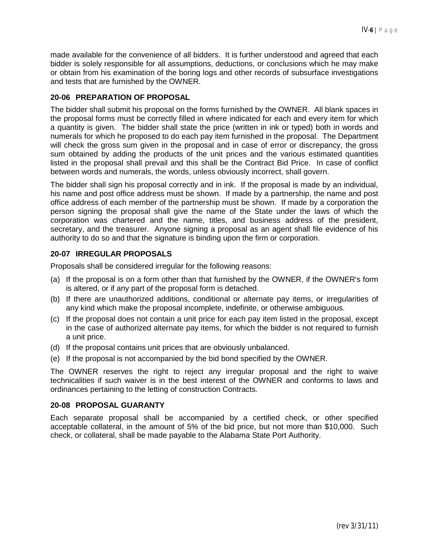made available for the convenience of all bidders. It is further understood and agreed that each bidder is solely responsible for all assumptions, deductions, or conclusions which he may make or obtain from his examination of the boring logs and other records of subsurface investigations and tests that are furnished by the OWNER.

## <span id="page-34-0"></span>**20-06 PREPARATION OF PROPOSAL**

The bidder shall submit his proposal on the forms furnished by the OWNER. All blank spaces in the proposal forms must be correctly filled in where indicated for each and every item for which a quantity is given. The bidder shall state the price (written in ink or typed) both in words and numerals for which he proposed to do each pay item furnished in the proposal. The Department will check the gross sum given in the proposal and in case of error or discrepancy, the gross sum obtained by adding the products of the unit prices and the various estimated quantities listed in the proposal shall prevail and this shall be the Contract Bid Price. In case of conflict between words and numerals, the words, unless obviously incorrect, shall govern.

The bidder shall sign his proposal correctly and in ink. If the proposal is made by an individual, his name and post office address must be shown. If made by a partnership, the name and post office address of each member of the partnership must be shown. If made by a corporation the person signing the proposal shall give the name of the State under the laws of which the corporation was chartered and the name, titles, and business address of the president, secretary, and the treasurer. Anyone signing a proposal as an agent shall file evidence of his authority to do so and that the signature is binding upon the firm or corporation.

#### <span id="page-34-1"></span>**20-07 IRREGULAR PROPOSALS**

Proposals shall be considered irregular for the following reasons:

- (a) If the proposal is on a form other than that furnished by the OWNER, if the OWNER's form is altered, or if any part of the proposal form is detached.
- (b) If there are unauthorized additions, conditional or alternate pay items, or irregularities of any kind which make the proposal incomplete, indefinite, or otherwise ambiguous.
- (c) If the proposal does not contain a unit price for each pay item listed in the proposal, except in the case of authorized alternate pay items, for which the bidder is not required to furnish a unit price.
- (d) If the proposal contains unit prices that are obviously unbalanced.
- (e) If the proposal is not accompanied by the bid bond specified by the OWNER.

The OWNER reserves the right to reject any irregular proposal and the right to waive technicalities if such waiver is in the best interest of the OWNER and conforms to laws and ordinances pertaining to the letting of construction Contracts.

#### <span id="page-34-2"></span>**20-08 PROPOSAL GUARANTY**

Each separate proposal shall be accompanied by a certified check, or other specified acceptable collateral, in the amount of 5% of the bid price, but not more than \$10,000. Such check, or collateral, shall be made payable to the Alabama State Port Authority.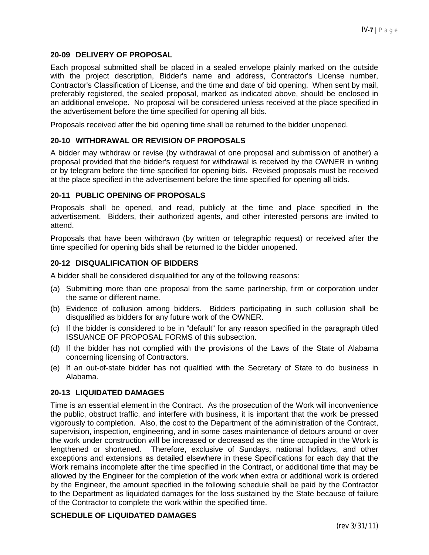#### <span id="page-35-0"></span>**20-09 DELIVERY OF PROPOSAL**

Each proposal submitted shall be placed in a sealed envelope plainly marked on the outside with the project description, Bidder's name and address, Contractor's License number, Contractor's Classification of License, and the time and date of bid opening. When sent by mail, preferably registered, the sealed proposal, marked as indicated above, should be enclosed in an additional envelope. No proposal will be considered unless received at the place specified in the advertisement before the time specified for opening all bids.

Proposals received after the bid opening time shall be returned to the bidder unopened.

## <span id="page-35-1"></span>**20-10 WITHDRAWAL OR REVISION OF PROPOSALS**

A bidder may withdraw or revise (by withdrawal of one proposal and submission of another) a proposal provided that the bidder's request for withdrawal is received by the OWNER in writing or by telegram before the time specified for opening bids. Revised proposals must be received at the place specified in the advertisement before the time specified for opening all bids.

#### <span id="page-35-2"></span>**20-11 PUBLIC OPENING OF PROPOSALS**

Proposals shall be opened, and read, publicly at the time and place specified in the advertisement. Bidders, their authorized agents, and other interested persons are invited to attend.

Proposals that have been withdrawn (by written or telegraphic request) or received after the time specified for opening bids shall be returned to the bidder unopened.

#### <span id="page-35-3"></span>**20-12 DISQUALIFICATION OF BIDDERS**

A bidder shall be considered disqualified for any of the following reasons:

- (a) Submitting more than one proposal from the same partnership, firm or corporation under the same or different name.
- (b) Evidence of collusion among bidders. Bidders participating in such collusion shall be disqualified as bidders for any future work of the OWNER.
- (c) If the bidder is considered to be in "default" for any reason specified in the paragraph titled ISSUANCE OF PROPOSAL FORMS of this subsection.
- (d) If the bidder has not complied with the provisions of the Laws of the State of Alabama concerning licensing of Contractors.
- (e) If an out-of-state bidder has not qualified with the Secretary of State to do business in Alabama.

#### <span id="page-35-4"></span>**20-13 LIQUIDATED DAMAGES**

Time is an essential element in the Contract. As the prosecution of the Work will inconvenience the public, obstruct traffic, and interfere with business, it is important that the work be pressed vigorously to completion. Also, the cost to the Department of the administration of the Contract, supervision, inspection, engineering, and in some cases maintenance of detours around or over the work under construction will be increased or decreased as the time occupied in the Work is lengthened or shortened. Therefore, exclusive of Sundays, national holidays, and other exceptions and extensions as detailed elsewhere in these Specifications for each day that the Work remains incomplete after the time specified in the Contract, or additional time that may be allowed by the Engineer for the completion of the work when extra or additional work is ordered by the Engineer, the amount specified in the following schedule shall be paid by the Contractor to the Department as liquidated damages for the loss sustained by the State because of failure of the Contractor to complete the work within the specified time.

#### **SCHEDULE OF LIQUIDATED DAMAGES**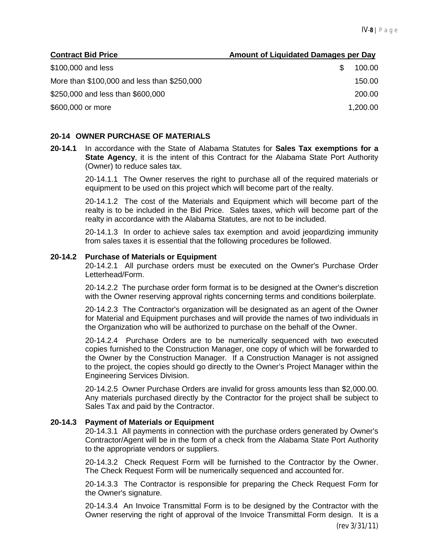| <b>Contract Bid Price</b>                   | Amount of Liquidated Damages per Day |          |
|---------------------------------------------|--------------------------------------|----------|
| \$100,000 and less                          | \$.                                  | 100.00   |
| More than \$100,000 and less than \$250,000 |                                      | 150.00   |
| \$250,000 and less than \$600,000           |                                      | 200.00   |
| \$600,000 or more                           |                                      | 1,200.00 |

### **20-14 OWNER PURCHASE OF MATERIALS**

**20-14.1** In accordance with the State of Alabama Statutes for **Sales Tax exemptions for a State Agency**, it is the intent of this Contract for the Alabama State Port Authority (Owner) to reduce sales tax.

> 20-14.1.1 The Owner reserves the right to purchase all of the required materials or equipment to be used on this project which will become part of the realty.

> 20-14.1.2 The cost of the Materials and Equipment which will become part of the realty is to be included in the Bid Price. Sales taxes, which will become part of the realty in accordance with the Alabama Statutes, are not to be included.

> 20-14.1.3 In order to achieve sales tax exemption and avoid jeopardizing immunity from sales taxes it is essential that the following procedures be followed.

#### **20-14.2 Purchase of Materials or Equipment**

20-14.2.1 All purchase orders must be executed on the Owner's Purchase Order Letterhead/Form.

20-14.2.2 The purchase order form format is to be designed at the Owner's discretion with the Owner reserving approval rights concerning terms and conditions boilerplate.

20-14.2.3 The Contractor's organization will be designated as an agent of the Owner for Material and Equipment purchases and will provide the names of two individuals in the Organization who will be authorized to purchase on the behalf of the Owner.

20-14.2.4 Purchase Orders are to be numerically sequenced with two executed copies furnished to the Construction Manager, one copy of which will be forwarded to the Owner by the Construction Manager. If a Construction Manager is not assigned to the project, the copies should go directly to the Owner's Project Manager within the Engineering Services Division.

20-14.2.5 Owner Purchase Orders are invalid for gross amounts less than \$2,000.00. Any materials purchased directly by the Contractor for the project shall be subject to Sales Tax and paid by the Contractor.

### **20-14.3 Payment of Materials or Equipment**

20-14.3.1 All payments in connection with the purchase orders generated by Owner's Contractor/Agent will be in the form of a check from the Alabama State Port Authority to the appropriate vendors or suppliers.

20-14.3.2 Check Request Form will be furnished to the Contractor by the Owner. The Check Request Form will be numerically sequenced and accounted for.

20-14.3.3 The Contractor is responsible for preparing the Check Request Form for the Owner's signature.

20-14.3.4 An Invoice Transmittal Form is to be designed by the Contractor with the Owner reserving the right of approval of the Invoice Transmittal Form design. It is a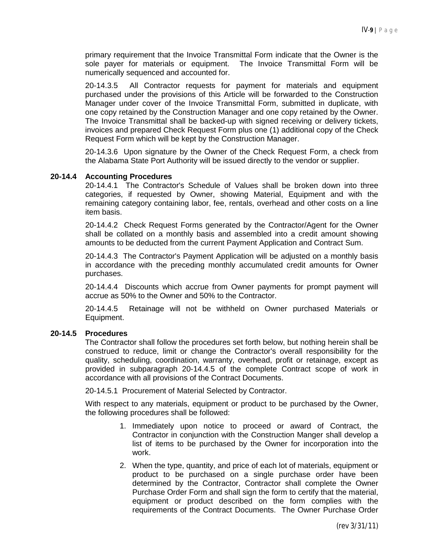primary requirement that the Invoice Transmittal Form indicate that the Owner is the sole payer for materials or equipment. The Invoice Transmittal Form will be numerically sequenced and accounted for.

20-14.3.5 All Contractor requests for payment for materials and equipment purchased under the provisions of this Article will be forwarded to the Construction Manager under cover of the Invoice Transmittal Form, submitted in duplicate, with one copy retained by the Construction Manager and one copy retained by the Owner. The Invoice Transmittal shall be backed-up with signed receiving or delivery tickets, invoices and prepared Check Request Form plus one (1) additional copy of the Check Request Form which will be kept by the Construction Manager.

20-14.3.6 Upon signature by the Owner of the Check Request Form, a check from the Alabama State Port Authority will be issued directly to the vendor or supplier.

#### **20-14.4 Accounting Procedures**

20-14.4.1 The Contractor's Schedule of Values shall be broken down into three categories, if requested by Owner, showing Material, Equipment and with the remaining category containing labor, fee, rentals, overhead and other costs on a line item basis.

20-14.4.2 Check Request Forms generated by the Contractor/Agent for the Owner shall be collated on a monthly basis and assembled into a credit amount showing amounts to be deducted from the current Payment Application and Contract Sum.

20-14.4.3 The Contractor's Payment Application will be adjusted on a monthly basis in accordance with the preceding monthly accumulated credit amounts for Owner purchases.

20-14.4.4 Discounts which accrue from Owner payments for prompt payment will accrue as 50% to the Owner and 50% to the Contractor.

20-14.4.5 Retainage will not be withheld on Owner purchased Materials or Equipment.

### **20-14.5 Procedures**

The Contractor shall follow the procedures set forth below, but nothing herein shall be construed to reduce, limit or change the Contractor's overall responsibility for the quality, scheduling, coordination, warranty, overhead, profit or retainage, except as provided in subparagraph 20-14.4.5 of the complete Contract scope of work in accordance with all provisions of the Contract Documents.

20-14.5.1 Procurement of Material Selected by Contractor.

With respect to any materials, equipment or product to be purchased by the Owner, the following procedures shall be followed:

- 1. Immediately upon notice to proceed or award of Contract, the Contractor in conjunction with the Construction Manger shall develop a list of items to be purchased by the Owner for incorporation into the work.
- 2. When the type, quantity, and price of each lot of materials, equipment or product to be purchased on a single purchase order have been determined by the Contractor, Contractor shall complete the Owner Purchase Order Form and shall sign the form to certify that the material, equipment or product described on the form complies with the requirements of the Contract Documents. The Owner Purchase Order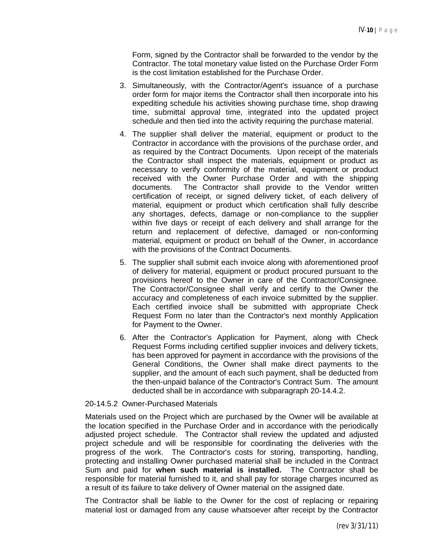Form, signed by the Contractor shall be forwarded to the vendor by the Contractor. The total monetary value listed on the Purchase Order Form is the cost limitation established for the Purchase Order.

- 3. Simultaneously, with the Contractor/Agent's issuance of a purchase order form for major items the Contractor shall then incorporate into his expediting schedule his activities showing purchase time, shop drawing time, submittal approval time, integrated into the updated project schedule and then tied into the activity requiring the purchase material.
- 4. The supplier shall deliver the material, equipment or product to the Contractor in accordance with the provisions of the purchase order, and as required by the Contract Documents. Upon receipt of the materials the Contractor shall inspect the materials, equipment or product as necessary to verify conformity of the material, equipment or product received with the Owner Purchase Order and with the shipping documents. The Contractor shall provide to the Vendor written certification of receipt, or signed delivery ticket, of each delivery of material, equipment or product which certification shall fully describe any shortages, defects, damage or non-compliance to the supplier within five days or receipt of each delivery and shall arrange for the return and replacement of defective, damaged or non-conforming material, equipment or product on behalf of the Owner, in accordance with the provisions of the Contract Documents.
- 5. The supplier shall submit each invoice along with aforementioned proof of delivery for material, equipment or product procured pursuant to the provisions hereof to the Owner in care of the Contractor/Consignee. The Contractor/Consignee shall verify and certify to the Owner the accuracy and completeness of each invoice submitted by the supplier. Each certified invoice shall be submitted with appropriate Check Request Form no later than the Contractor's next monthly Application for Payment to the Owner.
- 6. After the Contractor's Application for Payment, along with Check Request Forms including certified supplier invoices and delivery tickets, has been approved for payment in accordance with the provisions of the General Conditions, the Owner shall make direct payments to the supplier, and the amount of each such payment, shall be deducted from the then-unpaid balance of the Contractor's Contract Sum. The amount deducted shall be in accordance with subparagraph 20-14.4.2.

### 20-14.5.2 Owner-Purchased Materials

Materials used on the Project which are purchased by the Owner will be available at the location specified in the Purchase Order and in accordance with the periodically adjusted project schedule. The Contractor shall review the updated and adjusted project schedule and will be responsible for coordinating the deliveries with the progress of the work. The Contractor's costs for storing, transporting, handling, protecting and installing Owner purchased material shall be included in the Contract Sum and paid for **when such material is installed.** The Contractor shall be responsible for material furnished to it, and shall pay for storage charges incurred as a result of its failure to take delivery of Owner material on the assigned date.

The Contractor shall be liable to the Owner for the cost of replacing or repairing material lost or damaged from any cause whatsoever after receipt by the Contractor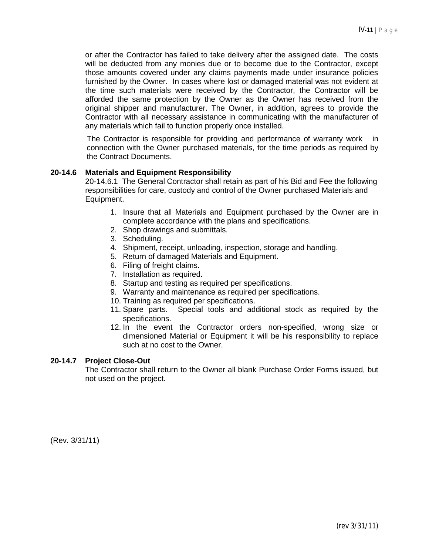or after the Contractor has failed to take delivery after the assigned date. The costs will be deducted from any monies due or to become due to the Contractor, except those amounts covered under any claims payments made under insurance policies furnished by the Owner. In cases where lost or damaged material was not evident at the time such materials were received by the Contractor, the Contractor will be afforded the same protection by the Owner as the Owner has received from the original shipper and manufacturer. The Owner, in addition, agrees to provide the Contractor with all necessary assistance in communicating with the manufacturer of any materials which fail to function properly once installed.

The Contractor is responsible for providing and performance of warranty work in connection with the Owner purchased materials, for the time periods as required by the Contract Documents.

### **20-14.6 Materials and Equipment Responsibility**

20-14.6.1 The General Contractor shall retain as part of his Bid and Fee the following responsibilities for care, custody and control of the Owner purchased Materials and Equipment.

- 1. Insure that all Materials and Equipment purchased by the Owner are in complete accordance with the plans and specifications.
- 2. Shop drawings and submittals.
- 3. Scheduling.
- 4. Shipment, receipt, unloading, inspection, storage and handling.
- 5. Return of damaged Materials and Equipment.
- 6. Filing of freight claims.
- 7. Installation as required.
- 8. Startup and testing as required per specifications.
- 9. Warranty and maintenance as required per specifications.
- 10. Training as required per specifications.
- 11. Spare parts. Special tools and additional stock as required by the specifications.
- 12. In the event the Contractor orders non-specified, wrong size or dimensioned Material or Equipment it will be his responsibility to replace such at no cost to the Owner.

### **20-14.7 Project Close-Out**

The Contractor shall return to the Owner all blank Purchase Order Forms issued, but not used on the project.

(Rev. 3/31/11)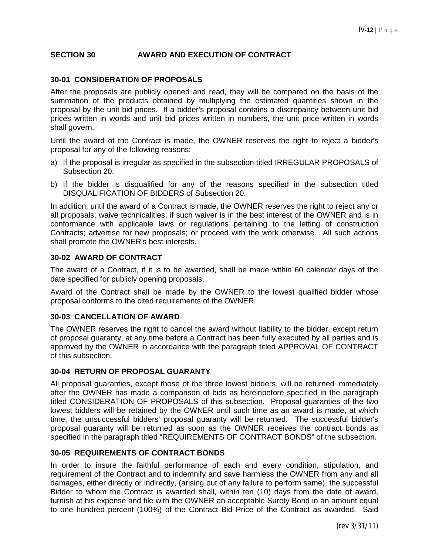### **SECTION 30 AWARD AND EXECUTION OF CONTRACT**

### **30-01 CONSIDERATION OF PROPOSALS**

After the proposals are publicly opened and read, they will be compared on the basis of the summation of the products obtained by multiplying the estimated quantities shown in the proposal by the unit bid prices. If a bidder's proposal contains a discrepancy between unit bid prices written in words and unit bid prices written in numbers, the unit price written in words shall govern.

Until the award of the Contract is made, the OWNER reserves the right to reject a bidder's proposal for any of the following reasons:

- a) If the proposal is irregular as specified in the subsection titled IRREGULAR PROPOSALS of Subsection 20.
- b) If the bidder is disqualified for any of the reasons specified in the subsection titled DISQUALIFICATION OF BIDDERS of Subsection 20.

In addition, until the award of a Contract is made, the OWNER reserves the right to reject any or all proposals; waive technicalities, if such waiver is in the best interest of the OWNER and is in conformance with applicable laws or regulations pertaining to the letting of construction Contracts; advertise for new proposals; or proceed with the work otherwise. All such actions shall promote the OWNER's best interests.

### **30-02 AWARD OF CONTRACT**

The award of a Contract, if it is to be awarded, shall be made within 60 calendar days of the date specified for publicly opening proposals.

Award of the Contract shall be made by the OWNER to the lowest qualified bidder whose proposal conforms to the cited requirements of the OWNER.

### **30-03 CANCELLATION OF AWARD**

The OWNER reserves the right to cancel the award without liability to the bidder, except return of proposal guaranty, at any time before a Contract has been fully executed by all parties and is approved by the OWNER in accordance with the paragraph titled APPROVAL OF CONTRACT of this subsection.

### **30-04 RETURN OF PROPOSAL GUARANTY**

All proposal guaranties, except those of the three lowest bidders, will be returned immediately after the OWNER has made a comparison of bids as hereinbefore specified in the paragraph titled CONSIDERATION OF PROPOSALS of this subsection. Proposal guaranties of the two lowest bidders will be retained by the OWNER until such time as an award is made, at which time, the unsuccessful bidders' proposal guaranty will be returned. The successful bidder's proposal guaranty will be returned as soon as the OWNER receives the contract bonds as specified in the paragraph titled "REQUIREMENTS OF CONTRACT BONDS" of the subsection.

### **30-05 REQUIREMENTS OF CONTRACT BONDS**

In order to insure the faithful performance of each and every condition, stipulation, and requirement of the Contract and to indemnify and save harmless the OWNER from any and all damages, either directly or indirectly, (arising out of any failure to perform same), the successful Bidder to whom the Contract is awarded shall, within ten (10) days from the date of award, furnish at his expense and file with the OWNER an acceptable Surety Bond in an amount equal to one hundred percent (100%) of the Contract Bid Price of the Contract as awarded. Said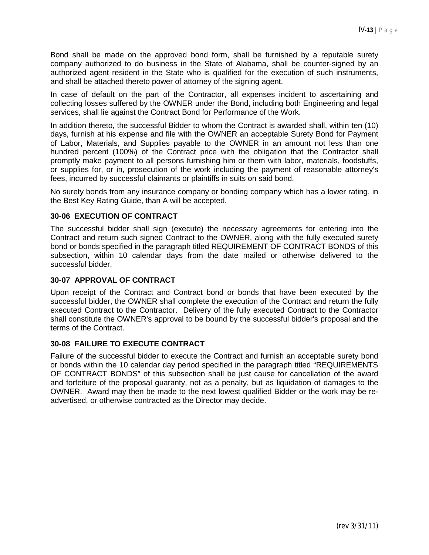Bond shall be made on the approved bond form, shall be furnished by a reputable surety company authorized to do business in the State of Alabama, shall be counter-signed by an authorized agent resident in the State who is qualified for the execution of such instruments, and shall be attached thereto power of attorney of the signing agent.

In case of default on the part of the Contractor, all expenses incident to ascertaining and collecting losses suffered by the OWNER under the Bond, including both Engineering and legal services, shall lie against the Contract Bond for Performance of the Work.

In addition thereto, the successful Bidder to whom the Contract is awarded shall, within ten (10) days, furnish at his expense and file with the OWNER an acceptable Surety Bond for Payment of Labor, Materials, and Supplies payable to the OWNER in an amount not less than one hundred percent (100%) of the Contract price with the obligation that the Contractor shall promptly make payment to all persons furnishing him or them with labor, materials, foodstuffs, or supplies for, or in, prosecution of the work including the payment of reasonable attorney's fees, incurred by successful claimants or plaintiffs in suits on said bond.

No surety bonds from any insurance company or bonding company which has a lower rating, in the Best Key Rating Guide, than A will be accepted.

### **30-06 EXECUTION OF CONTRACT**

The successful bidder shall sign (execute) the necessary agreements for entering into the Contract and return such signed Contract to the OWNER, along with the fully executed surety bond or bonds specified in the paragraph titled REQUIREMENT OF CONTRACT BONDS of this subsection, within 10 calendar days from the date mailed or otherwise delivered to the successful bidder.

### **30-07 APPROVAL OF CONTRACT**

Upon receipt of the Contract and Contract bond or bonds that have been executed by the successful bidder, the OWNER shall complete the execution of the Contract and return the fully executed Contract to the Contractor. Delivery of the fully executed Contract to the Contractor shall constitute the OWNER's approval to be bound by the successful bidder's proposal and the terms of the Contract.

### **30-08 FAILURE TO EXECUTE CONTRACT**

Failure of the successful bidder to execute the Contract and furnish an acceptable surety bond or bonds within the 10 calendar day period specified in the paragraph titled "REQUIREMENTS OF CONTRACT BONDS" of this subsection shall be just cause for cancellation of the award and forfeiture of the proposal guaranty, not as a penalty, but as liquidation of damages to the OWNER. Award may then be made to the next lowest qualified Bidder or the work may be readvertised, or otherwise contracted as the Director may decide.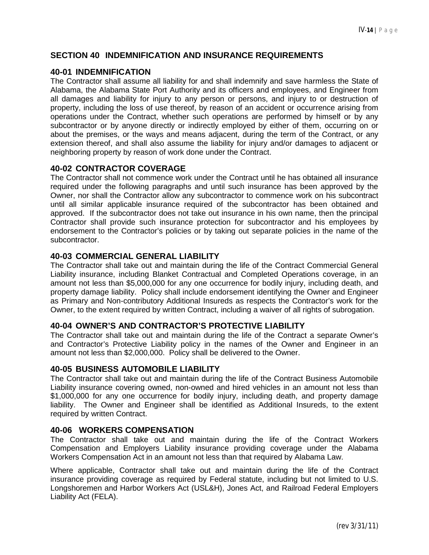# **SECTION 40 INDEMNIFICATION AND INSURANCE REQUIREMENTS**

# **40-01 INDEMNIFICATION**

The Contractor shall assume all liability for and shall indemnify and save harmless the State of Alabama, the Alabama State Port Authority and its officers and employees, and Engineer from all damages and liability for injury to any person or persons, and injury to or destruction of property, including the loss of use thereof, by reason of an accident or occurrence arising from operations under the Contract, whether such operations are performed by himself or by any subcontractor or by anyone directly or indirectly employed by either of them, occurring on or about the premises, or the ways and means adjacent, during the term of the Contract, or any extension thereof, and shall also assume the liability for injury and/or damages to adjacent or neighboring property by reason of work done under the Contract.

### **40-02 CONTRACTOR COVERAGE**

The Contractor shall not commence work under the Contract until he has obtained all insurance required under the following paragraphs and until such insurance has been approved by the Owner, nor shall the Contractor allow any subcontractor to commence work on his subcontract until all similar applicable insurance required of the subcontractor has been obtained and approved. If the subcontractor does not take out insurance in his own name, then the principal Contractor shall provide such insurance protection for subcontractor and his employees by endorsement to the Contractor's policies or by taking out separate policies in the name of the subcontractor.

### **40-03 COMMERCIAL GENERAL LIABILITY**

The Contractor shall take out and maintain during the life of the Contract Commercial General Liability insurance, including Blanket Contractual and Completed Operations coverage, in an amount not less than \$5,000,000 for any one occurrence for bodily injury, including death, and property damage liability. Policy shall include endorsement identifying the Owner and Engineer as Primary and Non-contributory Additional Insureds as respects the Contractor's work for the Owner, to the extent required by written Contract, including a waiver of all rights of subrogation.

### **40-04 OWNER'S AND CONTRACTOR'S PROTECTIVE LIABILITY**

The Contractor shall take out and maintain during the life of the Contract a separate Owner's and Contractor's Protective Liability policy in the names of the Owner and Engineer in an amount not less than \$2,000,000. Policy shall be delivered to the Owner.

### **40-05 BUSINESS AUTOMOBILE LIABILITY**

The Contractor shall take out and maintain during the life of the Contract Business Automobile Liability insurance covering owned, non-owned and hired vehicles in an amount not less than \$1,000,000 for any one occurrence for bodily injury, including death, and property damage liability. The Owner and Engineer shall be identified as Additional Insureds, to the extent required by written Contract.

### **40-06 WORKERS COMPENSATION**

The Contractor shall take out and maintain during the life of the Contract Workers Compensation and Employers Liability insurance providing coverage under the Alabama Workers Compensation Act in an amount not less than that required by Alabama Law.

Where applicable, Contractor shall take out and maintain during the life of the Contract insurance providing coverage as required by Federal statute, including but not limited to U.S. Longshoremen and Harbor Workers Act (USL&H), Jones Act, and Railroad Federal Employers Liability Act (FELA).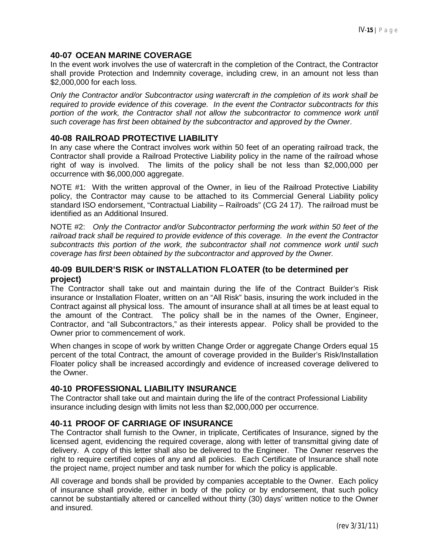# **40-07 OCEAN MARINE COVERAGE**

In the event work involves the use of watercraft in the completion of the Contract, the Contractor shall provide Protection and Indemnity coverage, including crew, in an amount not less than \$2,000,000 for each loss.

*Only the Contractor and/or Subcontractor using watercraft in the completion of its work shall be required to provide evidence of this coverage. In the event the Contractor subcontracts for this*  portion of the work, the Contractor shall not allow the subcontractor to commence work until *such coverage has first been obtained by the subcontractor and approved by the Owner*.

### **40-08 RAILROAD PROTECTIVE LIABILITY**

In any case where the Contract involves work within 50 feet of an operating railroad track, the Contractor shall provide a Railroad Protective Liability policy in the name of the railroad whose right of way is involved. The limits of the policy shall be not less than \$2,000,000 per occurrence with \$6,000,000 aggregate.

NOTE #1: With the written approval of the Owner, in lieu of the Railroad Protective Liability policy, the Contractor may cause to be attached to its Commercial General Liability policy standard ISO endorsement, "Contractual Liability – Railroads" (CG 24 17). The railroad must be identified as an Additional Insured.

NOTE #2: *Only the Contractor and/or Subcontractor performing the work within 50 feet of the railroad track shall be required to provide evidence of this coverage. In the event the Contractor subcontracts this portion of the work, the subcontractor shall not commence work until such coverage has first been obtained by the subcontractor and approved by the Owner.*

# **40-09 BUILDER'S RISK or INSTALLATION FLOATER (to be determined per project)**

The Contractor shall take out and maintain during the life of the Contract Builder's Risk insurance or Installation Floater, written on an "All Risk" basis, insuring the work included in the Contract against all physical loss. The amount of insurance shall at all times be at least equal to the amount of the Contract. The policy shall be in the names of the Owner, Engineer, Contractor, and "all Subcontractors," as their interests appear. Policy shall be provided to the Owner prior to commencement of work.

When changes in scope of work by written Change Order or aggregate Change Orders equal 15 percent of the total Contract, the amount of coverage provided in the Builder's Risk/Installation Floater policy shall be increased accordingly and evidence of increased coverage delivered to the Owner.

### **40-10 PROFESSIONAL LIABILITY INSURANCE**

The Contractor shall take out and maintain during the life of the contract Professional Liability insurance including design with limits not less than \$2,000,000 per occurrence.

### **40-11 PROOF OF CARRIAGE OF INSURANCE**

The Contractor shall furnish to the Owner, in triplicate, Certificates of Insurance, signed by the licensed agent, evidencing the required coverage, along with letter of transmittal giving date of delivery. A copy of this letter shall also be delivered to the Engineer. The Owner reserves the right to require certified copies of any and all policies. Each Certificate of Insurance shall note the project name, project number and task number for which the policy is applicable.

All coverage and bonds shall be provided by companies acceptable to the Owner. Each policy of insurance shall provide, either in body of the policy or by endorsement, that such policy cannot be substantially altered or cancelled without thirty (30) days' written notice to the Owner and insured.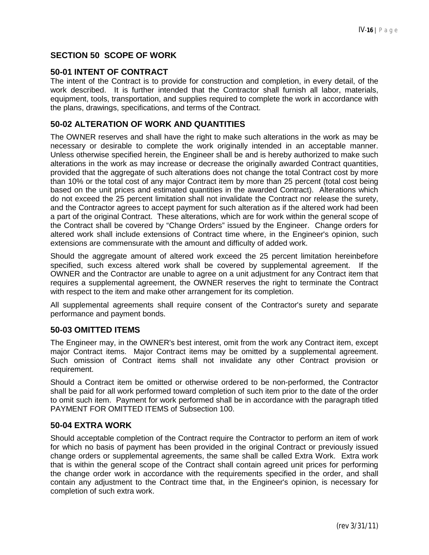# **SECTION 50 SCOPE OF WORK**

# **50-01 INTENT OF CONTRACT**

The intent of the Contract is to provide for construction and completion, in every detail, of the work described. It is further intended that the Contractor shall furnish all labor, materials, equipment, tools, transportation, and supplies required to complete the work in accordance with the plans, drawings, specifications, and terms of the Contract.

# **50-02 ALTERATION OF WORK AND QUANTITIES**

The OWNER reserves and shall have the right to make such alterations in the work as may be necessary or desirable to complete the work originally intended in an acceptable manner. Unless otherwise specified herein, the Engineer shall be and is hereby authorized to make such alterations in the work as may increase or decrease the originally awarded Contract quantities, provided that the aggregate of such alterations does not change the total Contract cost by more than 10% or the total cost of any major Contract item by more than 25 percent (total cost being based on the unit prices and estimated quantities in the awarded Contract). Alterations which do not exceed the 25 percent limitation shall not invalidate the Contract nor release the surety, and the Contractor agrees to accept payment for such alteration as if the altered work had been a part of the original Contract. These alterations, which are for work within the general scope of the Contract shall be covered by "Change Orders" issued by the Engineer. Change orders for altered work shall include extensions of Contract time where, in the Engineer's opinion, such extensions are commensurate with the amount and difficulty of added work.

Should the aggregate amount of altered work exceed the 25 percent limitation hereinbefore specified, such excess altered work shall be covered by supplemental agreement. If the OWNER and the Contractor are unable to agree on a unit adjustment for any Contract item that requires a supplemental agreement, the OWNER reserves the right to terminate the Contract with respect to the item and make other arrangement for its completion.

All supplemental agreements shall require consent of the Contractor's surety and separate performance and payment bonds.

### **50-03 OMITTED ITEMS**

The Engineer may, in the OWNER's best interest, omit from the work any Contract item, except major Contract items. Major Contract items may be omitted by a supplemental agreement. Such omission of Contract items shall not invalidate any other Contract provision or requirement.

Should a Contract item be omitted or otherwise ordered to be non-performed, the Contractor shall be paid for all work performed toward completion of such item prior to the date of the order to omit such item. Payment for work performed shall be in accordance with the paragraph titled PAYMENT FOR OMITTED ITEMS of Subsection 100.

### **50-04 EXTRA WORK**

Should acceptable completion of the Contract require the Contractor to perform an item of work for which no basis of payment has been provided in the original Contract or previously issued change orders or supplemental agreements, the same shall be called Extra Work. Extra work that is within the general scope of the Contract shall contain agreed unit prices for performing the change order work in accordance with the requirements specified in the order, and shall contain any adjustment to the Contract time that, in the Engineer's opinion, is necessary for completion of such extra work.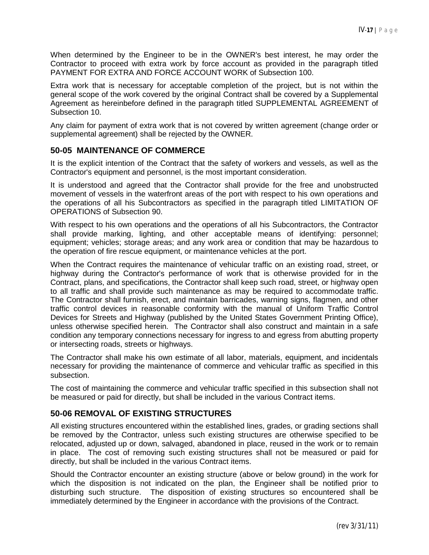When determined by the Engineer to be in the OWNER's best interest, he may order the Contractor to proceed with extra work by force account as provided in the paragraph titled PAYMENT FOR EXTRA AND FORCE ACCOUNT WORK of Subsection 100.

Extra work that is necessary for acceptable completion of the project, but is not within the general scope of the work covered by the original Contract shall be covered by a Supplemental Agreement as hereinbefore defined in the paragraph titled SUPPLEMENTAL AGREEMENT of Subsection 10.

Any claim for payment of extra work that is not covered by written agreement (change order or supplemental agreement) shall be rejected by the OWNER.

# **50-05 MAINTENANCE OF COMMERCE**

It is the explicit intention of the Contract that the safety of workers and vessels, as well as the Contractor's equipment and personnel, is the most important consideration.

It is understood and agreed that the Contractor shall provide for the free and unobstructed movement of vessels in the waterfront areas of the port with respect to his own operations and the operations of all his Subcontractors as specified in the paragraph titled LIMITATION OF OPERATIONS of Subsection 90.

With respect to his own operations and the operations of all his Subcontractors, the Contractor shall provide marking, lighting, and other acceptable means of identifying: personnel; equipment; vehicles; storage areas; and any work area or condition that may be hazardous to the operation of fire rescue equipment, or maintenance vehicles at the port.

When the Contract requires the maintenance of vehicular traffic on an existing road, street, or highway during the Contractor's performance of work that is otherwise provided for in the Contract, plans, and specifications, the Contractor shall keep such road, street, or highway open to all traffic and shall provide such maintenance as may be required to accommodate traffic. The Contractor shall furnish, erect, and maintain barricades, warning signs, flagmen, and other traffic control devices in reasonable conformity with the manual of Uniform Traffic Control Devices for Streets and Highway (published by the United States Government Printing Office), unless otherwise specified herein. The Contractor shall also construct and maintain in a safe condition any temporary connections necessary for ingress to and egress from abutting property or intersecting roads, streets or highways.

The Contractor shall make his own estimate of all labor, materials, equipment, and incidentals necessary for providing the maintenance of commerce and vehicular traffic as specified in this subsection.

The cost of maintaining the commerce and vehicular traffic specified in this subsection shall not be measured or paid for directly, but shall be included in the various Contract items.

### **50-06 REMOVAL OF EXISTING STRUCTURES**

All existing structures encountered within the established lines, grades, or grading sections shall be removed by the Contractor, unless such existing structures are otherwise specified to be relocated, adjusted up or down, salvaged, abandoned in place, reused in the work or to remain in place. The cost of removing such existing structures shall not be measured or paid for directly, but shall be included in the various Contract items.

Should the Contractor encounter an existing structure (above or below ground) in the work for which the disposition is not indicated on the plan, the Engineer shall be notified prior to disturbing such structure. The disposition of existing structures so encountered shall be immediately determined by the Engineer in accordance with the provisions of the Contract.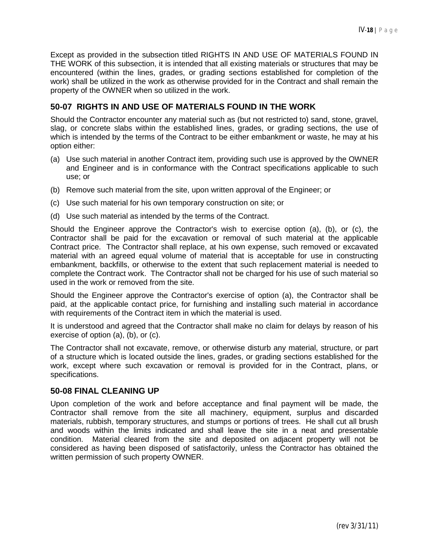Except as provided in the subsection titled RIGHTS IN AND USE OF MATERIALS FOUND IN THE WORK of this subsection, it is intended that all existing materials or structures that may be encountered (within the lines, grades, or grading sections established for completion of the work) shall be utilized in the work as otherwise provided for in the Contract and shall remain the property of the OWNER when so utilized in the work.

# **50-07 RIGHTS IN AND USE OF MATERIALS FOUND IN THE WORK**

Should the Contractor encounter any material such as (but not restricted to) sand, stone, gravel, slag, or concrete slabs within the established lines, grades, or grading sections, the use of which is intended by the terms of the Contract to be either embankment or waste, he may at his option either:

- (a) Use such material in another Contract item, providing such use is approved by the OWNER and Engineer and is in conformance with the Contract specifications applicable to such use; or
- (b) Remove such material from the site, upon written approval of the Engineer; or
- (c) Use such material for his own temporary construction on site; or
- (d) Use such material as intended by the terms of the Contract.

Should the Engineer approve the Contractor's wish to exercise option (a), (b), or (c), the Contractor shall be paid for the excavation or removal of such material at the applicable Contract price. The Contractor shall replace, at his own expense, such removed or excavated material with an agreed equal volume of material that is acceptable for use in constructing embankment, backfills, or otherwise to the extent that such replacement material is needed to complete the Contract work. The Contractor shall not be charged for his use of such material so used in the work or removed from the site.

Should the Engineer approve the Contractor's exercise of option (a), the Contractor shall be paid, at the applicable contact price, for furnishing and installing such material in accordance with requirements of the Contract item in which the material is used.

It is understood and agreed that the Contractor shall make no claim for delays by reason of his exercise of option (a), (b), or (c).

The Contractor shall not excavate, remove, or otherwise disturb any material, structure, or part of a structure which is located outside the lines, grades, or grading sections established for the work, except where such excavation or removal is provided for in the Contract, plans, or specifications.

### **50-08 FINAL CLEANING UP**

Upon completion of the work and before acceptance and final payment will be made, the Contractor shall remove from the site all machinery, equipment, surplus and discarded materials, rubbish, temporary structures, and stumps or portions of trees. He shall cut all brush and woods within the limits indicated and shall leave the site in a neat and presentable condition. Material cleared from the site and deposited on adjacent property will not be considered as having been disposed of satisfactorily, unless the Contractor has obtained the written permission of such property OWNER.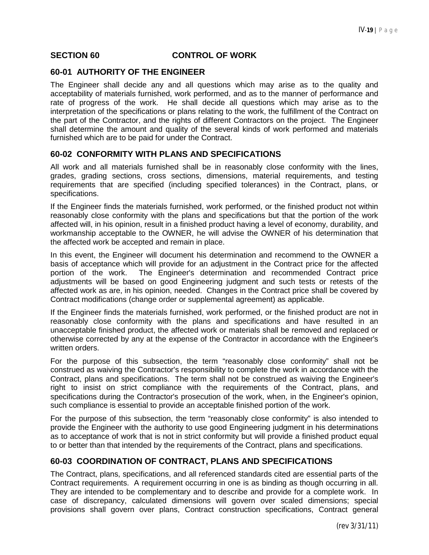### **SECTION 60 CONTROL OF WORK**

# **60-01 AUTHORITY OF THE ENGINEER**

The Engineer shall decide any and all questions which may arise as to the quality and acceptability of materials furnished, work performed, and as to the manner of performance and rate of progress of the work. He shall decide all questions which may arise as to the interpretation of the specifications or plans relating to the work, the fulfillment of the Contract on the part of the Contractor, and the rights of different Contractors on the project. The Engineer shall determine the amount and quality of the several kinds of work performed and materials furnished which are to be paid for under the Contract.

# **60-02 CONFORMITY WITH PLANS AND SPECIFICATIONS**

All work and all materials furnished shall be in reasonably close conformity with the lines, grades, grading sections, cross sections, dimensions, material requirements, and testing requirements that are specified (including specified tolerances) in the Contract, plans, or specifications.

If the Engineer finds the materials furnished, work performed, or the finished product not within reasonably close conformity with the plans and specifications but that the portion of the work affected will, in his opinion, result in a finished product having a level of economy, durability, and workmanship acceptable to the OWNER, he will advise the OWNER of his determination that the affected work be accepted and remain in place.

In this event, the Engineer will document his determination and recommend to the OWNER a basis of acceptance which will provide for an adjustment in the Contract price for the affected portion of the work. The Engineer's determination and recommended Contract price adjustments will be based on good Engineering judgment and such tests or retests of the affected work as are, in his opinion, needed. Changes in the Contract price shall be covered by Contract modifications (change order or supplemental agreement) as applicable.

If the Engineer finds the materials furnished, work performed, or the finished product are not in reasonably close conformity with the plans and specifications and have resulted in an unacceptable finished product, the affected work or materials shall be removed and replaced or otherwise corrected by any at the expense of the Contractor in accordance with the Engineer's written orders.

For the purpose of this subsection, the term "reasonably close conformity" shall not be construed as waiving the Contractor's responsibility to complete the work in accordance with the Contract, plans and specifications. The term shall not be construed as waiving the Engineer's right to insist on strict compliance with the requirements of the Contract, plans, and specifications during the Contractor's prosecution of the work, when, in the Engineer's opinion, such compliance is essential to provide an acceptable finished portion of the work.

For the purpose of this subsection, the term "reasonably close conformity" is also intended to provide the Engineer with the authority to use good Engineering judgment in his determinations as to acceptance of work that is not in strict conformity but will provide a finished product equal to or better than that intended by the requirements of the Contract, plans and specifications.

# **60-03 COORDINATION OF CONTRACT, PLANS AND SPECIFICATIONS**

The Contract, plans, specifications, and all referenced standards cited are essential parts of the Contract requirements. A requirement occurring in one is as binding as though occurring in all. They are intended to be complementary and to describe and provide for a complete work. In case of discrepancy, calculated dimensions will govern over scaled dimensions; special provisions shall govern over plans, Contract construction specifications, Contract general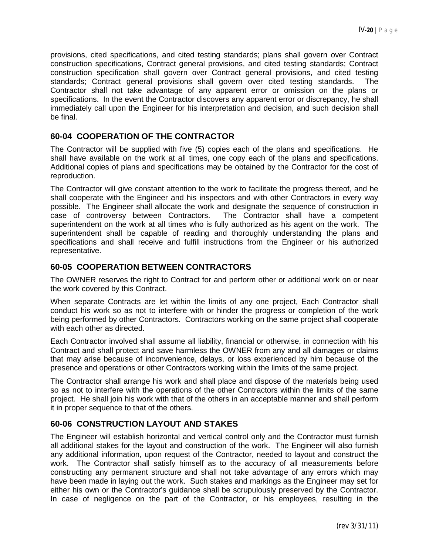provisions, cited specifications, and cited testing standards; plans shall govern over Contract construction specifications, Contract general provisions, and cited testing standards; Contract construction specification shall govern over Contract general provisions, and cited testing standards; Contract general provisions shall govern over cited testing standards. The Contractor shall not take advantage of any apparent error or omission on the plans or specifications. In the event the Contractor discovers any apparent error or discrepancy, he shall immediately call upon the Engineer for his interpretation and decision, and such decision shall be final.

# **60-04 COOPERATION OF THE CONTRACTOR**

The Contractor will be supplied with five (5) copies each of the plans and specifications. He shall have available on the work at all times, one copy each of the plans and specifications. Additional copies of plans and specifications may be obtained by the Contractor for the cost of reproduction.

The Contractor will give constant attention to the work to facilitate the progress thereof, and he shall cooperate with the Engineer and his inspectors and with other Contractors in every way possible. The Engineer shall allocate the work and designate the sequence of construction in case of controversy between Contractors. The Contractor shall have a competent superintendent on the work at all times who is fully authorized as his agent on the work. The superintendent shall be capable of reading and thoroughly understanding the plans and specifications and shall receive and fulfill instructions from the Engineer or his authorized representative.

# **60-05 COOPERATION BETWEEN CONTRACTORS**

The OWNER reserves the right to Contract for and perform other or additional work on or near the work covered by this Contract.

When separate Contracts are let within the limits of any one project, Each Contractor shall conduct his work so as not to interfere with or hinder the progress or completion of the work being performed by other Contractors. Contractors working on the same project shall cooperate with each other as directed.

Each Contractor involved shall assume all liability, financial or otherwise, in connection with his Contract and shall protect and save harmless the OWNER from any and all damages or claims that may arise because of inconvenience, delays, or loss experienced by him because of the presence and operations or other Contractors working within the limits of the same project.

The Contractor shall arrange his work and shall place and dispose of the materials being used so as not to interfere with the operations of the other Contractors within the limits of the same project. He shall join his work with that of the others in an acceptable manner and shall perform it in proper sequence to that of the others.

# **60-06 CONSTRUCTION LAYOUT AND STAKES**

The Engineer will establish horizontal and vertical control only and the Contractor must furnish all additional stakes for the layout and construction of the work. The Engineer will also furnish any additional information, upon request of the Contractor, needed to layout and construct the work. The Contractor shall satisfy himself as to the accuracy of all measurements before constructing any permanent structure and shall not take advantage of any errors which may have been made in laying out the work. Such stakes and markings as the Engineer may set for either his own or the Contractor's guidance shall be scrupulously preserved by the Contractor. In case of negligence on the part of the Contractor, or his employees, resulting in the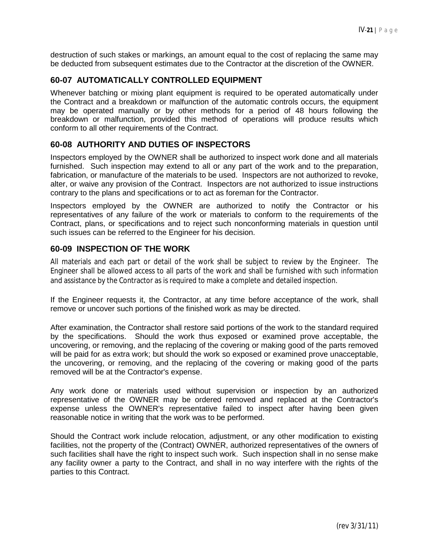destruction of such stakes or markings, an amount equal to the cost of replacing the same may be deducted from subsequent estimates due to the Contractor at the discretion of the OWNER.

# **60-07 AUTOMATICALLY CONTROLLED EQUIPMENT**

Whenever batching or mixing plant equipment is required to be operated automatically under the Contract and a breakdown or malfunction of the automatic controls occurs, the equipment may be operated manually or by other methods for a period of 48 hours following the breakdown or malfunction, provided this method of operations will produce results which conform to all other requirements of the Contract.

# **60-08 AUTHORITY AND DUTIES OF INSPECTORS**

Inspectors employed by the OWNER shall be authorized to inspect work done and all materials furnished. Such inspection may extend to all or any part of the work and to the preparation, fabrication, or manufacture of the materials to be used. Inspectors are not authorized to revoke, alter, or waive any provision of the Contract. Inspectors are not authorized to issue instructions contrary to the plans and specifications or to act as foreman for the Contractor.

Inspectors employed by the OWNER are authorized to notify the Contractor or his representatives of any failure of the work or materials to conform to the requirements of the Contract, plans, or specifications and to reject such nonconforming materials in question until such issues can be referred to the Engineer for his decision.

### **60-09 INSPECTION OF THE WORK**

All materials and each part or detail of the work shall be subject to review by the Engineer. The Engineer shall be allowed access to all parts of the work and shall be furnished with such information and assistance by the Contractor as is required to make a complete and detailed inspection.

If the Engineer requests it, the Contractor, at any time before acceptance of the work, shall remove or uncover such portions of the finished work as may be directed.

After examination, the Contractor shall restore said portions of the work to the standard required by the specifications. Should the work thus exposed or examined prove acceptable, the uncovering, or removing, and the replacing of the covering or making good of the parts removed will be paid for as extra work; but should the work so exposed or examined prove unacceptable, the uncovering, or removing, and the replacing of the covering or making good of the parts removed will be at the Contractor's expense.

Any work done or materials used without supervision or inspection by an authorized representative of the OWNER may be ordered removed and replaced at the Contractor's expense unless the OWNER's representative failed to inspect after having been given reasonable notice in writing that the work was to be performed.

Should the Contract work include relocation, adjustment, or any other modification to existing facilities, not the property of the (Contract) OWNER, authorized representatives of the owners of such facilities shall have the right to inspect such work. Such inspection shall in no sense make any facility owner a party to the Contract, and shall in no way interfere with the rights of the parties to this Contract.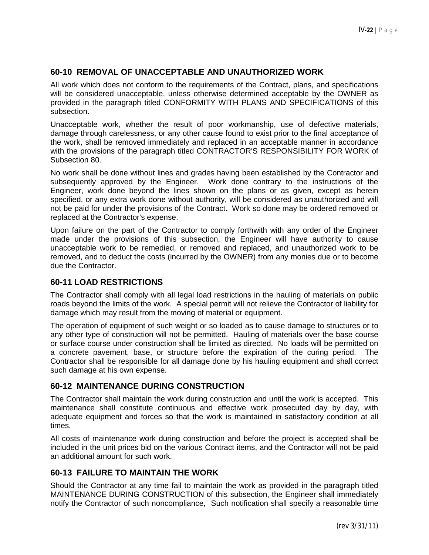# **60-10 REMOVAL OF UNACCEPTABLE AND UNAUTHORIZED WORK**

All work which does not conform to the requirements of the Contract, plans, and specifications will be considered unacceptable, unless otherwise determined acceptable by the OWNER as provided in the paragraph titled CONFORMITY WITH PLANS AND SPECIFICATIONS of this subsection.

Unacceptable work, whether the result of poor workmanship, use of defective materials, damage through carelessness, or any other cause found to exist prior to the final acceptance of the work, shall be removed immediately and replaced in an acceptable manner in accordance with the provisions of the paragraph titled CONTRACTOR'S RESPONSIBILITY FOR WORK of Subsection 80.

No work shall be done without lines and grades having been established by the Contractor and subsequently approved by the Engineer. Work done contrary to the instructions of the Engineer, work done beyond the lines shown on the plans or as given, except as herein specified, or any extra work done without authority, will be considered as unauthorized and will not be paid for under the provisions of the Contract. Work so done may be ordered removed or replaced at the Contractor's expense.

Upon failure on the part of the Contractor to comply forthwith with any order of the Engineer made under the provisions of this subsection, the Engineer will have authority to cause unacceptable work to be remedied, or removed and replaced, and unauthorized work to be removed, and to deduct the costs (incurred by the OWNER) from any monies due or to become due the Contractor.

# **60-11 LOAD RESTRICTIONS**

The Contractor shall comply with all legal load restrictions in the hauling of materials on public roads beyond the limits of the work. A special permit will not relieve the Contractor of liability for damage which may result from the moving of material or equipment.

The operation of equipment of such weight or so loaded as to cause damage to structures or to any other type of construction will not be permitted. Hauling of materials over the base course or surface course under construction shall be limited as directed. No loads will be permitted on a concrete pavement, base, or structure before the expiration of the curing period. The Contractor shall be responsible for all damage done by his hauling equipment and shall correct such damage at his own expense.

# **60-12 MAINTENANCE DURING CONSTRUCTION**

The Contractor shall maintain the work during construction and until the work is accepted. This maintenance shall constitute continuous and effective work prosecuted day by day, with adequate equipment and forces so that the work is maintained in satisfactory condition at all times.

All costs of maintenance work during construction and before the project is accepted shall be included in the unit prices bid on the various Contract items, and the Contractor will not be paid an additional amount for such work.

# **60-13 FAILURE TO MAINTAIN THE WORK**

Should the Contractor at any time fail to maintain the work as provided in the paragraph titled MAINTENANCE DURING CONSTRUCTION of this subsection, the Engineer shall immediately notify the Contractor of such noncompliance, Such notification shall specify a reasonable time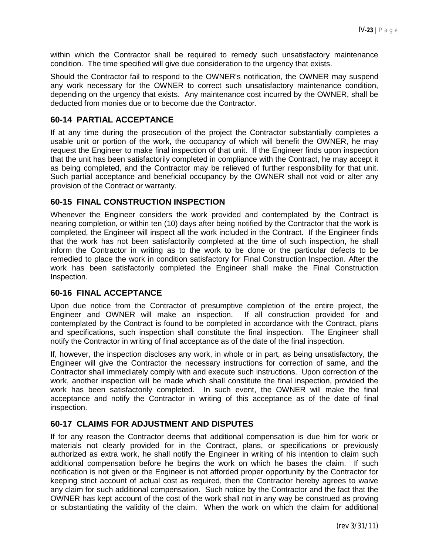within which the Contractor shall be required to remedy such unsatisfactory maintenance condition. The time specified will give due consideration to the urgency that exists.

Should the Contractor fail to respond to the OWNER's notification, the OWNER may suspend any work necessary for the OWNER to correct such unsatisfactory maintenance condition, depending on the urgency that exists. Any maintenance cost incurred by the OWNER, shall be deducted from monies due or to become due the Contractor.

### **60-14 PARTIAL ACCEPTANCE**

If at any time during the prosecution of the project the Contractor substantially completes a usable unit or portion of the work, the occupancy of which will benefit the OWNER, he may request the Engineer to make final inspection of that unit. If the Engineer finds upon inspection that the unit has been satisfactorily completed in compliance with the Contract, he may accept it as being completed, and the Contractor may be relieved of further responsibility for that unit. Such partial acceptance and beneficial occupancy by the OWNER shall not void or alter any provision of the Contract or warranty.

# **60-15 FINAL CONSTRUCTION INSPECTION**

Whenever the Engineer considers the work provided and contemplated by the Contract is nearing completion, or within ten (10) days after being notified by the Contractor that the work is completed, the Engineer will inspect all the work included in the Contract. If the Engineer finds that the work has not been satisfactorily completed at the time of such inspection, he shall inform the Contractor in writing as to the work to be done or the particular defects to be remedied to place the work in condition satisfactory for Final Construction Inspection. After the work has been satisfactorily completed the Engineer shall make the Final Construction Inspection.

# **60-16 FINAL ACCEPTANCE**

Upon due notice from the Contractor of presumptive completion of the entire project, the Engineer and OWNER will make an inspection. If all construction provided for and contemplated by the Contract is found to be completed in accordance with the Contract, plans and specifications, such inspection shall constitute the final inspection. The Engineer shall notify the Contractor in writing of final acceptance as of the date of the final inspection.

If, however, the inspection discloses any work, in whole or in part, as being unsatisfactory, the Engineer will give the Contractor the necessary instructions for correction of same, and the Contractor shall immediately comply with and execute such instructions. Upon correction of the work, another inspection will be made which shall constitute the final inspection, provided the work has been satisfactorily completed. In such event, the OWNER will make the final acceptance and notify the Contractor in writing of this acceptance as of the date of final inspection.

# **60-17 CLAIMS FOR ADJUSTMENT AND DISPUTES**

If for any reason the Contractor deems that additional compensation is due him for work or materials not clearly provided for in the Contract, plans, or specifications or previously authorized as extra work, he shall notify the Engineer in writing of his intention to claim such additional compensation before he begins the work on which he bases the claim. If such notification is not given or the Engineer is not afforded proper opportunity by the Contractor for keeping strict account of actual cost as required, then the Contractor hereby agrees to waive any claim for such additional compensation. Such notice by the Contractor and the fact that the OWNER has kept account of the cost of the work shall not in any way be construed as proving or substantiating the validity of the claim. When the work on which the claim for additional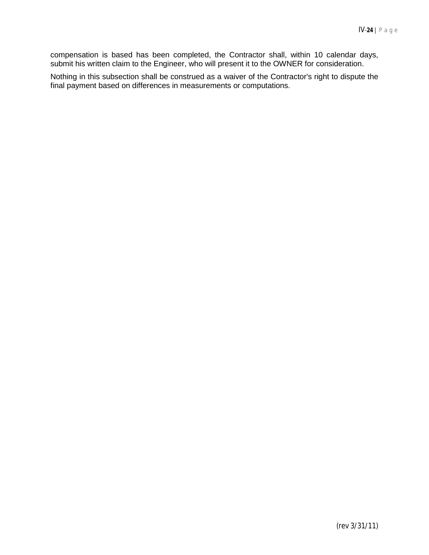compensation is based has been completed, the Contractor shall, within 10 calendar days, submit his written claim to the Engineer, who will present it to the OWNER for consideration.

Nothing in this subsection shall be construed as a waiver of the Contractor's right to dispute the final payment based on differences in measurements or computations.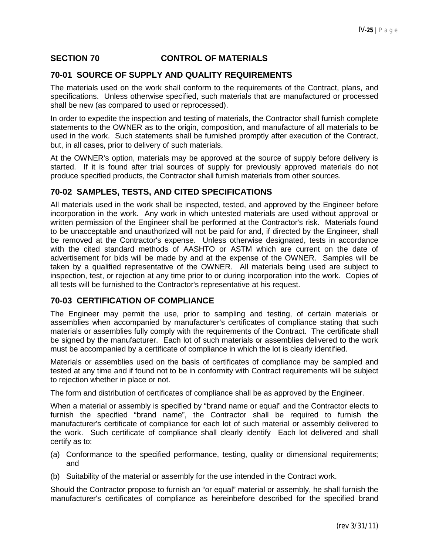# **SECTION 70 CONTROL OF MATERIALS**

# **70-01 SOURCE OF SUPPLY AND QUALITY REQUIREMENTS**

The materials used on the work shall conform to the requirements of the Contract, plans, and specifications. Unless otherwise specified, such materials that are manufactured or processed shall be new (as compared to used or reprocessed).

In order to expedite the inspection and testing of materials, the Contractor shall furnish complete statements to the OWNER as to the origin, composition, and manufacture of all materials to be used in the work. Such statements shall be furnished promptly after execution of the Contract, but, in all cases, prior to delivery of such materials.

At the OWNER's option, materials may be approved at the source of supply before delivery is started. If it is found after trial sources of supply for previously approved materials do not produce specified products, the Contractor shall furnish materials from other sources.

# **70-02 SAMPLES, TESTS, AND CITED SPECIFICATIONS**

All materials used in the work shall be inspected, tested, and approved by the Engineer before incorporation in the work. Any work in which untested materials are used without approval or written permission of the Engineer shall be performed at the Contractor's risk. Materials found to be unacceptable and unauthorized will not be paid for and, if directed by the Engineer, shall be removed at the Contractor's expense. Unless otherwise designated, tests in accordance with the cited standard methods of AASHTO or ASTM which are current on the date of advertisement for bids will be made by and at the expense of the OWNER. Samples will be taken by a qualified representative of the OWNER. All materials being used are subject to inspection, test, or rejection at any time prior to or during incorporation into the work. Copies of all tests will be furnished to the Contractor's representative at his request.

# **70-03 CERTIFICATION OF COMPLIANCE**

The Engineer may permit the use, prior to sampling and testing, of certain materials or assemblies when accompanied by manufacturer's certificates of compliance stating that such materials or assemblies fully comply with the requirements of the Contract. The certificate shall be signed by the manufacturer. Each lot of such materials or assemblies delivered to the work must be accompanied by a certificate of compliance in which the lot is clearly identified.

Materials or assemblies used on the basis of certificates of compliance may be sampled and tested at any time and if found not to be in conformity with Contract requirements will be subject to rejection whether in place or not.

The form and distribution of certificates of compliance shall be as approved by the Engineer.

When a material or assembly is specified by "brand name or equal" and the Contractor elects to furnish the specified "brand name", the Contractor shall be required to furnish the manufacturer's certificate of compliance for each lot of such material or assembly delivered to the work. Such certificate of compliance shall clearly identify Each lot delivered and shall certify as to:

- (a) Conformance to the specified performance, testing, quality or dimensional requirements; and
- (b) Suitability of the material or assembly for the use intended in the Contract work.

Should the Contractor propose to furnish an "or equal" material or assembly, he shall furnish the manufacturer's certificates of compliance as hereinbefore described for the specified brand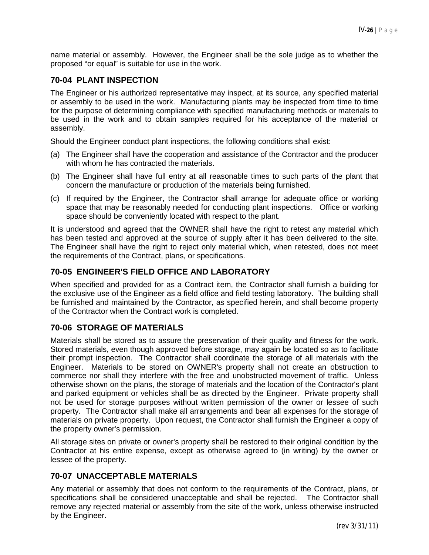name material or assembly. However, the Engineer shall be the sole judge as to whether the proposed "or equal" is suitable for use in the work.

# **70-04 PLANT INSPECTION**

The Engineer or his authorized representative may inspect, at its source, any specified material or assembly to be used in the work. Manufacturing plants may be inspected from time to time for the purpose of determining compliance with specified manufacturing methods or materials to be used in the work and to obtain samples required for his acceptance of the material or assembly.

Should the Engineer conduct plant inspections, the following conditions shall exist:

- (a) The Engineer shall have the cooperation and assistance of the Contractor and the producer with whom he has contracted the materials.
- (b) The Engineer shall have full entry at all reasonable times to such parts of the plant that concern the manufacture or production of the materials being furnished.
- (c) If required by the Engineer, the Contractor shall arrange for adequate office or working space that may be reasonably needed for conducting plant inspections. Office or working space should be conveniently located with respect to the plant.

It is understood and agreed that the OWNER shall have the right to retest any material which has been tested and approved at the source of supply after it has been delivered to the site. The Engineer shall have the right to reject only material which, when retested, does not meet the requirements of the Contract, plans, or specifications.

# **70-05 ENGINEER'S FIELD OFFICE AND LABORATORY**

When specified and provided for as a Contract item, the Contractor shall furnish a building for the exclusive use of the Engineer as a field office and field testing laboratory. The building shall be furnished and maintained by the Contractor, as specified herein, and shall become property of the Contractor when the Contract work is completed.

# **70-06 STORAGE OF MATERIALS**

Materials shall be stored as to assure the preservation of their quality and fitness for the work. Stored materials, even though approved before storage, may again be located so as to facilitate their prompt inspection. The Contractor shall coordinate the storage of all materials with the Engineer. Materials to be stored on OWNER's property shall not create an obstruction to commerce nor shall they interfere with the free and unobstructed movement of traffic. Unless otherwise shown on the plans, the storage of materials and the location of the Contractor's plant and parked equipment or vehicles shall be as directed by the Engineer. Private property shall not be used for storage purposes without written permission of the owner or lessee of such property. The Contractor shall make all arrangements and bear all expenses for the storage of materials on private property. Upon request, the Contractor shall furnish the Engineer a copy of the property owner's permission.

All storage sites on private or owner's property shall be restored to their original condition by the Contractor at his entire expense, except as otherwise agreed to (in writing) by the owner or lessee of the property.

# **70-07 UNACCEPTABLE MATERIALS**

Any material or assembly that does not conform to the requirements of the Contract, plans, or specifications shall be considered unacceptable and shall be rejected. The Contractor shall remove any rejected material or assembly from the site of the work, unless otherwise instructed by the Engineer.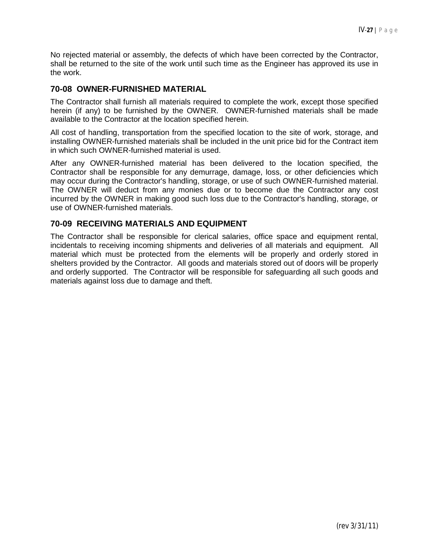No rejected material or assembly, the defects of which have been corrected by the Contractor, shall be returned to the site of the work until such time as the Engineer has approved its use in the work.

# **70-08 OWNER-FURNISHED MATERIAL**

The Contractor shall furnish all materials required to complete the work, except those specified herein (if any) to be furnished by the OWNER. OWNER-furnished materials shall be made available to the Contractor at the location specified herein.

All cost of handling, transportation from the specified location to the site of work, storage, and installing OWNER-furnished materials shall be included in the unit price bid for the Contract item in which such OWNER-furnished material is used.

After any OWNER-furnished material has been delivered to the location specified, the Contractor shall be responsible for any demurrage, damage, loss, or other deficiencies which may occur during the Contractor's handling, storage, or use of such OWNER-furnished material. The OWNER will deduct from any monies due or to become due the Contractor any cost incurred by the OWNER in making good such loss due to the Contractor's handling, storage, or use of OWNER-furnished materials.

# **70-09 RECEIVING MATERIALS AND EQUIPMENT**

The Contractor shall be responsible for clerical salaries, office space and equipment rental, incidentals to receiving incoming shipments and deliveries of all materials and equipment. All material which must be protected from the elements will be properly and orderly stored in shelters provided by the Contractor. All goods and materials stored out of doors will be properly and orderly supported. The Contractor will be responsible for safeguarding all such goods and materials against loss due to damage and theft.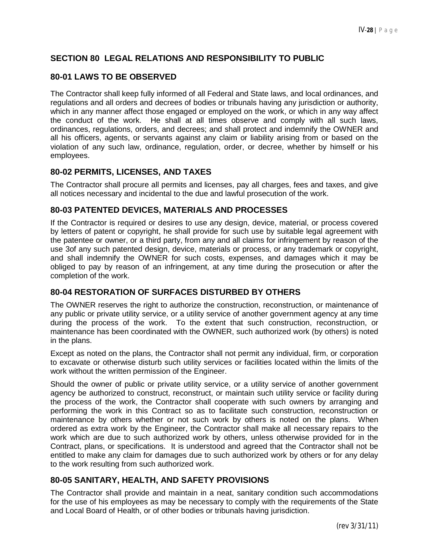# **SECTION 80 LEGAL RELATIONS AND RESPONSIBILITY TO PUBLIC**

# **80-01 LAWS TO BE OBSERVED**

The Contractor shall keep fully informed of all Federal and State laws, and local ordinances, and regulations and all orders and decrees of bodies or tribunals having any jurisdiction or authority, which in any manner affect those engaged or employed on the work, or which in any way affect the conduct of the work. He shall at all times observe and comply with all such laws, ordinances, regulations, orders, and decrees; and shall protect and indemnify the OWNER and all his officers, agents, or servants against any claim or liability arising from or based on the violation of any such law, ordinance, regulation, order, or decree, whether by himself or his employees.

# **80-02 PERMITS, LICENSES, AND TAXES**

The Contractor shall procure all permits and licenses, pay all charges, fees and taxes, and give all notices necessary and incidental to the due and lawful prosecution of the work.

### **80-03 PATENTED DEVICES, MATERIALS AND PROCESSES**

If the Contractor is required or desires to use any design, device, material, or process covered by letters of patent or copyright, he shall provide for such use by suitable legal agreement with the patentee or owner, or a third party, from any and all claims for infringement by reason of the use 3of any such patented design, device, materials or process, or any trademark or copyright, and shall indemnify the OWNER for such costs, expenses, and damages which it may be obliged to pay by reason of an infringement, at any time during the prosecution or after the completion of the work.

### **80-04 RESTORATION OF SURFACES DISTURBED BY OTHERS**

The OWNER reserves the right to authorize the construction, reconstruction, or maintenance of any public or private utility service, or a utility service of another government agency at any time during the process of the work. To the extent that such construction, reconstruction, or maintenance has been coordinated with the OWNER, such authorized work (by others) is noted in the plans.

Except as noted on the plans, the Contractor shall not permit any individual, firm, or corporation to excavate or otherwise disturb such utility services or facilities located within the limits of the work without the written permission of the Engineer.

Should the owner of public or private utility service, or a utility service of another government agency be authorized to construct, reconstruct, or maintain such utility service or facility during the process of the work, the Contractor shall cooperate with such owners by arranging and performing the work in this Contract so as to facilitate such construction, reconstruction or maintenance by others whether or not such work by others is noted on the plans. When ordered as extra work by the Engineer, the Contractor shall make all necessary repairs to the work which are due to such authorized work by others, unless otherwise provided for in the Contract, plans, or specifications. It is understood and agreed that the Contractor shall not be entitled to make any claim for damages due to such authorized work by others or for any delay to the work resulting from such authorized work.

### **80-05 SANITARY, HEALTH, AND SAFETY PROVISIONS**

The Contractor shall provide and maintain in a neat, sanitary condition such accommodations for the use of his employees as may be necessary to comply with the requirements of the State and Local Board of Health, or of other bodies or tribunals having jurisdiction.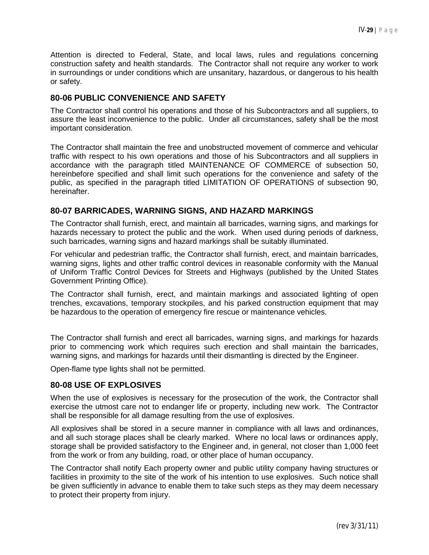Attention is directed to Federal, State, and local laws, rules and regulations concerning construction safety and health standards. The Contractor shall not require any worker to work in surroundings or under conditions which are unsanitary, hazardous, or dangerous to his health or safety.

### **80-06 PUBLIC CONVENIENCE AND SAFETY**

The Contractor shall control his operations and those of his Subcontractors and all suppliers, to assure the least inconvenience to the public. Under all circumstances, safety shall be the most important consideration.

The Contractor shall maintain the free and unobstructed movement of commerce and vehicular traffic with respect to his own operations and those of his Subcontractors and all suppliers in accordance with the paragraph titled MAINTENANCE OF COMMERCE of subsection 50, hereinbefore specified and shall limit such operations for the convenience and safety of the public, as specified in the paragraph titled LIMITATION OF OPERATIONS of subsection 90, hereinafter.

# **80-07 BARRICADES, WARNING SIGNS, AND HAZARD MARKINGS**

The Contractor shall furnish, erect, and maintain all barricades, warning signs, and markings for hazards necessary to protect the public and the work. When used during periods of darkness, such barricades, warning signs and hazard markings shall be suitably illuminated.

For vehicular and pedestrian traffic, the Contractor shall furnish, erect, and maintain barricades, warning signs, lights and other traffic control devices in reasonable conformity with the Manual of Uniform Traffic Control Devices for Streets and Highways (published by the United States Government Printing Office).

The Contractor shall furnish, erect, and maintain markings and associated lighting of open trenches, excavations, temporary stockpiles, and his parked construction equipment that may be hazardous to the operation of emergency fire rescue or maintenance vehicles.

The Contractor shall furnish and erect all barricades, warning signs, and markings for hazards prior to commencing work which requires such erection and shall maintain the barricades, warning signs, and markings for hazards until their dismantling is directed by the Engineer.

Open-flame type lights shall not be permitted.

### **80-08 USE OF EXPLOSIVES**

When the use of explosives is necessary for the prosecution of the work, the Contractor shall exercise the utmost care not to endanger life or property, including new work. The Contractor shall be responsible for all damage resulting from the use of explosives.

All explosives shall be stored in a secure manner in compliance with all laws and ordinances, and all such storage places shall be clearly marked. Where no local laws or ordinances apply, storage shall be provided satisfactory to the Engineer and, in general, not closer than 1,000 feet from the work or from any building, road, or other place of human occupancy.

The Contractor shall notify Each property owner and public utility company having structures or facilities in proximity to the site of the work of his intention to use explosives. Such notice shall be given sufficiently in advance to enable them to take such steps as they may deem necessary to protect their property from injury.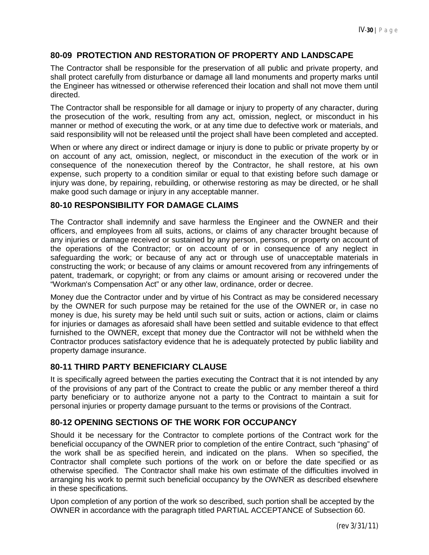# **80-09 PROTECTION AND RESTORATION OF PROPERTY AND LANDSCAPE**

The Contractor shall be responsible for the preservation of all public and private property, and shall protect carefully from disturbance or damage all land monuments and property marks until the Engineer has witnessed or otherwise referenced their location and shall not move them until directed.

The Contractor shall be responsible for all damage or injury to property of any character, during the prosecution of the work, resulting from any act, omission, neglect, or misconduct in his manner or method of executing the work, or at any time due to defective work or materials, and said responsibility will not be released until the project shall have been completed and accepted.

When or where any direct or indirect damage or injury is done to public or private property by or on account of any act, omission, neglect, or misconduct in the execution of the work or in consequence of the nonexecution thereof by the Contractor, he shall restore, at his own expense, such property to a condition similar or equal to that existing before such damage or injury was done, by repairing, rebuilding, or otherwise restoring as may be directed, or he shall make good such damage or injury in any acceptable manner.

# **80-10 RESPONSIBILITY FOR DAMAGE CLAIMS**

The Contractor shall indemnify and save harmless the Engineer and the OWNER and their officers, and employees from all suits, actions, or claims of any character brought because of any injuries or damage received or sustained by any person, persons, or property on account of the operations of the Contractor; or on account of or in consequence of any neglect in safeguarding the work; or because of any act or through use of unacceptable materials in constructing the work; or because of any claims or amount recovered from any infringements of patent, trademark, or copyright; or from any claims or amount arising or recovered under the "Workman's Compensation Act" or any other law, ordinance, order or decree.

Money due the Contractor under and by virtue of his Contract as may be considered necessary by the OWNER for such purpose may be retained for the use of the OWNER or, in case no money is due, his surety may be held until such suit or suits, action or actions, claim or claims for injuries or damages as aforesaid shall have been settled and suitable evidence to that effect furnished to the OWNER, except that money due the Contractor will not be withheld when the Contractor produces satisfactory evidence that he is adequately protected by public liability and property damage insurance.

# **80-11 THIRD PARTY BENEFICIARY CLAUSE**

It is specifically agreed between the parties executing the Contract that it is not intended by any of the provisions of any part of the Contract to create the public or any member thereof a third party beneficiary or to authorize anyone not a party to the Contract to maintain a suit for personal injuries or property damage pursuant to the terms or provisions of the Contract.

# **80-12 OPENING SECTIONS OF THE WORK FOR OCCUPANCY**

Should it be necessary for the Contractor to complete portions of the Contract work for the beneficial occupancy of the OWNER prior to completion of the entire Contract, such "phasing" of the work shall be as specified herein, and indicated on the plans. When so specified, the Contractor shall complete such portions of the work on or before the date specified or as otherwise specified. The Contractor shall make his own estimate of the difficulties involved in arranging his work to permit such beneficial occupancy by the OWNER as described elsewhere in these specifications.

Upon completion of any portion of the work so described, such portion shall be accepted by the OWNER in accordance with the paragraph titled PARTIAL ACCEPTANCE of Subsection 60.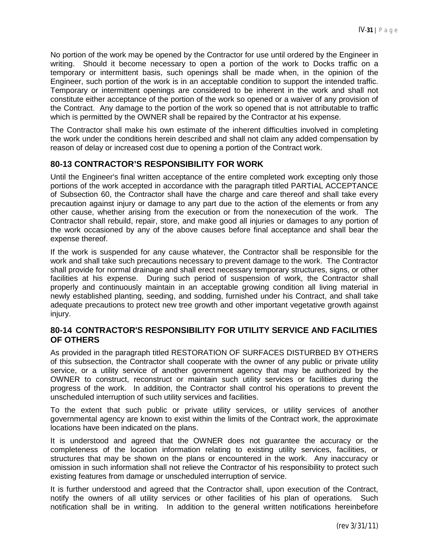No portion of the work may be opened by the Contractor for use until ordered by the Engineer in writing. Should it become necessary to open a portion of the work to Docks traffic on a temporary or intermittent basis, such openings shall be made when, in the opinion of the Engineer, such portion of the work is in an acceptable condition to support the intended traffic. Temporary or intermittent openings are considered to be inherent in the work and shall not constitute either acceptance of the portion of the work so opened or a waiver of any provision of the Contract. Any damage to the portion of the work so opened that is not attributable to traffic which is permitted by the OWNER shall be repaired by the Contractor at his expense.

The Contractor shall make his own estimate of the inherent difficulties involved in completing the work under the conditions herein described and shall not claim any added compensation by reason of delay or increased cost due to opening a portion of the Contract work.

# **80-13 CONTRACTOR'S RESPONSIBILITY FOR WORK**

Until the Engineer's final written acceptance of the entire completed work excepting only those portions of the work accepted in accordance with the paragraph titled PARTIAL ACCEPTANCE of Subsection 60, the Contractor shall have the charge and care thereof and shall take every precaution against injury or damage to any part due to the action of the elements or from any other cause, whether arising from the execution or from the nonexecution of the work. The Contractor shall rebuild, repair, store, and make good all injuries or damages to any portion of the work occasioned by any of the above causes before final acceptance and shall bear the expense thereof.

If the work is suspended for any cause whatever, the Contractor shall be responsible for the work and shall take such precautions necessary to prevent damage to the work. The Contractor shall provide for normal drainage and shall erect necessary temporary structures, signs, or other facilities at his expense. During such period of suspension of work, the Contractor shall properly and continuously maintain in an acceptable growing condition all living material in newly established planting, seeding, and sodding, furnished under his Contract, and shall take adequate precautions to protect new tree growth and other important vegetative growth against injury.

### **80-14 CONTRACTOR'S RESPONSIBILITY FOR UTILITY SERVICE AND FACILITIES OF OTHERS**

As provided in the paragraph titled RESTORATION OF SURFACES DISTURBED BY OTHERS of this subsection, the Contractor shall cooperate with the owner of any public or private utility service, or a utility service of another government agency that may be authorized by the OWNER to construct, reconstruct or maintain such utility services or facilities during the progress of the work. In addition, the Contractor shall control his operations to prevent the unscheduled interruption of such utility services and facilities.

To the extent that such public or private utility services, or utility services of another governmental agency are known to exist within the limits of the Contract work, the approximate locations have been indicated on the plans.

It is understood and agreed that the OWNER does not guarantee the accuracy or the completeness of the location information relating to existing utility services, facilities, or structures that may be shown on the plans or encountered in the work. Any inaccuracy or omission in such information shall not relieve the Contractor of his responsibility to protect such existing features from damage or unscheduled interruption of service.

It is further understood and agreed that the Contractor shall, upon execution of the Contract, notify the owners of all utility services or other facilities of his plan of operations. Such notification shall be in writing. In addition to the general written notifications hereinbefore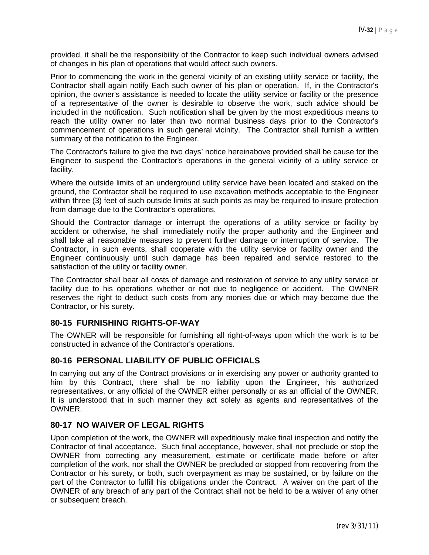provided, it shall be the responsibility of the Contractor to keep such individual owners advised of changes in his plan of operations that would affect such owners.

Prior to commencing the work in the general vicinity of an existing utility service or facility, the Contractor shall again notify Each such owner of his plan or operation. If, in the Contractor's opinion, the owner's assistance is needed to locate the utility service or facility or the presence of a representative of the owner is desirable to observe the work, such advice should be included in the notification. Such notification shall be given by the most expeditious means to reach the utility owner no later than two normal business days prior to the Contractor's commencement of operations in such general vicinity. The Contractor shall furnish a written summary of the notification to the Engineer.

The Contractor's failure to give the two days' notice hereinabove provided shall be cause for the Engineer to suspend the Contractor's operations in the general vicinity of a utility service or facility.

Where the outside limits of an underground utility service have been located and staked on the ground, the Contractor shall be required to use excavation methods acceptable to the Engineer within three (3) feet of such outside limits at such points as may be required to insure protection from damage due to the Contractor's operations.

Should the Contractor damage or interrupt the operations of a utility service or facility by accident or otherwise, he shall immediately notify the proper authority and the Engineer and shall take all reasonable measures to prevent further damage or interruption of service. The Contractor, in such events, shall cooperate with the utility service or facility owner and the Engineer continuously until such damage has been repaired and service restored to the satisfaction of the utility or facility owner.

The Contractor shall bear all costs of damage and restoration of service to any utility service or facility due to his operations whether or not due to negligence or accident. The OWNER reserves the right to deduct such costs from any monies due or which may become due the Contractor, or his surety.

### **80-15 FURNISHING RIGHTS-OF-WAY**

The OWNER will be responsible for furnishing all right-of-ways upon which the work is to be constructed in advance of the Contractor's operations.

### **80-16 PERSONAL LIABILITY OF PUBLIC OFFICIALS**

In carrying out any of the Contract provisions or in exercising any power or authority granted to him by this Contract, there shall be no liability upon the Engineer, his authorized representatives, or any official of the OWNER either personally or as an official of the OWNER. It is understood that in such manner they act solely as agents and representatives of the OWNER.

### **80-17 NO WAIVER OF LEGAL RIGHTS**

Upon completion of the work, the OWNER will expeditiously make final inspection and notify the Contractor of final acceptance. Such final acceptance, however, shall not preclude or stop the OWNER from correcting any measurement, estimate or certificate made before or after completion of the work, nor shall the OWNER be precluded or stopped from recovering from the Contractor or his surety, or both, such overpayment as may be sustained, or by failure on the part of the Contractor to fulfill his obligations under the Contract. A waiver on the part of the OWNER of any breach of any part of the Contract shall not be held to be a waiver of any other or subsequent breach.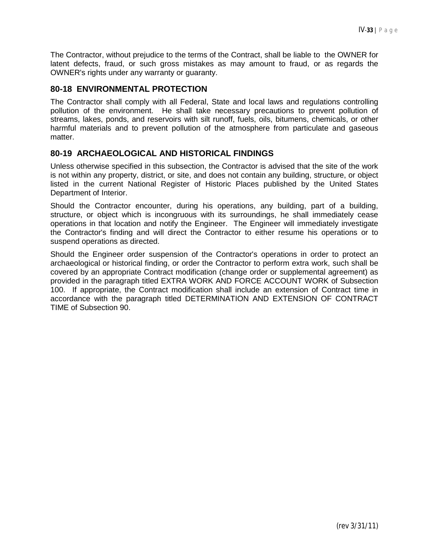The Contractor, without prejudice to the terms of the Contract, shall be liable to the OWNER for latent defects, fraud, or such gross mistakes as may amount to fraud, or as regards the OWNER's rights under any warranty or guaranty.

# **80-18 ENVIRONMENTAL PROTECTION**

The Contractor shall comply with all Federal, State and local laws and regulations controlling pollution of the environment. He shall take necessary precautions to prevent pollution of streams, lakes, ponds, and reservoirs with silt runoff, fuels, oils, bitumens, chemicals, or other harmful materials and to prevent pollution of the atmosphere from particulate and gaseous matter.

# **80-19 ARCHAEOLOGICAL AND HISTORICAL FINDINGS**

Unless otherwise specified in this subsection, the Contractor is advised that the site of the work is not within any property, district, or site, and does not contain any building, structure, or object listed in the current National Register of Historic Places published by the United States Department of Interior.

Should the Contractor encounter, during his operations, any building, part of a building, structure, or object which is incongruous with its surroundings, he shall immediately cease operations in that location and notify the Engineer. The Engineer will immediately investigate the Contractor's finding and will direct the Contractor to either resume his operations or to suspend operations as directed.

Should the Engineer order suspension of the Contractor's operations in order to protect an archaeological or historical finding, or order the Contractor to perform extra work, such shall be covered by an appropriate Contract modification (change order or supplemental agreement) as provided in the paragraph titled EXTRA WORK AND FORCE ACCOUNT WORK of Subsection 100. If appropriate, the Contract modification shall include an extension of Contract time in accordance with the paragraph titled DETERMINATION AND EXTENSION OF CONTRACT TIME of Subsection 90.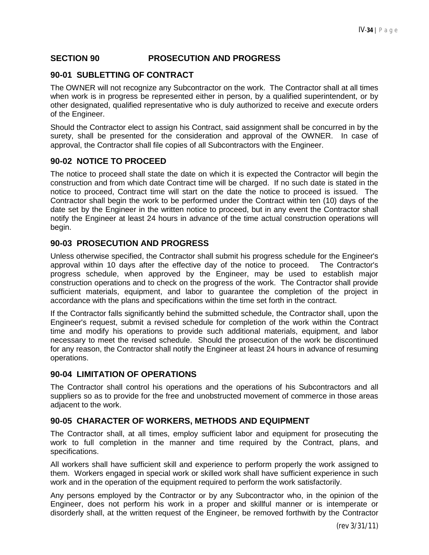# **SECTION 90 PROSECUTION AND PROGRESS**

# **90-01 SUBLETTING OF CONTRACT**

The OWNER will not recognize any Subcontractor on the work. The Contractor shall at all times when work is in progress be represented either in person, by a qualified superintendent, or by other designated, qualified representative who is duly authorized to receive and execute orders of the Engineer.

Should the Contractor elect to assign his Contract, said assignment shall be concurred in by the surety, shall be presented for the consideration and approval of the OWNER. In case of approval, the Contractor shall file copies of all Subcontractors with the Engineer.

# **90-02 NOTICE TO PROCEED**

The notice to proceed shall state the date on which it is expected the Contractor will begin the construction and from which date Contract time will be charged. If no such date is stated in the notice to proceed, Contract time will start on the date the notice to proceed is issued. The Contractor shall begin the work to be performed under the Contract within ten (10) days of the date set by the Engineer in the written notice to proceed, but in any event the Contractor shall notify the Engineer at least 24 hours in advance of the time actual construction operations will begin.

# **90-03 PROSECUTION AND PROGRESS**

Unless otherwise specified, the Contractor shall submit his progress schedule for the Engineer's approval within 10 days after the effective day of the notice to proceed. The Contractor's progress schedule, when approved by the Engineer, may be used to establish major construction operations and to check on the progress of the work. The Contractor shall provide sufficient materials, equipment, and labor to guarantee the completion of the project in accordance with the plans and specifications within the time set forth in the contract.

If the Contractor falls significantly behind the submitted schedule, the Contractor shall, upon the Engineer's request, submit a revised schedule for completion of the work within the Contract time and modify his operations to provide such additional materials, equipment, and labor necessary to meet the revised schedule. Should the prosecution of the work be discontinued for any reason, the Contractor shall notify the Engineer at least 24 hours in advance of resuming operations.

### **90-04 LIMITATION OF OPERATIONS**

The Contractor shall control his operations and the operations of his Subcontractors and all suppliers so as to provide for the free and unobstructed movement of commerce in those areas adjacent to the work.

# **90-05 CHARACTER OF WORKERS, METHODS AND EQUIPMENT**

The Contractor shall, at all times, employ sufficient labor and equipment for prosecuting the work to full completion in the manner and time required by the Contract, plans, and specifications.

All workers shall have sufficient skill and experience to perform properly the work assigned to them. Workers engaged in special work or skilled work shall have sufficient experience in such work and in the operation of the equipment required to perform the work satisfactorily.

Any persons employed by the Contractor or by any Subcontractor who, in the opinion of the Engineer, does not perform his work in a proper and skillful manner or is intemperate or disorderly shall, at the written request of the Engineer, be removed forthwith by the Contractor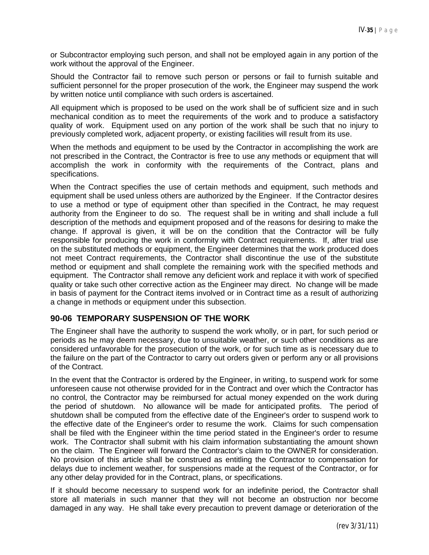or Subcontractor employing such person, and shall not be employed again in any portion of the work without the approval of the Engineer.

Should the Contractor fail to remove such person or persons or fail to furnish suitable and sufficient personnel for the proper prosecution of the work, the Engineer may suspend the work by written notice until compliance with such orders is ascertained.

All equipment which is proposed to be used on the work shall be of sufficient size and in such mechanical condition as to meet the requirements of the work and to produce a satisfactory quality of work. Equipment used on any portion of the work shall be such that no injury to previously completed work, adjacent property, or existing facilities will result from its use.

When the methods and equipment to be used by the Contractor in accomplishing the work are not prescribed in the Contract, the Contractor is free to use any methods or equipment that will accomplish the work in conformity with the requirements of the Contract, plans and specifications.

When the Contract specifies the use of certain methods and equipment, such methods and equipment shall be used unless others are authorized by the Engineer. If the Contractor desires to use a method or type of equipment other than specified in the Contract, he may request authority from the Engineer to do so. The request shall be in writing and shall include a full description of the methods and equipment proposed and of the reasons for desiring to make the change. If approval is given, it will be on the condition that the Contractor will be fully responsible for producing the work in conformity with Contract requirements. If, after trial use on the substituted methods or equipment, the Engineer determines that the work produced does not meet Contract requirements, the Contractor shall discontinue the use of the substitute method or equipment and shall complete the remaining work with the specified methods and equipment. The Contractor shall remove any deficient work and replace it with work of specified quality or take such other corrective action as the Engineer may direct. No change will be made in basis of payment for the Contract items involved or in Contract time as a result of authorizing a change in methods or equipment under this subsection.

### **90-06 TEMPORARY SUSPENSION OF THE WORK**

The Engineer shall have the authority to suspend the work wholly, or in part, for such period or periods as he may deem necessary, due to unsuitable weather, or such other conditions as are considered unfavorable for the prosecution of the work, or for such time as is necessary due to the failure on the part of the Contractor to carry out orders given or perform any or all provisions of the Contract.

In the event that the Contractor is ordered by the Engineer, in writing, to suspend work for some unforeseen cause not otherwise provided for in the Contract and over which the Contractor has no control, the Contractor may be reimbursed for actual money expended on the work during the period of shutdown. No allowance will be made for anticipated profits. The period of shutdown shall be computed from the effective date of the Engineer's order to suspend work to the effective date of the Engineer's order to resume the work. Claims for such compensation shall be filed with the Engineer within the time period stated in the Engineer's order to resume work. The Contractor shall submit with his claim information substantiating the amount shown on the claim. The Engineer will forward the Contractor's claim to the OWNER for consideration. No provision of this article shall be construed as entitling the Contractor to compensation for delays due to inclement weather, for suspensions made at the request of the Contractor, or for any other delay provided for in the Contract, plans, or specifications.

If it should become necessary to suspend work for an indefinite period, the Contractor shall store all materials in such manner that they will not become an obstruction nor become damaged in any way. He shall take every precaution to prevent damage or deterioration of the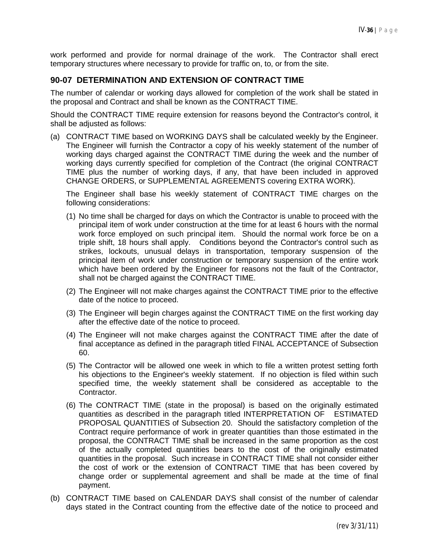work performed and provide for normal drainage of the work. The Contractor shall erect temporary structures where necessary to provide for traffic on, to, or from the site.

# **90-07 DETERMINATION AND EXTENSION OF CONTRACT TIME**

The number of calendar or working days allowed for completion of the work shall be stated in the proposal and Contract and shall be known as the CONTRACT TIME.

Should the CONTRACT TIME require extension for reasons beyond the Contractor's control, it shall be adjusted as follows:

(a) CONTRACT TIME based on WORKING DAYS shall be calculated weekly by the Engineer. The Engineer will furnish the Contractor a copy of his weekly statement of the number of working days charged against the CONTRACT TIME during the week and the number of working days currently specified for completion of the Contract (the original CONTRACT TIME plus the number of working days, if any, that have been included in approved CHANGE ORDERS, or SUPPLEMENTAL AGREEMENTS covering EXTRA WORK).

The Engineer shall base his weekly statement of CONTRACT TIME charges on the following considerations:

- (1) No time shall be charged for days on which the Contractor is unable to proceed with the principal item of work under construction at the time for at least 6 hours with the normal work force employed on such principal item. Should the normal work force be on a triple shift, 18 hours shall apply. Conditions beyond the Contractor's control such as strikes, lockouts, unusual delays in transportation, temporary suspension of the principal item of work under construction or temporary suspension of the entire work which have been ordered by the Engineer for reasons not the fault of the Contractor, shall not be charged against the CONTRACT TIME.
- (2) The Engineer will not make charges against the CONTRACT TIME prior to the effective date of the notice to proceed.
- (3) The Engineer will begin charges against the CONTRACT TIME on the first working day after the effective date of the notice to proceed.
- (4) The Engineer will not make charges against the CONTRACT TIME after the date of final acceptance as defined in the paragraph titled FINAL ACCEPTANCE of Subsection 60.
- (5) The Contractor will be allowed one week in which to file a written protest setting forth his objections to the Engineer's weekly statement. If no objection is filed within such specified time, the weekly statement shall be considered as acceptable to the Contractor.
- (6) The CONTRACT TIME (state in the proposal) is based on the originally estimated quantities as described in the paragraph titled INTERPRETATION OF ESTIMATED PROPOSAL QUANTITIES of Subsection 20. Should the satisfactory completion of the Contract require performance of work in greater quantities than those estimated in the proposal, the CONTRACT TIME shall be increased in the same proportion as the cost of the actually completed quantities bears to the cost of the originally estimated quantities in the proposal. Such increase in CONTRACT TIME shall not consider either the cost of work or the extension of CONTRACT TIME that has been covered by change order or supplemental agreement and shall be made at the time of final payment.
- (b) CONTRACT TIME based on CALENDAR DAYS shall consist of the number of calendar days stated in the Contract counting from the effective date of the notice to proceed and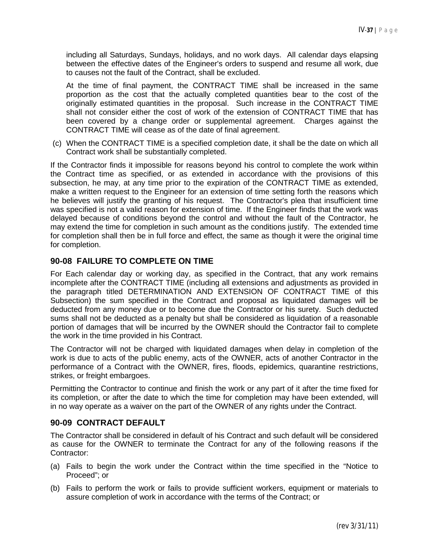including all Saturdays, Sundays, holidays, and no work days. All calendar days elapsing between the effective dates of the Engineer's orders to suspend and resume all work, due to causes not the fault of the Contract, shall be excluded.

At the time of final payment, the CONTRACT TIME shall be increased in the same proportion as the cost that the actually completed quantities bear to the cost of the originally estimated quantities in the proposal. Such increase in the CONTRACT TIME shall not consider either the cost of work of the extension of CONTRACT TIME that has been covered by a change order or supplemental agreement. Charges against the CONTRACT TIME will cease as of the date of final agreement.

(c) When the CONTRACT TIME is a specified completion date, it shall be the date on which all Contract work shall be substantially completed.

If the Contractor finds it impossible for reasons beyond his control to complete the work within the Contract time as specified, or as extended in accordance with the provisions of this subsection, he may, at any time prior to the expiration of the CONTRACT TIME as extended, make a written request to the Engineer for an extension of time setting forth the reasons which he believes will justify the granting of his request. The Contractor's plea that insufficient time was specified is not a valid reason for extension of time. If the Engineer finds that the work was delayed because of conditions beyond the control and without the fault of the Contractor, he may extend the time for completion in such amount as the conditions justify. The extended time for completion shall then be in full force and effect, the same as though it were the original time for completion.

### **90-08 FAILURE TO COMPLETE ON TIME**

For Each calendar day or working day, as specified in the Contract, that any work remains incomplete after the CONTRACT TIME (including all extensions and adjustments as provided in the paragraph titled DETERMINATION AND EXTENSION OF CONTRACT TIME of this Subsection) the sum specified in the Contract and proposal as liquidated damages will be deducted from any money due or to become due the Contractor or his surety. Such deducted sums shall not be deducted as a penalty but shall be considered as liquidation of a reasonable portion of damages that will be incurred by the OWNER should the Contractor fail to complete the work in the time provided in his Contract.

The Contractor will not be charged with liquidated damages when delay in completion of the work is due to acts of the public enemy, acts of the OWNER, acts of another Contractor in the performance of a Contract with the OWNER, fires, floods, epidemics, quarantine restrictions, strikes, or freight embargoes.

Permitting the Contractor to continue and finish the work or any part of it after the time fixed for its completion, or after the date to which the time for completion may have been extended, will in no way operate as a waiver on the part of the OWNER of any rights under the Contract.

### **90-09 CONTRACT DEFAULT**

The Contractor shall be considered in default of his Contract and such default will be considered as cause for the OWNER to terminate the Contract for any of the following reasons if the Contractor:

- (a) Fails to begin the work under the Contract within the time specified in the "Notice to Proceed"; or
- (b) Fails to perform the work or fails to provide sufficient workers, equipment or materials to assure completion of work in accordance with the terms of the Contract; or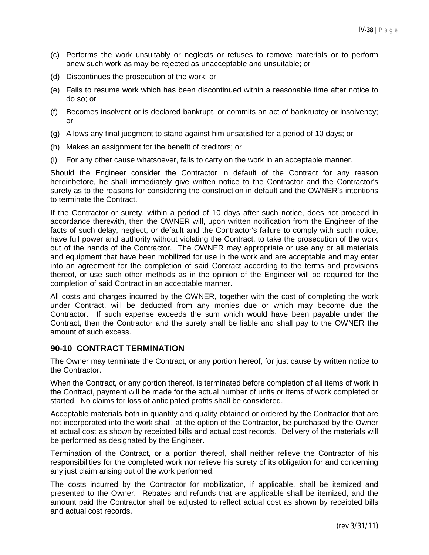- (c) Performs the work unsuitably or neglects or refuses to remove materials or to perform anew such work as may be rejected as unacceptable and unsuitable; or
- (d) Discontinues the prosecution of the work; or
- (e) Fails to resume work which has been discontinued within a reasonable time after notice to do so; or
- (f) Becomes insolvent or is declared bankrupt, or commits an act of bankruptcy or insolvency; or
- (g) Allows any final judgment to stand against him unsatisfied for a period of 10 days; or
- (h) Makes an assignment for the benefit of creditors; or
- (i) For any other cause whatsoever, fails to carry on the work in an acceptable manner.

Should the Engineer consider the Contractor in default of the Contract for any reason hereinbefore, he shall immediately give written notice to the Contractor and the Contractor's surety as to the reasons for considering the construction in default and the OWNER's intentions to terminate the Contract.

If the Contractor or surety, within a period of 10 days after such notice, does not proceed in accordance therewith, then the OWNER will, upon written notification from the Engineer of the facts of such delay, neglect, or default and the Contractor's failure to comply with such notice, have full power and authority without violating the Contract, to take the prosecution of the work out of the hands of the Contractor. The OWNER may appropriate or use any or all materials and equipment that have been mobilized for use in the work and are acceptable and may enter into an agreement for the completion of said Contract according to the terms and provisions thereof, or use such other methods as in the opinion of the Engineer will be required for the completion of said Contract in an acceptable manner.

All costs and charges incurred by the OWNER, together with the cost of completing the work under Contract, will be deducted from any monies due or which may become due the Contractor. If such expense exceeds the sum which would have been payable under the Contract, then the Contractor and the surety shall be liable and shall pay to the OWNER the amount of such excess.

### **90-10 CONTRACT TERMINATION**

The Owner may terminate the Contract, or any portion hereof, for just cause by written notice to the Contractor.

When the Contract, or any portion thereof, is terminated before completion of all items of work in the Contract, payment will be made for the actual number of units or items of work completed or started. No claims for loss of anticipated profits shall be considered.

Acceptable materials both in quantity and quality obtained or ordered by the Contractor that are not incorporated into the work shall, at the option of the Contractor, be purchased by the Owner at actual cost as shown by receipted bills and actual cost records. Delivery of the materials will be performed as designated by the Engineer.

Termination of the Contract, or a portion thereof, shall neither relieve the Contractor of his responsibilities for the completed work nor relieve his surety of its obligation for and concerning any just claim arising out of the work performed.

The costs incurred by the Contractor for mobilization, if applicable, shall be itemized and presented to the Owner. Rebates and refunds that are applicable shall be itemized, and the amount paid the Contractor shall be adjusted to reflect actual cost as shown by receipted bills and actual cost records.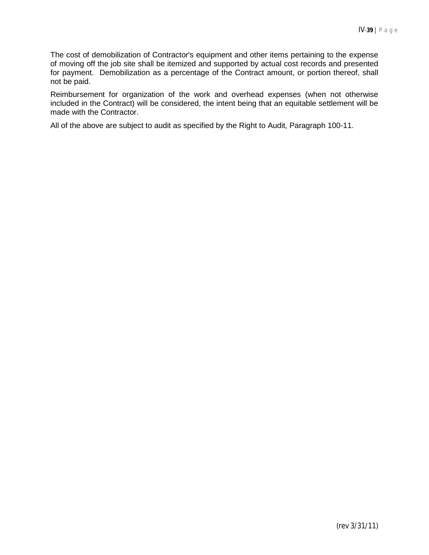The cost of demobilization of Contractor's equipment and other items pertaining to the expense of moving off the job site shall be itemized and supported by actual cost records and presented for payment. Demobilization as a percentage of the Contract amount, or portion thereof, shall not be paid.

Reimbursement for organization of the work and overhead expenses (when not otherwise included in the Contract) will be considered, the intent being that an equitable settlement will be made with the Contractor.

All of the above are subject to audit as specified by the Right to Audit, Paragraph 100-11.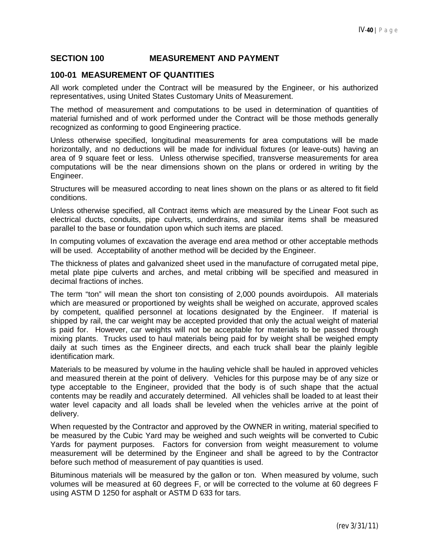# **SECTION 100 MEASUREMENT AND PAYMENT**

### **100-01 MEASUREMENT OF QUANTITIES**

All work completed under the Contract will be measured by the Engineer, or his authorized representatives, using United States Customary Units of Measurement.

The method of measurement and computations to be used in determination of quantities of material furnished and of work performed under the Contract will be those methods generally recognized as conforming to good Engineering practice.

Unless otherwise specified, longitudinal measurements for area computations will be made horizontally, and no deductions will be made for individual fixtures (or leave-outs) having an area of 9 square feet or less. Unless otherwise specified, transverse measurements for area computations will be the near dimensions shown on the plans or ordered in writing by the Engineer.

Structures will be measured according to neat lines shown on the plans or as altered to fit field conditions.

Unless otherwise specified, all Contract items which are measured by the Linear Foot such as electrical ducts, conduits, pipe culverts, underdrains, and similar items shall be measured parallel to the base or foundation upon which such items are placed.

In computing volumes of excavation the average end area method or other acceptable methods will be used. Acceptability of another method will be decided by the Engineer.

The thickness of plates and galvanized sheet used in the manufacture of corrugated metal pipe, metal plate pipe culverts and arches, and metal cribbing will be specified and measured in decimal fractions of inches.

The term "ton" will mean the short ton consisting of 2,000 pounds avoirdupois. All materials which are measured or proportioned by weights shall be weighed on accurate, approved scales by competent, qualified personnel at locations designated by the Engineer. If material is shipped by rail, the car weight may be accepted provided that only the actual weight of material is paid for. However, car weights will not be acceptable for materials to be passed through mixing plants. Trucks used to haul materials being paid for by weight shall be weighed empty daily at such times as the Engineer directs, and each truck shall bear the plainly legible identification mark.

Materials to be measured by volume in the hauling vehicle shall be hauled in approved vehicles and measured therein at the point of delivery. Vehicles for this purpose may be of any size or type acceptable to the Engineer, provided that the body is of such shape that the actual contents may be readily and accurately determined. All vehicles shall be loaded to at least their water level capacity and all loads shall be leveled when the vehicles arrive at the point of delivery.

When requested by the Contractor and approved by the OWNER in writing, material specified to be measured by the Cubic Yard may be weighed and such weights will be converted to Cubic Yards for payment purposes. Factors for conversion from weight measurement to volume measurement will be determined by the Engineer and shall be agreed to by the Contractor before such method of measurement of pay quantities is used.

Bituminous materials will be measured by the gallon or ton. When measured by volume, such volumes will be measured at 60 degrees F, or will be corrected to the volume at 60 degrees F using ASTM D 1250 for asphalt or ASTM D 633 for tars.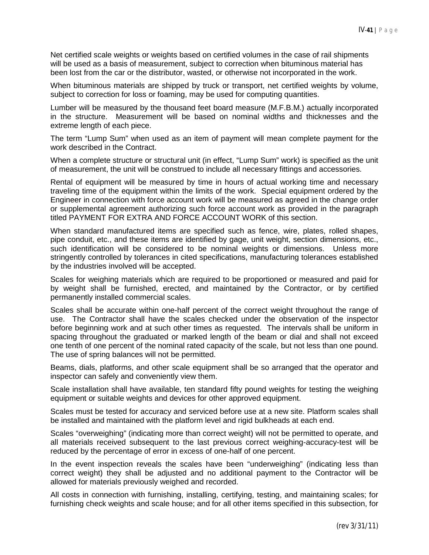Net certified scale weights or weights based on certified volumes in the case of rail shipments will be used as a basis of measurement, subject to correction when bituminous material has been lost from the car or the distributor, wasted, or otherwise not incorporated in the work.

When bituminous materials are shipped by truck or transport, net certified weights by volume, subject to correction for loss or foaming, may be used for computing quantities.

Lumber will be measured by the thousand feet board measure (M.F.B.M.) actually incorporated in the structure. Measurement will be based on nominal widths and thicknesses and the extreme length of each piece.

The term "Lump Sum" when used as an item of payment will mean complete payment for the work described in the Contract.

When a complete structure or structural unit (in effect, "Lump Sum" work) is specified as the unit of measurement, the unit will be construed to include all necessary fittings and accessories.

Rental of equipment will be measured by time in hours of actual working time and necessary traveling time of the equipment within the limits of the work. Special equipment ordered by the Engineer in connection with force account work will be measured as agreed in the change order or supplemental agreement authorizing such force account work as provided in the paragraph titled PAYMENT FOR EXTRA AND FORCE ACCOUNT WORK of this section.

When standard manufactured items are specified such as fence, wire, plates, rolled shapes, pipe conduit, etc., and these items are identified by gage, unit weight, section dimensions, etc., such identification will be considered to be nominal weights or dimensions. Unless more stringently controlled by tolerances in cited specifications, manufacturing tolerances established by the industries involved will be accepted.

Scales for weighing materials which are required to be proportioned or measured and paid for by weight shall be furnished, erected, and maintained by the Contractor, or by certified permanently installed commercial scales.

Scales shall be accurate within one-half percent of the correct weight throughout the range of use. The Contractor shall have the scales checked under the observation of the inspector before beginning work and at such other times as requested. The intervals shall be uniform in spacing throughout the graduated or marked length of the beam or dial and shall not exceed one tenth of one percent of the nominal rated capacity of the scale, but not less than one pound. The use of spring balances will not be permitted.

Beams, dials, platforms, and other scale equipment shall be so arranged that the operator and inspector can safely and conveniently view them.

Scale installation shall have available, ten standard fifty pound weights for testing the weighing equipment or suitable weights and devices for other approved equipment.

Scales must be tested for accuracy and serviced before use at a new site. Platform scales shall be installed and maintained with the platform level and rigid bulkheads at each end.

Scales "overweighing" (indicating more than correct weight) will not be permitted to operate, and all materials received subsequent to the last previous correct weighing-accuracy-test will be reduced by the percentage of error in excess of one-half of one percent.

In the event inspection reveals the scales have been "underweighing" (indicating less than correct weight) they shall be adjusted and no additional payment to the Contractor will be allowed for materials previously weighed and recorded.

All costs in connection with furnishing, installing, certifying, testing, and maintaining scales; for furnishing check weights and scale house; and for all other items specified in this subsection, for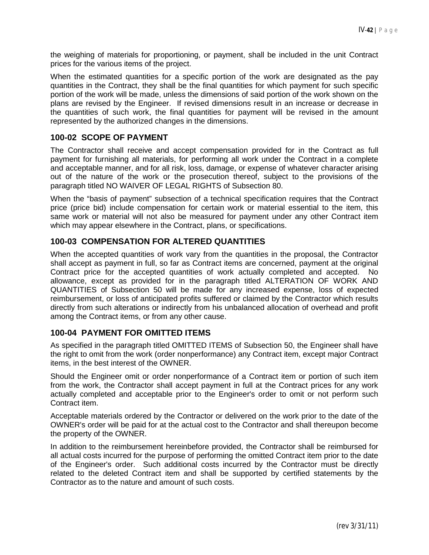the weighing of materials for proportioning, or payment, shall be included in the unit Contract prices for the various items of the project.

When the estimated quantities for a specific portion of the work are designated as the pay quantities in the Contract, they shall be the final quantities for which payment for such specific portion of the work will be made, unless the dimensions of said portion of the work shown on the plans are revised by the Engineer. If revised dimensions result in an increase or decrease in the quantities of such work, the final quantities for payment will be revised in the amount represented by the authorized changes in the dimensions.

# **100-02 SCOPE OF PAYMENT**

The Contractor shall receive and accept compensation provided for in the Contract as full payment for furnishing all materials, for performing all work under the Contract in a complete and acceptable manner, and for all risk, loss, damage, or expense of whatever character arising out of the nature of the work or the prosecution thereof, subject to the provisions of the paragraph titled NO WAIVER OF LEGAL RIGHTS of Subsection 80.

When the "basis of payment" subsection of a technical specification requires that the Contract price (price bid) include compensation for certain work or material essential to the item, this same work or material will not also be measured for payment under any other Contract item which may appear elsewhere in the Contract, plans, or specifications.

# **100-03 COMPENSATION FOR ALTERED QUANTITIES**

When the accepted quantities of work vary from the quantities in the proposal, the Contractor shall accept as payment in full, so far as Contract items are concerned, payment at the original Contract price for the accepted quantities of work actually completed and accepted. No allowance, except as provided for in the paragraph titled ALTERATION OF WORK AND QUANTITIES of Subsection 50 will be made for any increased expense, loss of expected reimbursement, or loss of anticipated profits suffered or claimed by the Contractor which results directly from such alterations or indirectly from his unbalanced allocation of overhead and profit among the Contract items, or from any other cause.

# **100-04 PAYMENT FOR OMITTED ITEMS**

As specified in the paragraph titled OMITTED ITEMS of Subsection 50, the Engineer shall have the right to omit from the work (order nonperformance) any Contract item, except major Contract items, in the best interest of the OWNER.

Should the Engineer omit or order nonperformance of a Contract item or portion of such item from the work, the Contractor shall accept payment in full at the Contract prices for any work actually completed and acceptable prior to the Engineer's order to omit or not perform such Contract item.

Acceptable materials ordered by the Contractor or delivered on the work prior to the date of the OWNER's order will be paid for at the actual cost to the Contractor and shall thereupon become the property of the OWNER.

In addition to the reimbursement hereinbefore provided, the Contractor shall be reimbursed for all actual costs incurred for the purpose of performing the omitted Contract item prior to the date of the Engineer's order. Such additional costs incurred by the Contractor must be directly related to the deleted Contract item and shall be supported by certified statements by the Contractor as to the nature and amount of such costs.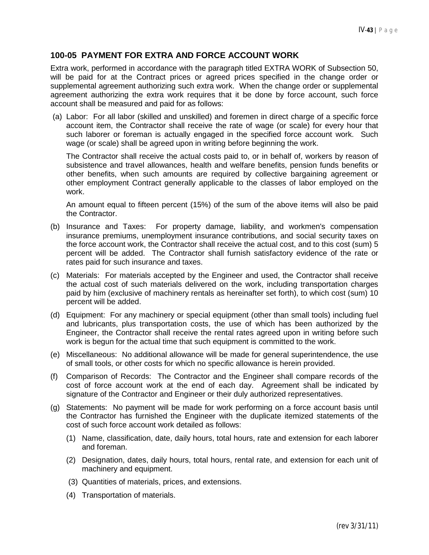# **100-05 PAYMENT FOR EXTRA AND FORCE ACCOUNT WORK**

Extra work, performed in accordance with the paragraph titled EXTRA WORK of Subsection 50, will be paid for at the Contract prices or agreed prices specified in the change order or supplemental agreement authorizing such extra work. When the change order or supplemental agreement authorizing the extra work requires that it be done by force account, such force account shall be measured and paid for as follows:

(a) Labor: For all labor (skilled and unskilled) and foremen in direct charge of a specific force account item, the Contractor shall receive the rate of wage (or scale) for every hour that such laborer or foreman is actually engaged in the specified force account work. Such wage (or scale) shall be agreed upon in writing before beginning the work.

The Contractor shall receive the actual costs paid to, or in behalf of, workers by reason of subsistence and travel allowances, health and welfare benefits, pension funds benefits or other benefits, when such amounts are required by collective bargaining agreement or other employment Contract generally applicable to the classes of labor employed on the work.

An amount equal to fifteen percent (15%) of the sum of the above items will also be paid the Contractor.

- (b) Insurance and Taxes: For property damage, liability, and workmen's compensation insurance premiums, unemployment insurance contributions, and social security taxes on the force account work, the Contractor shall receive the actual cost, and to this cost (sum) 5 percent will be added. The Contractor shall furnish satisfactory evidence of the rate or rates paid for such insurance and taxes.
- (c) Materials: For materials accepted by the Engineer and used, the Contractor shall receive the actual cost of such materials delivered on the work, including transportation charges paid by him (exclusive of machinery rentals as hereinafter set forth), to which cost (sum) 10 percent will be added.
- (d) Equipment: For any machinery or special equipment (other than small tools) including fuel and lubricants, plus transportation costs, the use of which has been authorized by the Engineer, the Contractor shall receive the rental rates agreed upon in writing before such work is begun for the actual time that such equipment is committed to the work.
- (e) Miscellaneous: No additional allowance will be made for general superintendence, the use of small tools, or other costs for which no specific allowance is herein provided.
- (f) Comparison of Records: The Contractor and the Engineer shall compare records of the cost of force account work at the end of each day. Agreement shall be indicated by signature of the Contractor and Engineer or their duly authorized representatives.
- (g) Statements: No payment will be made for work performing on a force account basis until the Contractor has furnished the Engineer with the duplicate itemized statements of the cost of such force account work detailed as follows:
	- (1) Name, classification, date, daily hours, total hours, rate and extension for each laborer and foreman.
	- (2) Designation, dates, daily hours, total hours, rental rate, and extension for each unit of machinery and equipment.
	- (3) Quantities of materials, prices, and extensions.
	- (4) Transportation of materials.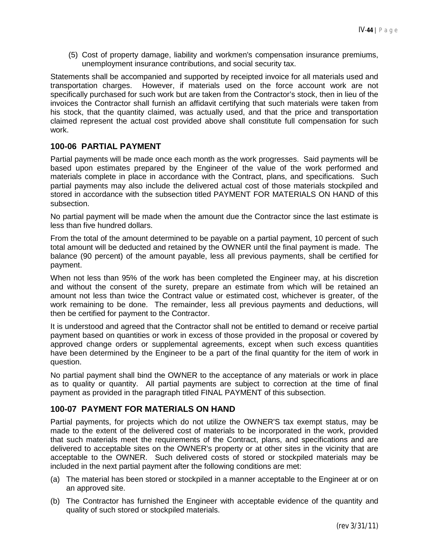(5) Cost of property damage, liability and workmen's compensation insurance premiums, unemployment insurance contributions, and social security tax.

Statements shall be accompanied and supported by receipted invoice for all materials used and transportation charges. However, if materials used on the force account work are not specifically purchased for such work but are taken from the Contractor's stock, then in lieu of the invoices the Contractor shall furnish an affidavit certifying that such materials were taken from his stock, that the quantity claimed, was actually used, and that the price and transportation claimed represent the actual cost provided above shall constitute full compensation for such work.

### **100-06 PARTIAL PAYMENT**

Partial payments will be made once each month as the work progresses. Said payments will be based upon estimates prepared by the Engineer of the value of the work performed and materials complete in place in accordance with the Contract, plans, and specifications. Such partial payments may also include the delivered actual cost of those materials stockpiled and stored in accordance with the subsection titled PAYMENT FOR MATERIALS ON HAND of this subsection.

No partial payment will be made when the amount due the Contractor since the last estimate is less than five hundred dollars.

From the total of the amount determined to be payable on a partial payment, 10 percent of such total amount will be deducted and retained by the OWNER until the final payment is made. The balance (90 percent) of the amount payable, less all previous payments, shall be certified for payment.

When not less than 95% of the work has been completed the Engineer may, at his discretion and without the consent of the surety, prepare an estimate from which will be retained an amount not less than twice the Contract value or estimated cost, whichever is greater, of the work remaining to be done. The remainder, less all previous payments and deductions, will then be certified for payment to the Contractor.

It is understood and agreed that the Contractor shall not be entitled to demand or receive partial payment based on quantities or work in excess of those provided in the proposal or covered by approved change orders or supplemental agreements, except when such excess quantities have been determined by the Engineer to be a part of the final quantity for the item of work in question.

No partial payment shall bind the OWNER to the acceptance of any materials or work in place as to quality or quantity. All partial payments are subject to correction at the time of final payment as provided in the paragraph titled FINAL PAYMENT of this subsection.

### **100-07 PAYMENT FOR MATERIALS ON HAND**

Partial payments, for projects which do not utilize the OWNER'S tax exempt status, may be made to the extent of the delivered cost of materials to be incorporated in the work, provided that such materials meet the requirements of the Contract, plans, and specifications and are delivered to acceptable sites on the OWNER's property or at other sites in the vicinity that are acceptable to the OWNER. Such delivered costs of stored or stockpiled materials may be included in the next partial payment after the following conditions are met:

- (a) The material has been stored or stockpiled in a manner acceptable to the Engineer at or on an approved site.
- (b) The Contractor has furnished the Engineer with acceptable evidence of the quantity and quality of such stored or stockpiled materials.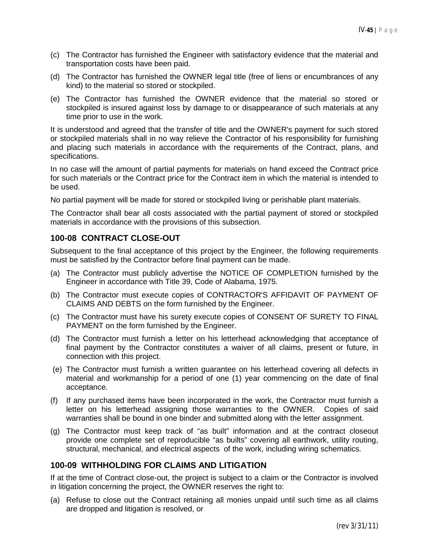- (c) The Contractor has furnished the Engineer with satisfactory evidence that the material and transportation costs have been paid.
- (d) The Contractor has furnished the OWNER legal title (free of liens or encumbrances of any kind) to the material so stored or stockpiled.
- (e) The Contractor has furnished the OWNER evidence that the material so stored or stockpiled is insured against loss by damage to or disappearance of such materials at any time prior to use in the work.

It is understood and agreed that the transfer of title and the OWNER's payment for such stored or stockpiled materials shall in no way relieve the Contractor of his responsibility for furnishing and placing such materials in accordance with the requirements of the Contract, plans, and specifications.

In no case will the amount of partial payments for materials on hand exceed the Contract price for such materials or the Contract price for the Contract item in which the material is intended to be used.

No partial payment will be made for stored or stockpiled living or perishable plant materials.

The Contractor shall bear all costs associated with the partial payment of stored or stockpiled materials in accordance with the provisions of this subsection.

### **100-08 CONTRACT CLOSE-OUT**

Subsequent to the final acceptance of this project by the Engineer, the following requirements must be satisfied by the Contractor before final payment can be made.

- (a) The Contractor must publicly advertise the NOTICE OF COMPLETION furnished by the Engineer in accordance with Title 39, Code of Alabama, 1975.
- (b) The Contractor must execute copies of CONTRACTOR'S AFFIDAVIT OF PAYMENT OF CLAIMS AND DEBTS on the form furnished by the Engineer.
- (c) The Contractor must have his surety execute copies of CONSENT OF SURETY TO FINAL PAYMENT on the form furnished by the Engineer.
- (d) The Contractor must furnish a letter on his letterhead acknowledging that acceptance of final payment by the Contractor constitutes a waiver of all claims, present or future, in connection with this project.
- (e) The Contractor must furnish a written guarantee on his letterhead covering all defects in material and workmanship for a period of one (1) year commencing on the date of final acceptance.
- (f) If any purchased items have been incorporated in the work, the Contractor must furnish a letter on his letterhead assigning those warranties to the OWNER. Copies of said warranties shall be bound in one binder and submitted along with the letter assignment.
- (g) The Contractor must keep track of "as built" information and at the contract closeout provide one complete set of reproducible "as builts" covering all earthwork, utility routing, structural, mechanical, and electrical aspects of the work, including wiring schematics.

# **100-09 WITHHOLDING FOR CLAIMS AND LITIGATION**

If at the time of Contract close-out, the project is subject to a claim or the Contractor is involved in litigation concerning the project, the OWNER reserves the right to:

(a) Refuse to close out the Contract retaining all monies unpaid until such time as all claims are dropped and litigation is resolved, or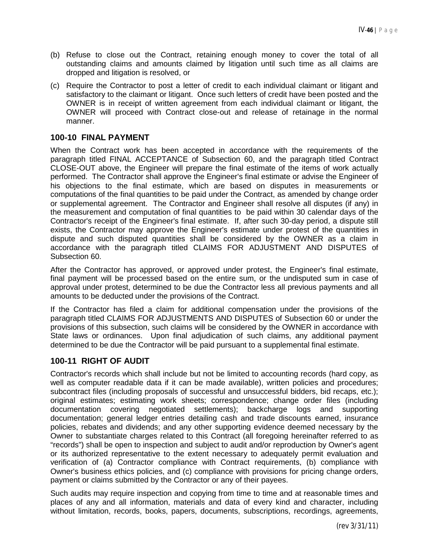- (b) Refuse to close out the Contract, retaining enough money to cover the total of all outstanding claims and amounts claimed by litigation until such time as all claims are dropped and litigation is resolved, or
- (c) Require the Contractor to post a letter of credit to each individual claimant or litigant and satisfactory to the claimant or litigant. Once such letters of credit have been posted and the OWNER is in receipt of written agreement from each individual claimant or litigant, the OWNER will proceed with Contract close-out and release of retainage in the normal manner.

### **100-10 FINAL PAYMENT**

When the Contract work has been accepted in accordance with the requirements of the paragraph titled FINAL ACCEPTANCE of Subsection 60, and the paragraph titled Contract CLOSE-OUT above, the Engineer will prepare the final estimate of the items of work actually performed. The Contractor shall approve the Engineer's final estimate or advise the Engineer of his objections to the final estimate, which are based on disputes in measurements or computations of the final quantities to be paid under the Contract, as amended by change order or supplemental agreement. The Contractor and Engineer shall resolve all disputes (if any) in the measurement and computation of final quantities to be paid within 30 calendar days of the Contractor's receipt of the Engineer's final estimate. If, after such 30-day period, a dispute still exists, the Contractor may approve the Engineer's estimate under protest of the quantities in dispute and such disputed quantities shall be considered by the OWNER as a claim in accordance with the paragraph titled CLAIMS FOR ADJUSTMENT AND DISPUTES of Subsection 60.

After the Contractor has approved, or approved under protest, the Engineer's final estimate, final payment will be processed based on the entire sum, or the undisputed sum in case of approval under protest, determined to be due the Contractor less all previous payments and all amounts to be deducted under the provisions of the Contract.

If the Contractor has filed a claim for additional compensation under the provisions of the paragraph titled CLAIMS FOR ADJUSTMENTS AND DISPUTES of Subsection 60 or under the provisions of this subsection, such claims will be considered by the OWNER in accordance with State laws or ordinances. Upon final adjudication of such claims, any additional payment determined to be due the Contractor will be paid pursuant to a supplemental final estimate.

### **100-11 RIGHT OF AUDIT**

Contractor's records which shall include but not be limited to accounting records (hard copy, as well as computer readable data if it can be made available), written policies and procedures; subcontract files (including proposals of successful and unsuccessful bidders, bid recaps, etc.); original estimates; estimating work sheets; correspondence; change order files (including documentation covering negotiated settlements); backcharge logs and supporting documentation; general ledger entries detailing cash and trade discounts earned, insurance policies, rebates and dividends; and any other supporting evidence deemed necessary by the Owner to substantiate charges related to this Contract (all foregoing hereinafter referred to as "records") shall be open to inspection and subject to audit and/or reproduction by Owner's agent or its authorized representative to the extent necessary to adequately permit evaluation and verification of (a) Contractor compliance with Contract requirements, (b) compliance with Owner's business ethics policies, and (c) compliance with provisions for pricing change orders, payment or claims submitted by the Contractor or any of their payees.

Such audits may require inspection and copying from time to time and at reasonable times and places of any and all information, materials and data of every kind and character, including without limitation, records, books, papers, documents, subscriptions, recordings, agreements,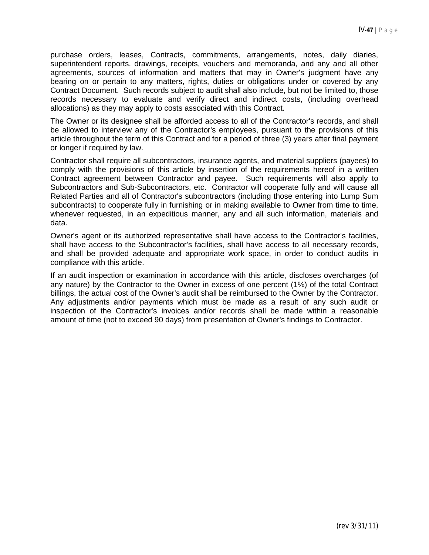purchase orders, leases, Contracts, commitments, arrangements, notes, daily diaries, superintendent reports, drawings, receipts, vouchers and memoranda, and any and all other agreements, sources of information and matters that may in Owner's judgment have any bearing on or pertain to any matters, rights, duties or obligations under or covered by any Contract Document. Such records subject to audit shall also include, but not be limited to, those records necessary to evaluate and verify direct and indirect costs, (including overhead allocations) as they may apply to costs associated with this Contract.

The Owner or its designee shall be afforded access to all of the Contractor's records, and shall be allowed to interview any of the Contractor's employees, pursuant to the provisions of this article throughout the term of this Contract and for a period of three (3) years after final payment or longer if required by law.

Contractor shall require all subcontractors, insurance agents, and material suppliers (payees) to comply with the provisions of this article by insertion of the requirements hereof in a written Contract agreement between Contractor and payee. Such requirements will also apply to Subcontractors and Sub-Subcontractors, etc. Contractor will cooperate fully and will cause all Related Parties and all of Contractor's subcontractors (including those entering into Lump Sum subcontracts) to cooperate fully in furnishing or in making available to Owner from time to time, whenever requested, in an expeditious manner, any and all such information, materials and data.

Owner's agent or its authorized representative shall have access to the Contractor's facilities, shall have access to the Subcontractor's facilities, shall have access to all necessary records, and shall be provided adequate and appropriate work space, in order to conduct audits in compliance with this article.

If an audit inspection or examination in accordance with this article, discloses overcharges (of any nature) by the Contractor to the Owner in excess of one percent (1%) of the total Contract billings, the actual cost of the Owner's audit shall be reimbursed to the Owner by the Contractor. Any adjustments and/or payments which must be made as a result of any such audit or inspection of the Contractor's invoices and/or records shall be made within a reasonable amount of time (not to exceed 90 days) from presentation of Owner's findings to Contractor.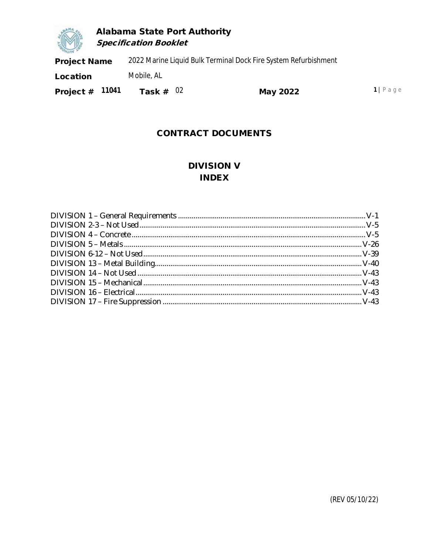

**Project # 11041** Task  $# 02$ 

**May 2022** 

 $1 | P \text{age}$ 

# **CONTRACT DOCUMENTS**

# **DIVISION V INDEX**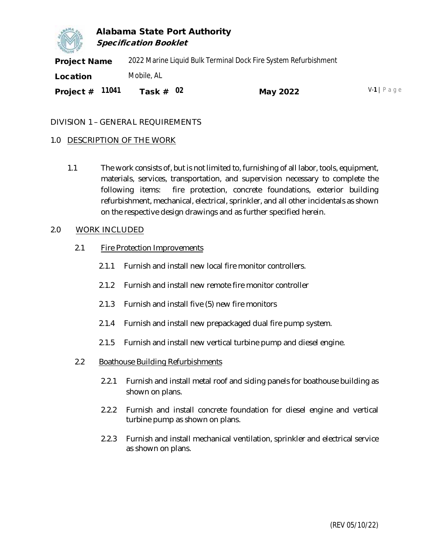

**Project Name** 2022 Marine Liquid Bulk Terminal Dock Fire System Refurbishment **Location** Mobile, AL **Project # 11041 Task # 02 May 2022** V-1 | Page

### DIVISION 1 – GENERAL REQUIREMENTS

#### 1.0 DESCRIPTION OF THE WORK

1.1 The work consists of, but is not limited to, furnishing of all labor, tools, equipment, materials, services, transportation, and supervision necessary to complete the following items: fire protection, concrete foundations, exterior building refurbishment, mechanical, electrical, sprinkler, and all other incidentals as shown on the respective design drawings and as further specified herein.

#### 2.0 WORK INCLUDED

- 2.1 Fire Protection Improvements
	- 2.1.1 Furnish and install new local fire monitor controllers.
	- 2.1.2 Furnish and install new remote fire monitor controller
	- 2.1.3 Furnish and install five (5) new fire monitors
	- 2.1.4 Furnish and install new prepackaged dual fire pump system.
	- 2.1.5 Furnish and install new vertical turbine pump and diesel engine.
- 2.2 Boathouse Building Refurbishments
	- 2.2.1 Furnish and install metal roof and siding panels for boathouse building as shown on plans.
	- 2.2.2 Furnish and install concrete foundation for diesel engine and vertical turbine pump as shown on plans.
	- 2.2.3 Furnish and install mechanical ventilation, sprinkler and electrical service as shown on plans.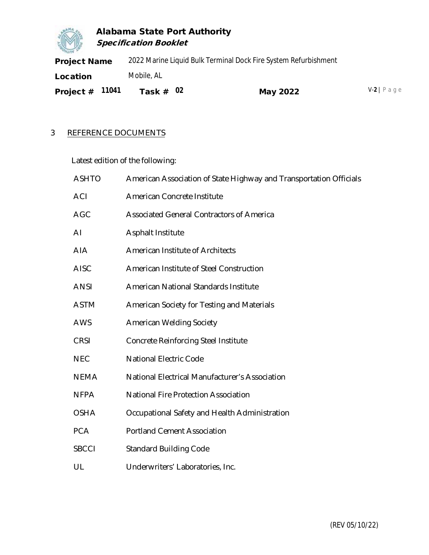

Project Name 2022 Marine Liquid Bulk Terminal Dock Fire System Refurbishment **Location** Mobile, AL Project # **11041** Task # **02** May 2022 V-**2** | Page

# 3 REFERENCE DOCUMENTS

Latest edition of the following:

| <b>ASHTO</b> | American Association of State Highway and Transportation Officials |
|--------------|--------------------------------------------------------------------|
| <b>ACI</b>   | <b>American Concrete Institute</b>                                 |
| <b>AGC</b>   | <b>Associated General Contractors of America</b>                   |
| AI           | <b>Asphalt Institute</b>                                           |
| <b>AIA</b>   | <b>American Institute of Architects</b>                            |
| <b>AISC</b>  | <b>American Institute of Steel Construction</b>                    |
| <b>ANSI</b>  | <b>American National Standards Institute</b>                       |
| <b>ASTM</b>  | <b>American Society for Testing and Materials</b>                  |
| <b>AWS</b>   | <b>American Welding Society</b>                                    |
| <b>CRSI</b>  | <b>Concrete Reinforcing Steel Institute</b>                        |
| <b>NEC</b>   | <b>National Electric Code</b>                                      |
| <b>NEMA</b>  | National Electrical Manufacturer's Association                     |
| <b>NFPA</b>  | <b>National Fire Protection Association</b>                        |
| <b>OSHA</b>  | Occupational Safety and Health Administration                      |
| <b>PCA</b>   | <b>Portland Cement Association</b>                                 |
| <b>SBCCI</b> | <b>Standard Building Code</b>                                      |
| UL           | Underwriters' Laboratories, Inc.                                   |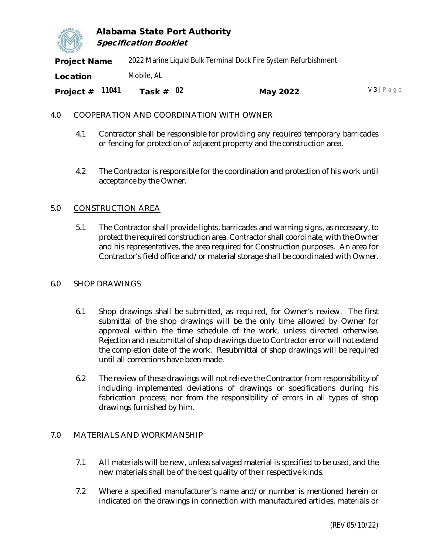

**Project Name** 2022 Marine Liquid Bulk Terminal Dock Fire System Refurbishment **Location** Mobile, AL Project # **11041** Task # **02** May 2022 V-**3** | Page

### 4.0 COOPERATION AND COORDINATION WITH OWNER

- 4.1 Contractor shall be responsible for providing any required temporary barricades or fencing for protection of adjacent property and the construction area.
- 4.2 The Contractor is responsible for the coordination and protection of his work until acceptance by the Owner.

#### 5.0 CONSTRUCTION AREA

5.1 The Contractor shall provide lights, barricades and warning signs, as necessary, to protect the required construction area. Contractor shall coordinate, with the Owner and his representatives, the area required for Construction purposes. An area for Contractor's field office and/or material storage shall be coordinated with Owner.

#### 6.0 SHOP DRAWINGS

- 6.1 Shop drawings shall be submitted, as required, for Owner's review. The first submittal of the shop drawings will be the only time allowed by Owner for approval within the time schedule of the work, unless directed otherwise. Rejection and resubmittal of shop drawings due to Contractor error will not extend the completion date of the work. Resubmittal of shop drawings will be required until all corrections have been made.
- 6.2 The review of these drawings will not relieve the Contractor from responsibility of including implemented deviations of drawings or specifications during his fabrication process; nor from the responsibility of errors in all types of shop drawings furnished by him.

### 7.0 MATERIALS AND WORKMANSHIP

- 7.1 All materials will be new, unless salvaged material is specified to be used, and the new materials shall be of the best quality of their respective kinds.
- 7.2 Where a specified manufacturer's name and/or number is mentioned herein or indicated on the drawings in connection with manufactured articles, materials or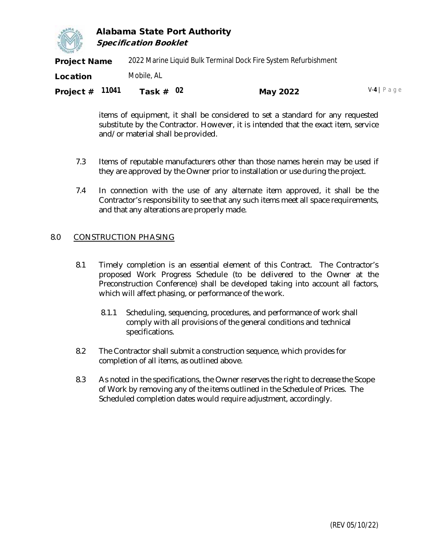

**Location** Mobile, AL

**Project # 11041 Task # 02 May 2022** V-4 | Page

items of equipment, it shall be considered to set a standard for any requested substitute by the Contractor. However, it is intended that the exact item, service and/or material shall be provided.

- 7.3 Items of reputable manufacturers other than those names herein may be used if they are approved by the Owner prior to installation or use during the project.
- 7.4 In connection with the use of any alternate item approved, it shall be the Contractor's responsibility to see that any such items meet all space requirements, and that any alterations are properly made.

### 8.0 CONSTRUCTION PHASING

- 8.1 Timely completion is an essential element of this Contract. The Contractor's proposed Work Progress Schedule (to be delivered to the Owner at the Preconstruction Conference) shall be developed taking into account all factors, which will affect phasing, or performance of the work.
	- 8.1.1 Scheduling, sequencing, procedures, and performance of work shall comply with all provisions of the general conditions and technical specifications.
- 8.2 The Contractor shall submit a construction sequence, which provides for completion of all items, as outlined above.
- 8.3 As noted in the specifications, the Owner reserves the right to decrease the Scope of Work by removing any of the items outlined in the Schedule of Prices. The Scheduled completion dates would require adjustment, accordingly.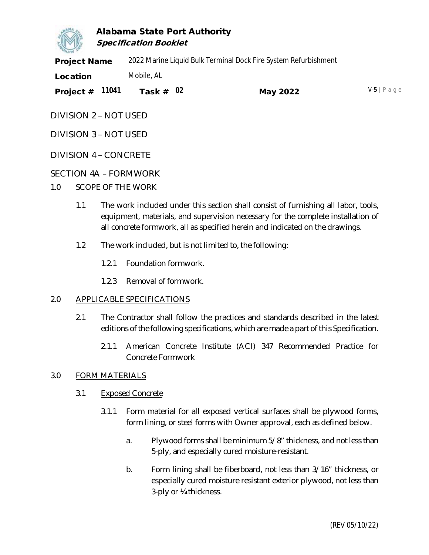

**Project Name** 2022 Marine Liquid Bulk Terminal Dock Fire System Refurbishment

**Location** Mobile, AL

Project # **11041** Task # **02** May 2022 V-**5** | Page

- DIVISION 2 NOT USED
- DIVISION 3 NOT USED

### DIVISION 4 – CONCRETE

### SECTION 4A – FORMWORK

- 1.0 SCOPE OF THE WORK
	- 1.1 The work included under this section shall consist of furnishing all labor, tools, equipment, materials, and supervision necessary for the complete installation of all concrete formwork, all as specified herein and indicated on the drawings.
	- 1.2 The work included, but is not limited to, the following:
		- 1.2.1 Foundation formwork.
		- 1.2.3 Removal of formwork.

### 2.0 APPLICABLE SPECIFICATIONS

- 2.1 The Contractor shall follow the practices and standards described in the latest editions of the following specifications, which are made a part of this Specification.
	- 2.1.1 American Concrete Institute (ACI) 347 Recommended Practice for Concrete Formwork

### 3.0 FORM MATERIALS

- 3.1 Exposed Concrete
	- 3.1.1 Form material for all exposed vertical surfaces shall be plywood forms, form lining, or steel forms with Owner approval, each as defined below.
		- a. Plywood forms shall be minimum 5/8" thickness, and not less than 5-ply, and especially cured moisture-resistant.
		- b. Form lining shall be fiberboard, not less than 3/16" thickness, or especially cured moisture resistant exterior plywood, not less than 3-ply or ¼ thickness.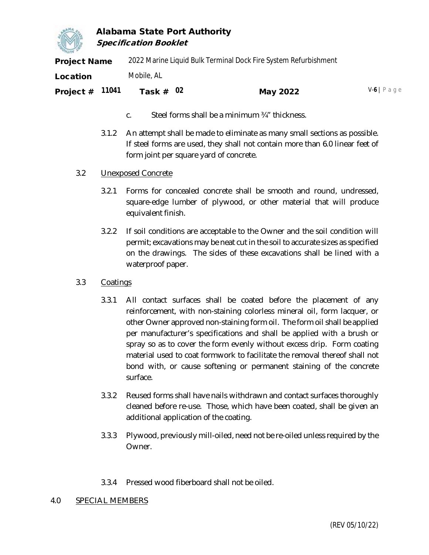

**Project Name** 2022 Marine Liquid Bulk Terminal Dock Fire System Refurbishment

**Location** Mobile, AL

**Project # 11041 Task # 02 May 2022** V-6 | Page

- c. Steel forms shall be a minimum ¾" thickness.
- 3.1.2 An attempt shall be made to eliminate as many small sections as possible. If steel forms are used, they shall not contain more than 6.0 linear feet of form joint per square yard of concrete.

### 3.2 Unexposed Concrete

- 3.2.1 Forms for concealed concrete shall be smooth and round, undressed, square-edge lumber of plywood, or other material that will produce equivalent finish.
- 3.2.2 If soil conditions are acceptable to the Owner and the soil condition will permit; excavations may be neat cut in the soil to accurate sizes as specified on the drawings. The sides of these excavations shall be lined with a waterproof paper.
- 3.3 Coatings
	- 3.3.1 All contact surfaces shall be coated before the placement of any reinforcement, with non-staining colorless mineral oil, form lacquer, or other Owner approved non-staining form oil. The form oil shall be applied per manufacturer's specifications and shall be applied with a brush or spray so as to cover the form evenly without excess drip. Form coating material used to coat formwork to facilitate the removal thereof shall not bond with, or cause softening or permanent staining of the concrete surface.
	- 3.3.2 Reused forms shall have nails withdrawn and contact surfaces thoroughly cleaned before re-use. Those, which have been coated, shall be given an additional application of the coating.
	- 3.3.3 Plywood, previously mill-oiled, need not be re-oiled unless required by the Owner.
	- 3.3.4 Pressed wood fiberboard shall not be oiled.

### 4.0 SPECIAL MEMBERS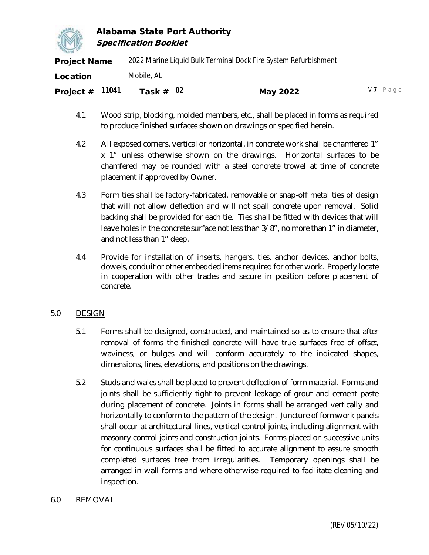

**Project Name** 2022 Marine Liquid Bulk Terminal Dock Fire System Refurbishment

**Location** Mobile, AL

**Project # 11041 Task # 02 May 2022** V-7 | Page

- 4.1 Wood strip, blocking, molded members, etc., shall be placed in forms as required to produce finished surfaces shown on drawings or specified herein.
- 4.2 All exposed corners, vertical or horizontal, in concrete work shall be chamfered 1" x 1" unless otherwise shown on the drawings. Horizontal surfaces to be chamfered may be rounded with a steel concrete trowel at time of concrete placement if approved by Owner.
- 4.3 Form ties shall be factory-fabricated, removable or snap-off metal ties of design that will not allow deflection and will not spall concrete upon removal. Solid backing shall be provided for each tie. Ties shall be fitted with devices that will leave holes in the concrete surface not less than 3/8", no more than 1" in diameter, and not less than 1" deep.
- 4.4 Provide for installation of inserts, hangers, ties, anchor devices, anchor bolts, dowels, conduit or other embedded items required for other work. Properly locate in cooperation with other trades and secure in position before placement of concrete.

### 5.0 DESIGN

- 5.1 Forms shall be designed, constructed, and maintained so as to ensure that after removal of forms the finished concrete will have true surfaces free of offset, waviness, or bulges and will conform accurately to the indicated shapes, dimensions, lines, elevations, and positions on the drawings.
- 5.2 Studs and wales shall be placed to prevent deflection of form material. Forms and joints shall be sufficiently tight to prevent leakage of grout and cement paste during placement of concrete. Joints in forms shall be arranged vertically and horizontally to conform to the pattern of the design. Juncture of formwork panels shall occur at architectural lines, vertical control joints, including alignment with masonry control joints and construction joints. Forms placed on successive units for continuous surfaces shall be fitted to accurate alignment to assure smooth completed surfaces free from irregularities. Temporary openings shall be arranged in wall forms and where otherwise required to facilitate cleaning and inspection.

### 6.0 REMOVAL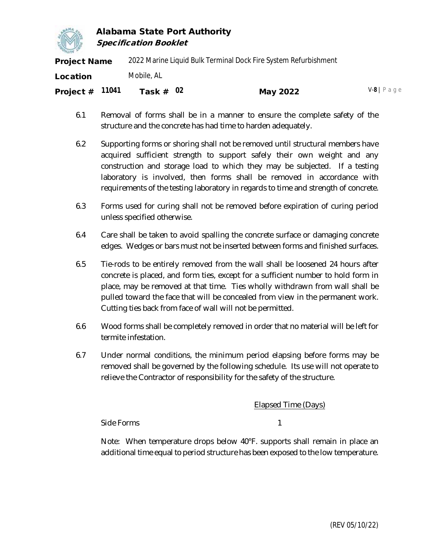

**Project Name** 2022 Marine Liquid Bulk Terminal Dock Fire System Refurbishment

**Location** Mobile, AL

Project # **11041** Task # **02** May 2022 V-**8** | Page

- 6.1 Removal of forms shall be in a manner to ensure the complete safety of the structure and the concrete has had time to harden adequately.
- 6.2 Supporting forms or shoring shall not be removed until structural members have acquired sufficient strength to support safely their own weight and any construction and storage load to which they may be subjected. If a testing laboratory is involved, then forms shall be removed in accordance with requirements of the testing laboratory in regards to time and strength of concrete.
- 6.3 Forms used for curing shall not be removed before expiration of curing period unless specified otherwise.
- 6.4 Care shall be taken to avoid spalling the concrete surface or damaging concrete edges. Wedges or bars must not be inserted between forms and finished surfaces.
- 6.5 Tie-rods to be entirely removed from the wall shall be loosened 24 hours after concrete is placed, and form ties, except for a sufficient number to hold form in place, may be removed at that time. Ties wholly withdrawn from wall shall be pulled toward the face that will be concealed from view in the permanent work. Cutting ties back from face of wall will not be permitted.
- 6.6 Wood forms shall be completely removed in order that no material will be left for termite infestation.
- 6.7 Under normal conditions, the minimum period elapsing before forms may be removed shall be governed by the following schedule. Its use will not operate to relieve the Contractor of responsibility for the safety of the structure.

### Elapsed Time (Days)

Side Forms 1

Note: When temperature drops below  $40^{\circ}$ F. supports shall remain in place an additional time equal to period structure has been exposed to the low temperature.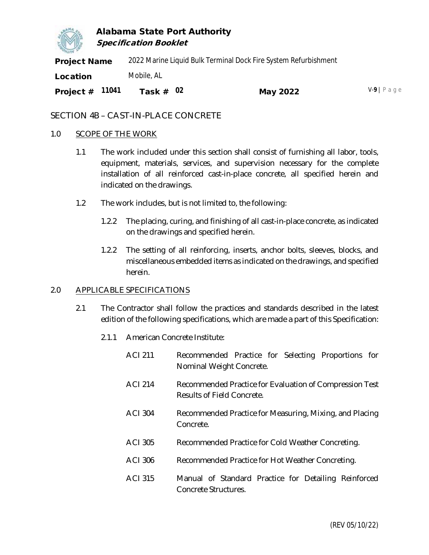

**Project Name** 2022 Marine Liquid Bulk Terminal Dock Fire System Refurbishment **Location** Mobile, AL **Project # 11041 Task # 02 May 2022** V-9 | Page

### SECTION 4B – CAST-IN-PLACE CONCRETE

### 1.0 SCOPE OF THE WORK

- 1.1 The work included under this section shall consist of furnishing all labor, tools, equipment, materials, services, and supervision necessary for the complete installation of all reinforced cast-in-place concrete, all specified herein and indicated on the drawings.
- 1.2 The work includes, but is not limited to, the following:
	- 1.2.2 The placing, curing, and finishing of all cast-in-place concrete, as indicated on the drawings and specified herein.
	- 1.2.2 The setting of all reinforcing, inserts, anchor bolts, sleeves, blocks, and miscellaneous embedded items as indicated on the drawings, and specified herein.

#### 2.0 APPLICABLE SPECIFICATIONS

- 2.1 The Contractor shall follow the practices and standards described in the latest edition of the following specifications, which are made a part of this Specification:
	- 2.1.1 American Concrete Institute:
		- ACI 211 Recommended Practice for Selecting Proportions for Nominal Weight Concrete. ACI 214 Recommended Practice for Evaluation of Compression Test Results of Field Concrete. ACI 304 Recommended Practice for Measuring, Mixing, and Placing Concrete. ACI 305 Recommended Practice for Cold Weather Concreting. ACI 306 Recommended Practice for Hot Weather Concreting. ACI 315 Manual of Standard Practice for Detailing Reinforced Concrete Structures.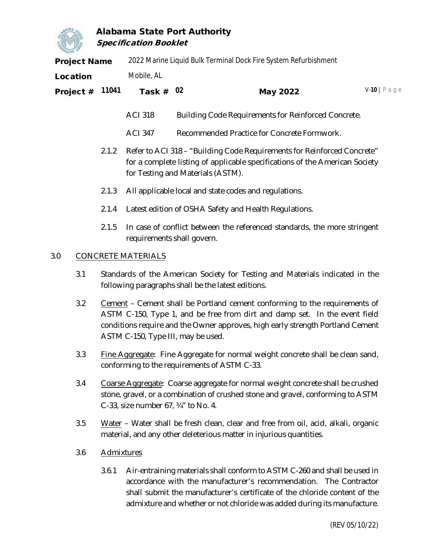

**Project Name** 2022 Marine Liquid Bulk Terminal Dock Fire System Refurbishment

**Location** Mobile, AL

**Project # 11041 Task # 02 May 2022** V-10 | Page

- ACI 318 Building Code Requirements for Reinforced Concrete.
- ACI 347 Recommended Practice for Concrete Formwork.
- 2.1.2 Refer to ACI 318 "Building Code Requirements for Reinforced Concrete" for a complete listing of applicable specifications of the American Society for Testing and Materials (ASTM).
- 2.1.3 All applicable local and state codes and regulations.
- 2.1.4 Latest edition of OSHA Safety and Health Regulations.
- 2.1.5 In case of conflict between the referenced standards, the more stringent requirements shall govern.

### 3.0 CONCRETE MATERIALS

- 3.1 Standards of the American Society for Testing and Materials indicated in the following paragraphs shall be the latest editions.
- 3.2 Cement Cement shall be Portland cement conforming to the requirements of ASTM C-150, Type 1, and be free from dirt and damp set. In the event field conditions require and the Owner approves, high early strength Portland Cement ASTM C-150, Type III, may be used.
- 3.3 Fine Aggregate: Fine Aggregate for normal weight concrete shall be clean sand, conforming to the requirements of ASTM C-33.
- 3.4 Coarse Aggregate: Coarse aggregate for normal weight concrete shall be crushed stone, gravel, or a combination of crushed stone and gravel, conforming to ASTM C-33, size number 67, ¾" to No. 4.
- 3.5 Water Water shall be fresh clean, clear and free from oil, acid, alkali, organic material, and any other deleterious matter in injurious quantities.
- 3.6 Admixtures
	- 3.6.1 Air-entraining materials shall conform to ASTM C-260 and shall be used in accordance with the manufacturer's recommendation. The Contractor shall submit the manufacturer's certificate of the chloride content of the admixture and whether or not chloride was added during its manufacture.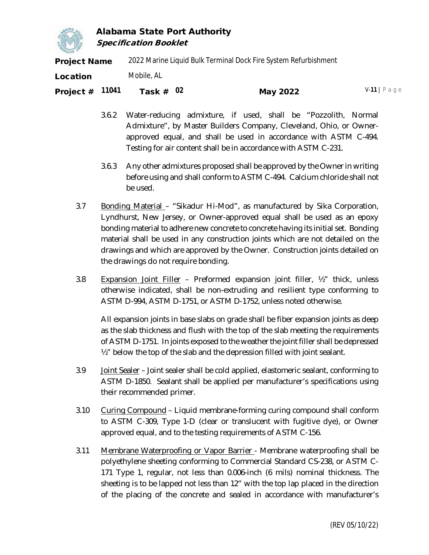

**Project Name** 2022 Marine Liquid Bulk Terminal Dock Fire System Refurbishment

**Location** Mobile, AL

**Project # 11041 Task # 02 May 2022** V-11 | Page

- 3.6.2 Water-reducing admixture, if used, shall be "Pozzolith, Normal Admixture", by Master Builders Company, Cleveland, Ohio, or Ownerapproved equal, and shall be used in accordance with ASTM C-494. Testing for air content shall be in accordance with ASTM C-231.
- 3.6.3 Any other admixtures proposed shall be approved by the Owner in writing before using and shall conform to ASTM C-494. Calcium chloride shall not be used.
- 3.7 Bonding Material "Sikadur Hi-Mod", as manufactured by Sika Corporation, Lyndhurst, New Jersey, or Owner-approved equal shall be used as an epoxy bonding material to adhere new concrete to concrete having its initial set. Bonding material shall be used in any construction joints which are not detailed on the drawings and which are approved by the Owner. Construction joints detailed on the drawings do not require bonding.
- 3.8 Expansion Joint Filler Preformed expansion joint filler, ½" thick, unless otherwise indicated, shall be non-extruding and resilient type conforming to ASTM D-994, ASTM D-1751, or ASTM D-1752, unless noted otherwise.

All expansion joints in base slabs on grade shall be fiber expansion joints as deep as the slab thickness and flush with the top of the slab meeting the requirements of ASTM D-1751. In joints exposed to the weather the joint filler shall be depressed  $\frac{1}{2}$ " below the top of the slab and the depression filled with joint sealant.

- 3.9 Joint Sealer Joint sealer shall be cold applied, elastomeric sealant, conforming to ASTM D-1850. Sealant shall be applied per manufacturer's specifications using their recommended primer.
- 3.10 Curing Compound Liquid membrane-forming curing compound shall conform to ASTM C-309, Type 1-D (clear or translucent with fugitive dye), or Owner approved equal, and to the testing requirements of ASTM C-156.
- 3.11 Membrane Waterproofing or Vapor Barrier Membrane waterproofing shall be polyethylene sheeting conforming to Commercial Standard CS-238, or ASTM C-171 Type 1, regular, not less than 0.006-inch (6 mils) nominal thickness. The sheeting is to be lapped not less than 12" with the top lap placed in the direction of the placing of the concrete and sealed in accordance with manufacturer's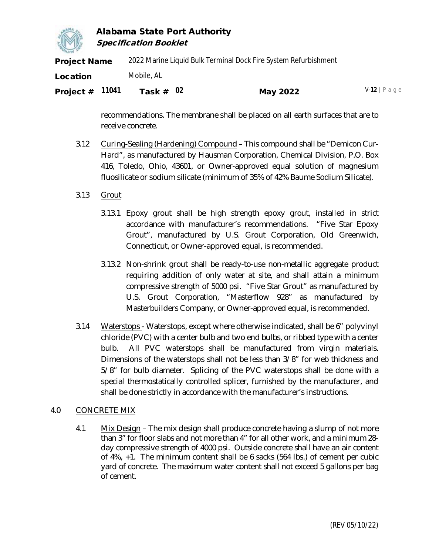

**Project Name** 2022 Marine Liquid Bulk Terminal Dock Fire System Refurbishment

**Location** Mobile, AL

**Project # 11041 Task # 02 May 2022** V-12 | Page

recommendations. The membrane shall be placed on all earth surfaces that are to receive concrete.

- 3.12 Curing-Sealing (Hardening) Compound This compound shall be "Demicon Cur-Hard", as manufactured by Hausman Corporation, Chemical Division, P.O. Box 416, Toledo, Ohio, 43601, or Owner-approved equal solution of magnesium fluosilicate or sodium silicate (minimum of 35% of 42% Baume Sodium Silicate).
- 3.13 Grout
	- 3.13.1 Epoxy grout shall be high strength epoxy grout, installed in strict accordance with manufacturer's recommendations. "Five Star Epoxy Grout", manufactured by U.S. Grout Corporation, Old Greenwich, Connecticut, or Owner-approved equal, is recommended.
	- 3.13.2 Non-shrink grout shall be ready-to-use non-metallic aggregate product requiring addition of only water at site, and shall attain a minimum compressive strength of 5000 psi. "Five Star Grout" as manufactured by U.S. Grout Corporation, "Masterflow 928" as manufactured by Masterbuilders Company, or Owner-approved equal, is recommended.
- 3.14 Waterstops Waterstops, except where otherwise indicated, shall be 6" polyvinyl chloride (PVC) with a center bulb and two end bulbs, or ribbed type with a center bulb. All PVC waterstops shall be manufactured from virgin materials. Dimensions of the waterstops shall not be less than 3/8" for web thickness and 5/8" for bulb diameter. Splicing of the PVC waterstops shall be done with a special thermostatically controlled splicer, furnished by the manufacturer, and shall be done strictly in accordance with the manufacturer's instructions.

### 4.0 CONCRETE MIX

4.1 Mix Design – The mix design shall produce concrete having a slump of not more than 3" for floor slabs and not more than 4" for all other work, and a minimum 28 day compressive strength of 4000 psi. Outside concrete shall have an air content of 4%, +1. The minimum content shall be 6 sacks (564 lbs.) of cement per cubic yard of concrete. The maximum water content shall not exceed 5 gallons per bag of cement.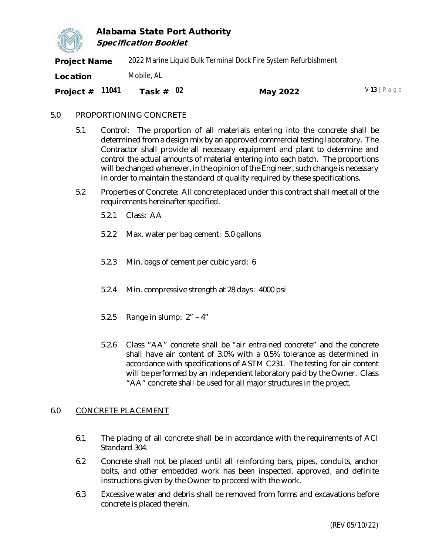

**Project Name** 2022 Marine Liquid Bulk Terminal Dock Fire System Refurbishment

**Location** Mobile, AL

**Project # 11041 Task # 02 May 2022** V-13 | Page

### 5.0 PROPORTIONING CONCRETE

- 5.1 Control: The proportion of all materials entering into the concrete shall be determined from a design mix by an approved commercial testing laboratory. The Contractor shall provide all necessary equipment and plant to determine and control the actual amounts of material entering into each batch. The proportions will be changed whenever, in the opinion of the Engineer, such change is necessary in order to maintain the standard of quality required by these specifications.
- 5.2 Properties of Concrete: All concrete placed under this contract shall meet all of the requirements hereinafter specified.
	- 5.2.1 Class: AA
	- 5.2.2 Max. water per bag cement: 5.0 gallons
	- 5.2.3 Min. bags of cement per cubic yard: 6
	- 5.2.4 Min. compressive strength at 28 days: 4000 psi
	- 5.2.5 Range in slump: 2" 4"
	- 5.2.6 Class "AA" concrete shall be "air entrained concrete" and the concrete shall have air content of 3.0% with a 0.5% tolerance as determined in accordance with specifications of ASTM C231. The testing for air content will be performed by an independent laboratory paid by the Owner. Class "AA" concrete shall be used for all major structures in the project.

### 6.0 CONCRETE PLACEMENT

- 6.1 The placing of all concrete shall be in accordance with the requirements of ACI Standard 304.
- 6.2 Concrete shall not be placed until all reinforcing bars, pipes, conduits, anchor bolts, and other embedded work has been inspected, approved, and definite instructions given by the Owner to proceed with the work.
- 6.3 Excessive water and debris shall be removed from forms and excavations before concrete is placed therein.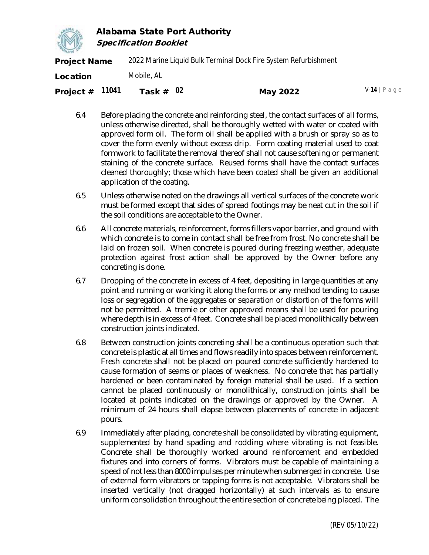

**Project Name** 2022 Marine Liquid Bulk Terminal Dock Fire System Refurbishment

**Location** Mobile, AL

**Project # 11041 Task # 02 May 2022** V-14 | Page

- 6.4 Before placing the concrete and reinforcing steel, the contact surfaces of all forms, unless otherwise directed, shall be thoroughly wetted with water or coated with approved form oil. The form oil shall be applied with a brush or spray so as to cover the form evenly without excess drip. Form coating material used to coat formwork to facilitate the removal thereof shall not cause softening or permanent staining of the concrete surface. Reused forms shall have the contact surfaces cleaned thoroughly; those which have been coated shall be given an additional application of the coating.
- 6.5 Unless otherwise noted on the drawings all vertical surfaces of the concrete work must be formed except that sides of spread footings may be neat cut in the soil if the soil conditions are acceptable to the Owner.
- 6.6 All concrete materials, reinforcement, forms fillers vapor barrier, and ground with which concrete is to come in contact shall be free from frost. No concrete shall be laid on frozen soil. When concrete is poured during freezing weather, adequate protection against frost action shall be approved by the Owner before any concreting is done.
- 6.7 Dropping of the concrete in excess of 4 feet, depositing in large quantities at any point and running or working it along the forms or any method tending to cause loss or segregation of the aggregates or separation or distortion of the forms will not be permitted. A tremie or other approved means shall be used for pouring where depth is in excess of 4 feet. Concrete shall be placed monolithically between construction joints indicated.
- 6.8 Between construction joints concreting shall be a continuous operation such that concrete is plastic at all times and flows readily into spaces between reinforcement. Fresh concrete shall not be placed on poured concrete sufficiently hardened to cause formation of seams or places of weakness. No concrete that has partially hardened or been contaminated by foreign material shall be used. If a section cannot be placed continuously or monolithically, construction joints shall be located at points indicated on the drawings or approved by the Owner. A minimum of 24 hours shall elapse between placements of concrete in adjacent pours.
- 6.9 Immediately after placing, concrete shall be consolidated by vibrating equipment, supplemented by hand spading and rodding where vibrating is not feasible. Concrete shall be thoroughly worked around reinforcement and embedded fixtures and into corners of forms. Vibrators must be capable of maintaining a speed of not less than 8000 impulses per minute when submerged in concrete. Use of external form vibrators or tapping forms is not acceptable. Vibrators shall be inserted vertically (not dragged horizontally) at such intervals as to ensure uniform consolidation throughout the entire section of concrete being placed. The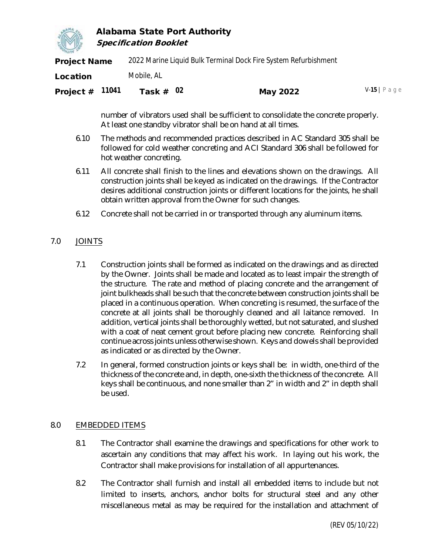

**Project Name** 2022 Marine Liquid Bulk Terminal Dock Fire System Refurbishment

**Location** Mobile, AL

**Project # 11041 Task # 02** May 2022 V-15 | Page

number of vibrators used shall be sufficient to consolidate the concrete properly. At least one standby vibrator shall be on hand at all times.

- 6.10 The methods and recommended practices described in AC Standard 305 shall be followed for cold weather concreting and ACI Standard 306 shall be followed for hot weather concreting.
- 6.11 All concrete shall finish to the lines and elevations shown on the drawings. All construction joints shall be keyed as indicated on the drawings. If the Contractor desires additional construction joints or different locations for the joints, he shall obtain written approval from the Owner for such changes.
- 6.12 Concrete shall not be carried in or transported through any aluminum items.

### 7.0 JOINTS

- 7.1 Construction joints shall be formed as indicated on the drawings and as directed by the Owner. Joints shall be made and located as to least impair the strength of the structure. The rate and method of placing concrete and the arrangement of joint bulkheads shall be such that the concrete between construction joints shall be placed in a continuous operation. When concreting is resumed, the surface of the concrete at all joints shall be thoroughly cleaned and all laitance removed. In addition, vertical joints shall be thoroughly wetted, but not saturated, and slushed with a coat of neat cement grout before placing new concrete. Reinforcing shall continue across joints unless otherwise shown. Keys and dowels shall be provided as indicated or as directed by the Owner.
- 7.2 In general, formed construction joints or keys shall be: in width, one-third of the thickness of the concrete and, in depth, one-sixth the thickness of the concrete. All keys shall be continuous, and none smaller than 2" in width and 2" in depth shall be used.

### 8.0 EMBEDDED ITEMS

- 8.1 The Contractor shall examine the drawings and specifications for other work to ascertain any conditions that may affect his work. In laying out his work, the Contractor shall make provisions for installation of all appurtenances.
- 8.2 The Contractor shall furnish and install all embedded items to include but not limited to inserts, anchors, anchor bolts for structural steel and any other miscellaneous metal as may be required for the installation and attachment of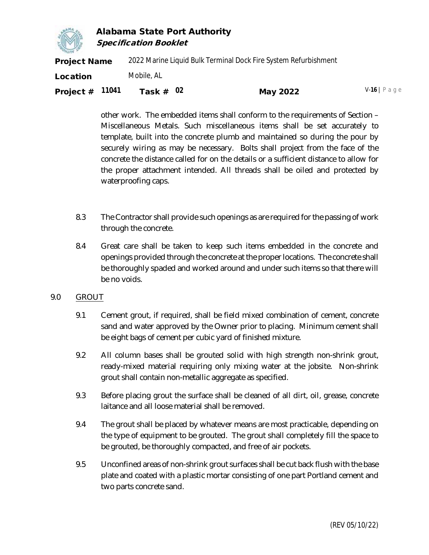

other work. The embedded items shall conform to the requirements of Section – Miscellaneous Metals. Such miscellaneous items shall be set accurately to template, built into the concrete plumb and maintained so during the pour by securely wiring as may be necessary. Bolts shall project from the face of the concrete the distance called for on the details or a sufficient distance to allow for the proper attachment intended. All threads shall be oiled and protected by waterproofing caps.

- 8.3 The Contractor shall provide such openings as are required for the passing of work through the concrete.
- 8.4 Great care shall be taken to keep such items embedded in the concrete and openings provided through the concrete at the proper locations. The concrete shall be thoroughly spaded and worked around and under such items so that there will be no voids.
- 9.0 GROUT
	- 9.1 Cement grout, if required, shall be field mixed combination of cement, concrete sand and water approved by the Owner prior to placing. Minimum cement shall be eight bags of cement per cubic yard of finished mixture.
	- 9.2 All column bases shall be grouted solid with high strength non-shrink grout, ready-mixed material requiring only mixing water at the jobsite. Non-shrink grout shall contain non-metallic aggregate as specified.
	- 9.3 Before placing grout the surface shall be cleaned of all dirt, oil, grease, concrete laitance and all loose material shall be removed.
	- 9.4 The grout shall be placed by whatever means are most practicable, depending on the type of equipment to be grouted. The grout shall completely fill the space to be grouted, be thoroughly compacted, and free of air pockets.
	- 9.5 Unconfined areas of non-shrink grout surfaces shall be cut back flush with the base plate and coated with a plastic mortar consisting of one part Portland cement and two parts concrete sand.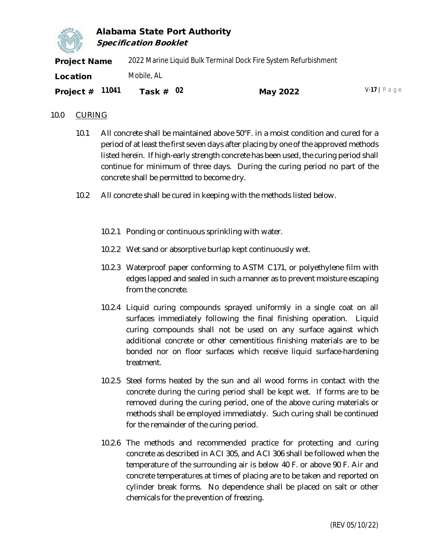

**Project Name** 2022 Marine Liquid Bulk Terminal Dock Fire System Refurbishment **Location** Mobile, AL **Project # 11041 Task # 02 May 2022** V-17 | Page

### 10.0 CURING

- 10.1 All concrete shall be maintained above  $50^{\circ}$ F. in a moist condition and cured for a period of at least the first seven days after placing by one of the approved methods listed herein. If high-early strength concrete has been used, the curing period shall continue for minimum of three days. During the curing period no part of the concrete shall be permitted to become dry.
- 10.2 All concrete shall be cured in keeping with the methods listed below.
	- 10.2.1 Ponding or continuous sprinkling with water.
	- 10.2.2 Wet sand or absorptive burlap kept continuously wet.
	- 10.2.3 Waterproof paper conforming to ASTM C171, or polyethylene film with edges lapped and sealed in such a manner as to prevent moisture escaping from the concrete.
	- 10.2.4 Liquid curing compounds sprayed uniformly in a single coat on all surfaces immediately following the final finishing operation. Liquid curing compounds shall not be used on any surface against which additional concrete or other cementitious finishing materials are to be bonded nor on floor surfaces which receive liquid surface-hardening treatment.
	- 10.2.5 Steel forms heated by the sun and all wood forms in contact with the concrete during the curing period shall be kept wet. If forms are to be removed during the curing period, one of the above curing materials or methods shall be employed immediately. Such curing shall be continued for the remainder of the curing period.
	- 10.2.6 The methods and recommended practice for protecting and curing concrete as described in ACI 305, and ACI 306 shall be followed when the temperature of the surrounding air is below 40 F. or above 90 F. Air and concrete temperatures at times of placing are to be taken and reported on cylinder break forms. No dependence shall be placed on salt or other chemicals for the prevention of freezing.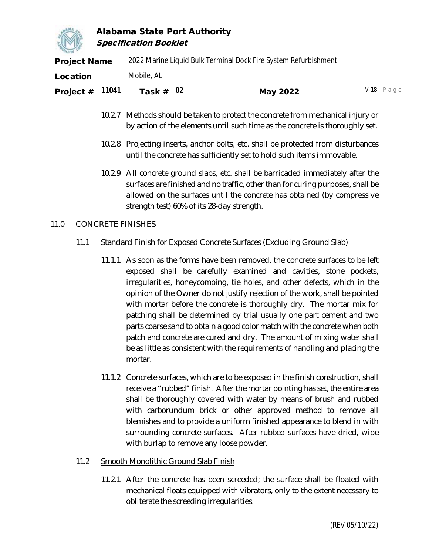

| <b>Project Name</b> | 2022 Marine Liquid Bulk Terminal Dock Fire System Refurbishment |  |          |               |
|---------------------|-----------------------------------------------------------------|--|----------|---------------|
| Location            | Mobile, AL                                                      |  |          |               |
| Project $#$ 11041   | Task $# 02$                                                     |  | May 2022 | $V-18$   Page |

- 10.2.7 Methods should be taken to protect the concrete from mechanical injury or by action of the elements until such time as the concrete is thoroughly set.
- 10.2.8 Projecting inserts, anchor bolts, etc. shall be protected from disturbances until the concrete has sufficiently set to hold such items immovable.
- 10.2.9 All concrete ground slabs, etc. shall be barricaded immediately after the surfaces are finished and no traffic, other than for curing purposes, shall be allowed on the surfaces until the concrete has obtained (by compressive strength test) 60% of its 28-day strength.

### 11.0 CONCRETE FINISHES

### 11.1 Standard Finish for Exposed Concrete Surfaces (Excluding Ground Slab)

- 11.1.1 As soon as the forms have been removed, the concrete surfaces to be left exposed shall be carefully examined and cavities, stone pockets, irregularities, honeycombing, tie holes, and other defects, which in the opinion of the Owner do not justify rejection of the work, shall be pointed with mortar before the concrete is thoroughly dry. The mortar mix for patching shall be determined by trial usually one part cement and two parts coarse sand to obtain a good color match with the concrete when both patch and concrete are cured and dry. The amount of mixing water shall be as little as consistent with the requirements of handling and placing the mortar.
- 11.1.2 Concrete surfaces, which are to be exposed in the finish construction, shall receive a "rubbed" finish. After the mortar pointing has set, the entire area shall be thoroughly covered with water by means of brush and rubbed with carborundum brick or other approved method to remove all blemishes and to provide a uniform finished appearance to blend in with surrounding concrete surfaces. After rubbed surfaces have dried, wipe with burlap to remove any loose powder.

### 11.2 Smooth Monolithic Ground Slab Finish

11.2.1 After the concrete has been screeded; the surface shall be floated with mechanical floats equipped with vibrators, only to the extent necessary to obliterate the screeding irregularities.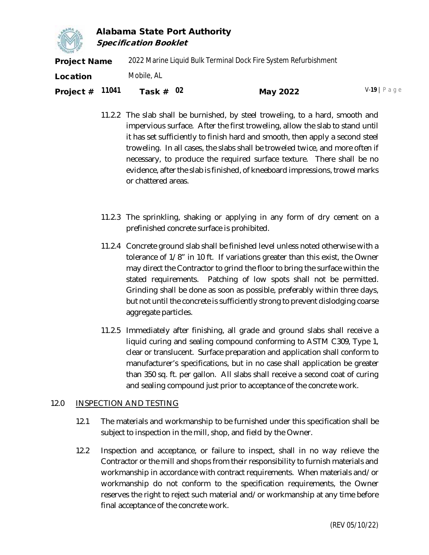

**Project # 11041 Task # 02 May 2022** V-19 | Page

- 11.2.2 The slab shall be burnished, by steel troweling, to a hard, smooth and impervious surface. After the first troweling, allow the slab to stand until it has set sufficiently to finish hard and smooth, then apply a second steel troweling. In all cases, the slabs shall be troweled twice, and more often if necessary, to produce the required surface texture. There shall be no evidence, after the slab is finished, of kneeboard impressions, trowel marks or chattered areas.
- 11.2.3 The sprinkling, shaking or applying in any form of dry cement on a prefinished concrete surface is prohibited.
- 11.2.4 Concrete ground slab shall be finished level unless noted otherwise with a tolerance of 1/8" in 10 ft. If variations greater than this exist, the Owner may direct the Contractor to grind the floor to bring the surface within the stated requirements. Patching of low spots shall not be permitted. Grinding shall be done as soon as possible, preferably within three days, but not until the concrete is sufficiently strong to prevent dislodging coarse aggregate particles.
- 11.2.5 Immediately after finishing, all grade and ground slabs shall receive a liquid curing and sealing compound conforming to ASTM C309, Type 1, clear or translucent. Surface preparation and application shall conform to manufacturer's specifications, but in no case shall application be greater than 350 sq. ft. per gallon. All slabs shall receive a second coat of curing and sealing compound just prior to acceptance of the concrete work.

#### 12.0 INSPECTION AND TESTING

- 12.1 The materials and workmanship to be furnished under this specification shall be subject to inspection in the mill, shop, and field by the Owner.
- 12.2 Inspection and acceptance, or failure to inspect, shall in no way relieve the Contractor or the mill and shops from their responsibility to furnish materials and workmanship in accordance with contract requirements. When materials and/or workmanship do not conform to the specification requirements, the Owner reserves the right to reject such material and/or workmanship at any time before final acceptance of the concrete work.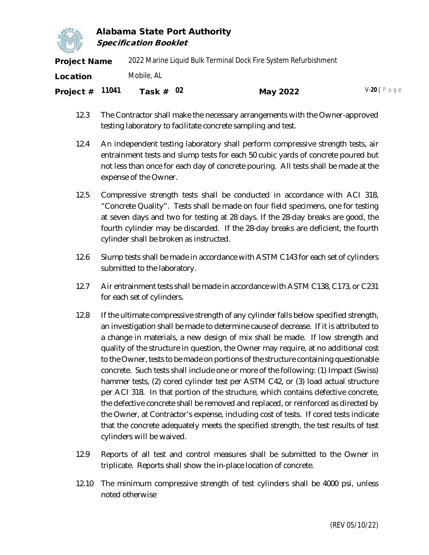

**Project Name** 2022 Marine Liquid Bulk Terminal Dock Fire System Refurbishment

**Location** Mobile, AL

**Project # 11041 Task # 02 May 2022** V-20 | Page

- 12.3 The Contractor shall make the necessary arrangements with the Owner-approved testing laboratory to facilitate concrete sampling and test.
- 12.4 An independent testing laboratory shall perform compressive strength tests, air entrainment tests and slump tests for each 50 cubic yards of concrete poured but not less than once for each day of concrete pouring. All tests shall be made at the expense of the Owner.
- 12.5 Compressive strength tests shall be conducted in accordance with ACI 318, "Concrete Quality". Tests shall be made on four field specimens, one for testing at seven days and two for testing at 28 days. If the 28-day breaks are good, the fourth cylinder may be discarded. If the 28-day breaks are deficient, the fourth cylinder shall be broken as instructed.
- 12.6 Slump tests shall be made in accordance with ASTM C143 for each set of cylinders submitted to the laboratory.
- 12.7 Air entrainment tests shall be made in accordance with ASTM C138, C173, or C231 for each set of cylinders.
- 12.8 If the ultimate compressive strength of any cylinder falls below specified strength, an investigation shall be made to determine cause of decrease. If it is attributed to a change in materials, a new design of mix shall be made. If low strength and quality of the structure in question, the Owner may require, at no additional cost to the Owner, tests to be made on portions of the structure containing questionable concrete. Such tests shall include one or more of the following: (1) Impact (Swiss) hammer tests, (2) cored cylinder test per ASTM C42, or (3) load actual structure per ACI 318. In that portion of the structure, which contains defective concrete, the defective concrete shall be removed and replaced, or reinforced as directed by the Owner, at Contractor's expense, including cost of tests. If cored tests indicate that the concrete adequately meets the specified strength, the test results of test cylinders will be waived.
- 12.9 Reports of all test and control measures shall be submitted to the Owner in triplicate. Reports shall show the in-place location of concrete.
- 12.10 The minimum compressive strength of test cylinders shall be 4000 psi, unless noted otherwise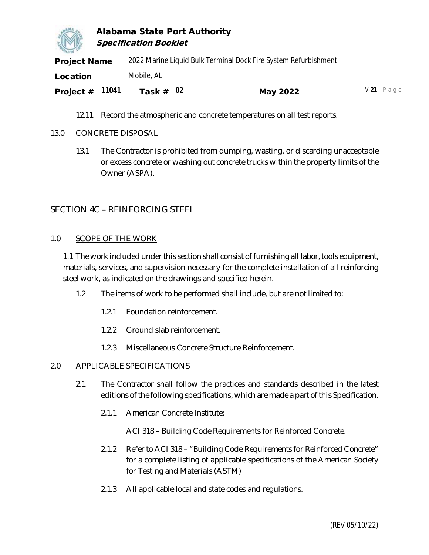

**Project Name** 2022 Marine Liquid Bulk Terminal Dock Fire System Refurbishment **Location** Mobile, AL **Project # 11041 Task # 02 May 2022** V-21 | Page

12.11 Record the atmospheric and concrete temperatures on all test reports.

### 13.0 CONCRETE DISPOSAL

13.1 The Contractor is prohibited from dumping, wasting, or discarding unacceptable or excess concrete or washing out concrete trucks within the property limits of the Owner (ASPA).

# SECTION 4C – REINFORCING STEEL

### 1.0 SCOPE OF THE WORK

1.1 The work included under this section shall consist of furnishing all labor, tools equipment, materials, services, and supervision necessary for the complete installation of all reinforcing steel work, as indicated on the drawings and specified herein.

- 1.2 The items of work to be performed shall include, but are not limited to:
	- 1.2.1 Foundation reinforcement.
	- 1.2.2 Ground slab reinforcement.
	- 1.2.3 Miscellaneous Concrete Structure Reinforcement.

### 2.0 APPLICABLE SPECIFICATIONS

- 2.1 The Contractor shall follow the practices and standards described in the latest editions of the following specifications, which are made a part of this Specification.
	- 2.1.1 American Concrete Institute:

ACI 318 – Building Code Requirements for Reinforced Concrete.

- 2.1.2 Refer to ACI 318 "Building Code Requirements for Reinforced Concrete" for a complete listing of applicable specifications of the American Society for Testing and Materials (ASTM)
- 2.1.3 All applicable local and state codes and regulations.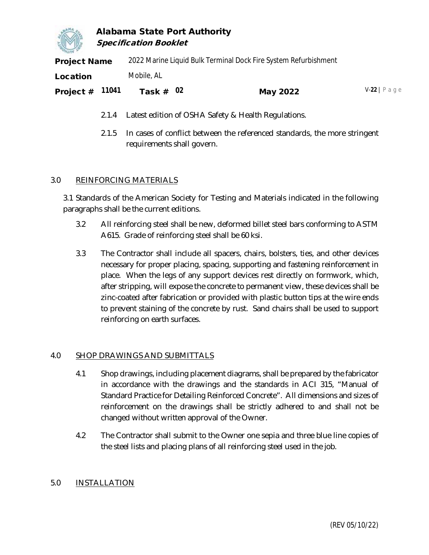

**Project Name** 2022 Marine Liquid Bulk Terminal Dock Fire System Refurbishment **Location** Mobile, AL **Project # 11041 Task # 02** May 2022 V-22 | Page

- 2.1.4 Latest edition of OSHA Safety & Health Regulations.
- 2.1.5 In cases of conflict between the referenced standards, the more stringent requirements shall govern.

### 3.0 REINFORCING MATERIALS

3.1 Standards of the American Society for Testing and Materials indicated in the following paragraphs shall be the current editions.

- 3.2 All reinforcing steel shall be new, deformed billet steel bars conforming to ASTM A615. Grade of reinforcing steel shall be 60 ksi.
- 3.3 The Contractor shall include all spacers, chairs, bolsters, ties, and other devices necessary for proper placing, spacing, supporting and fastening reinforcement in place. When the legs of any support devices rest directly on formwork, which, after stripping, will expose the concrete to permanent view, these devices shall be zinc-coated after fabrication or provided with plastic button tips at the wire ends to prevent staining of the concrete by rust. Sand chairs shall be used to support reinforcing on earth surfaces.

### 4.0 SHOP DRAWINGS AND SUBMITTALS

- 4.1 Shop drawings, including placement diagrams, shall be prepared by the fabricator in accordance with the drawings and the standards in ACI 315, "Manual of Standard Practice for Detailing Reinforced Concrete". All dimensions and sizes of reinforcement on the drawings shall be strictly adhered to and shall not be changed without written approval of the Owner.
- 4.2 The Contractor shall submit to the Owner one sepia and three blue line copies of the steel lists and placing plans of all reinforcing steel used in the job.

### 5.0 INSTALLATION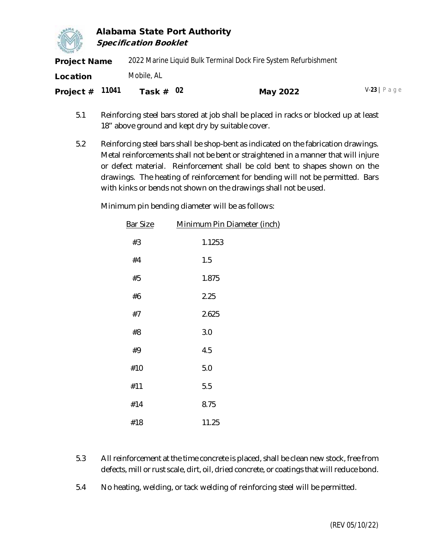

| <b>Project Name</b> |             | 2022 Marine Liquid Bulk Terminal Dock Fire System Refurbishment |          |                  |
|---------------------|-------------|-----------------------------------------------------------------|----------|------------------|
| Location            | Mobile, AL  |                                                                 |          |                  |
| Project $#$ 11041   | Task $# 02$ |                                                                 | May 2022 | $V-23$   P a g e |

- 5.1 Reinforcing steel bars stored at job shall be placed in racks or blocked up at least 18" above ground and kept dry by suitable cover.
- 5.2 Reinforcing steel bars shall be shop-bent as indicated on the fabrication drawings. Metal reinforcements shall not be bent or straightened in a manner that will injure or defect material. Reinforcement shall be cold bent to shapes shown on the drawings. The heating of reinforcement for bending will not be permitted. Bars with kinks or bends not shown on the drawings shall not be used.

Minimum pin bending diameter will be as follows:

| <u>Bar Size</u> | <b>Minimum Pin Diameter (inch)</b> |
|-----------------|------------------------------------|
| #3              | 1.1253                             |
| #4              | 1.5                                |
| #5              | 1.875                              |
| #6              | 2.25                               |
| #7              | 2.625                              |
| #8              | 3.0                                |
| #9              | 4.5                                |
| #10             | 5.0                                |
| #11             | 5.5                                |
| #14             | 8.75                               |
| #18             | 11.25                              |

- 5.3 All reinforcement at the time concrete is placed, shall be clean new stock, free from defects, mill or rust scale, dirt, oil, dried concrete, or coatings that will reduce bond.
- 5.4 No heating, welding, or tack welding of reinforcing steel will be permitted.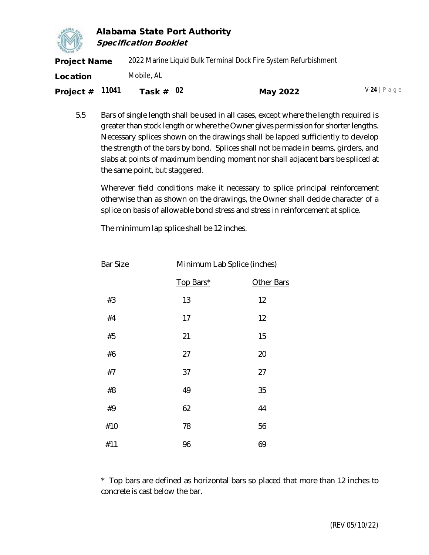

5.5 Bars of single length shall be used in all cases, except where the length required is greater than stock length or where the Owner gives permission for shorter lengths. Necessary splices shown on the drawings shall be lapped sufficiently to develop the strength of the bars by bond. Splices shall not be made in beams, girders, and slabs at points of maximum bending moment nor shall adjacent bars be spliced at the same point, but staggered.

Wherever field conditions make it necessary to splice principal reinforcement otherwise than as shown on the drawings, the Owner shall decide character of a splice on basis of allowable bond stress and stress in reinforcement at splice.

The minimum lap splice shall be 12 inches.

| <b>Bar Size</b> |           | Minimum Lab Splice (inches) |  |  |
|-----------------|-----------|-----------------------------|--|--|
|                 | Top Bars* | <b>Other Bars</b>           |  |  |
| #3              | 13        | 12                          |  |  |
| #4              | 17        | 12                          |  |  |
| #5              | 21        | 15                          |  |  |
| #6              | 27        | 20                          |  |  |
| #7              | 37        | 27                          |  |  |
| #8              | 49        | 35                          |  |  |
| #9              | 62        | 44                          |  |  |
| #10             | 78        | 56                          |  |  |
| #11             | 96        | 69                          |  |  |

\* Top bars are defined as horizontal bars so placed that more than 12 inches to concrete is cast below the bar.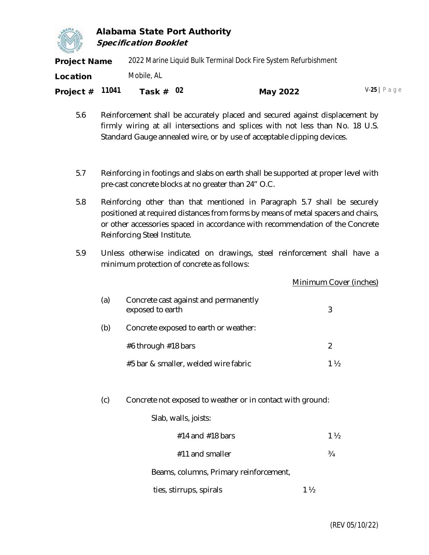

**Project Name** 2022 Marine Liquid Bulk Terminal Dock Fire System Refurbishment **Location** Mobile, AL Project # **11041** Task # **02** May 2022 V-**25** | Page

- 5.6 Reinforcement shall be accurately placed and secured against displacement by firmly wiring at all intersections and splices with not less than No. 18 U.S. Standard Gauge annealed wire, or by use of acceptable clipping devices.
- 5.7 Reinforcing in footings and slabs on earth shall be supported at proper level with pre-cast concrete blocks at no greater than 24" O.C.
- 5.8 Reinforcing other than that mentioned in Paragraph 5.7 shall be securely positioned at required distances from forms by means of metal spacers and chairs, or other accessories spaced in accordance with recommendation of the Concrete Reinforcing Steel Institute.
- 5.9 Unless otherwise indicated on drawings, steel reinforcement shall have a minimum protection of concrete as follows:

|     |                                                           | Minimum Cover (inches) |
|-----|-----------------------------------------------------------|------------------------|
| (a) | Concrete cast against and permanently<br>exposed to earth | 3                      |
| (b) | Concrete exposed to earth or weather:                     |                        |
|     | #6 through #18 bars                                       | 2                      |
|     | #5 bar & smaller, welded wire fabric                      | $1\frac{1}{2}$         |
|     |                                                           |                        |

(c) Concrete not exposed to weather or in contact with ground:

Slab, walls, joists:

| $#14$ and $#18$ bars                   |               |
|----------------------------------------|---------------|
| $#11$ and smaller                      | $\frac{3}{4}$ |
| Beams, columns, Primary reinforcement, |               |

ties, stirrups, spirals  $1 \frac{1}{2}$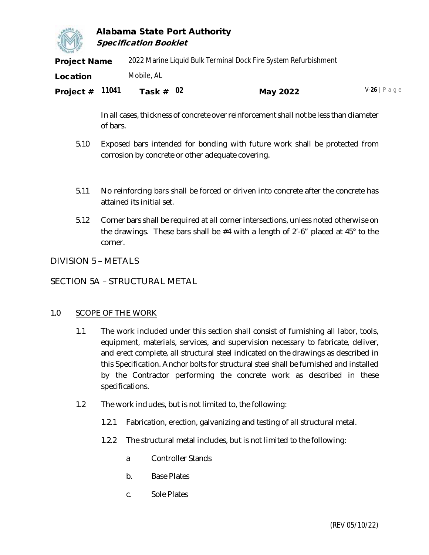

**Project Name** 2022 Marine Liquid Bulk Terminal Dock Fire System Refurbishment

**Location** Mobile, AL

**Project # 11041 Task # 02 May 2022** V-26 | Page

In all cases, thickness of concrete over reinforcement shall not be less than diameter of bars.

- 5.10 Exposed bars intended for bonding with future work shall be protected from corrosion by concrete or other adequate covering.
- 5.11 No reinforcing bars shall be forced or driven into concrete after the concrete has attained its initial set.
- 5.12 Corner bars shall be required at all corner intersections, unless noted otherwise on the drawings. These bars shall be  $#4$  with a length of 2'-6" placed at  $45^{\circ}$  to the corner.

### DIVISION 5 – METALS

### SECTION 5A – STRUCTURAL METAL

### 1.0 SCOPE OF THE WORK

- 1.1 The work included under this section shall consist of furnishing all labor, tools, equipment, materials, services, and supervision necessary to fabricate, deliver, and erect complete, all structural steel indicated on the drawings as described in this Specification. Anchor bolts for structural steel shall be furnished and installed by the Contractor performing the concrete work as described in these specifications.
- 1.2 The work includes, but is not limited to, the following:
	- 1.2.1 Fabrication, erection, galvanizing and testing of all structural metal.
	- 1.2.2 The structural metal includes, but is not limited to the following:
		- a Controller Stands
		- b. Base Plates
		- c. Sole Plates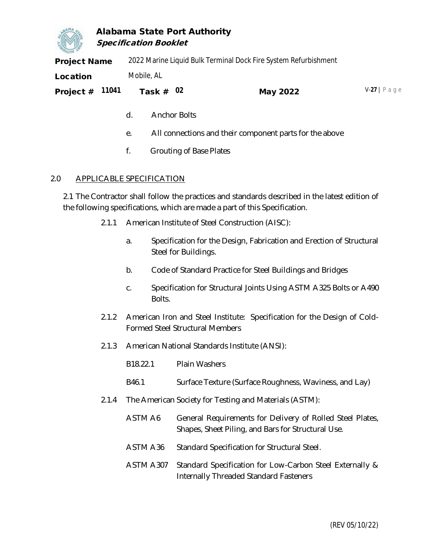

Project Name 2022 Marine Liquid Bulk Terminal Dock Fire System Refurbishment **Location** Mobile, AL **Project # 11041 Task # 02 May 2022** V-27 | Page

- d. Anchor Bolts
- e. All connections and their component parts for the above
- f. Grouting of Base Plates

### 2.0 APPLICABLE SPECIFICATION

2.1 The Contractor shall follow the practices and standards described in the latest edition of the following specifications, which are made a part of this Specification.

- 2.1.1 American Institute of Steel Construction (AISC):
	- a. Specification for the Design, Fabrication and Erection of Structural Steel for Buildings.
	- b. Code of Standard Practice for Steel Buildings and Bridges
	- c. Specification for Structural Joints Using ASTM A325 Bolts or A490 Bolts.
- 2.1.2 American Iron and Steel Institute: Specification for the Design of Cold-Formed Steel Structural Members
- 2.1.3 American National Standards Institute (ANSI):

|       | B18.22.1                                               | <b>Plain Washers</b>                                                                                            |  |
|-------|--------------------------------------------------------|-----------------------------------------------------------------------------------------------------------------|--|
|       | B46.1                                                  | Surface Texture (Surface Roughness, Waviness, and Lay)                                                          |  |
| 2.1.4 | The American Society for Testing and Materials (ASTM): |                                                                                                                 |  |
|       | ASTM A6                                                | General Requirements for Delivery of Rolled Steel Plates,<br>Shapes, Sheet Piling, and Bars for Structural Use. |  |
|       | ASTM A36                                               | <b>Standard Specification for Structural Steel.</b>                                                             |  |
|       | ASTM A307                                              | Standard Specification for Low-Carbon Steel Externally &<br><b>Internally Threaded Standard Fasteners</b>       |  |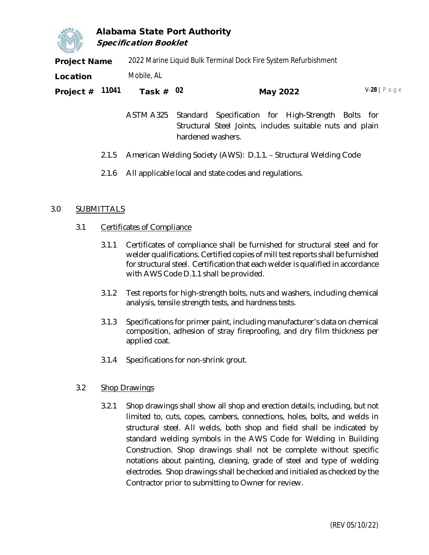

**Project Name** 2022 Marine Liquid Bulk Terminal Dock Fire System Refurbishment

**Location** Mobile, AL

**Project # 11041 Task # 02 May 2022** V-28 | Page

ASTM A325 Standard Specification for High-Strength Bolts for Structural Steel Joints, includes suitable nuts and plain hardened washers.

- 2.1.5 American Welding Society (AWS): D.1.1. Structural Welding Code
- 2.1.6 All applicable local and state codes and regulations.

### 3.0 SUBMITTALS

- 3.1 Certificates of Compliance
	- 3.1.1 Certificates of compliance shall be furnished for structural steel and for welder qualifications. Certified copies of mill test reports shall be furnished for structural steel. Certification that each welder is qualified in accordance with AWS Code D.1.1 shall be provided.
	- 3.1.2 Test reports for high-strength bolts, nuts and washers, including chemical analysis, tensile strength tests, and hardness tests.
	- 3.1.3 Specifications for primer paint, including manufacturer's data on chemical composition, adhesion of stray fireproofing, and dry film thickness per applied coat.
	- 3.1.4 Specifications for non-shrink grout.

### 3.2 Shop Drawings

3.2.1 Shop drawings shall show all shop and erection details, including, but not limited to, cuts, copes, cambers, connections, holes, bolts, and welds in structural steel. All welds, both shop and field shall be indicated by standard welding symbols in the AWS Code for Welding in Building Construction. Shop drawings shall not be complete without specific notations about painting, cleaning, grade of steel and type of welding electrodes. Shop drawings shall be checked and initialed as checked by the Contractor prior to submitting to Owner for review.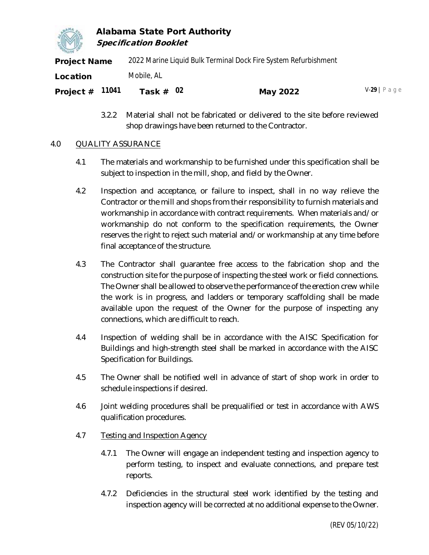

**Project Name** 2022 Marine Liquid Bulk Terminal Dock Fire System Refurbishment **Location** Mobile, AL **Project # 11041 Task # 02 May 2022** V-29 | Page

> 3.2.2 Material shall not be fabricated or delivered to the site before reviewed shop drawings have been returned to the Contractor.

### 4.0 QUALITY ASSURANCE

- 4.1 The materials and workmanship to be furnished under this specification shall be subject to inspection in the mill, shop, and field by the Owner.
- 4.2 Inspection and acceptance, or failure to inspect, shall in no way relieve the Contractor or the mill and shops from their responsibility to furnish materials and workmanship in accordance with contract requirements. When materials and/or workmanship do not conform to the specification requirements, the Owner reserves the right to reject such material and/or workmanship at any time before final acceptance of the structure.
- 4.3 The Contractor shall guarantee free access to the fabrication shop and the construction site for the purpose of inspecting the steel work or field connections. The Owner shall be allowed to observe the performance of the erection crew while the work is in progress, and ladders or temporary scaffolding shall be made available upon the request of the Owner for the purpose of inspecting any connections, which are difficult to reach.
- 4.4 Inspection of welding shall be in accordance with the AISC Specification for Buildings and high-strength steel shall be marked in accordance with the AISC Specification for Buildings.
- 4.5 The Owner shall be notified well in advance of start of shop work in order to schedule inspections if desired.
- 4.6 Joint welding procedures shall be prequalified or test in accordance with AWS qualification procedures.
- 4.7 Testing and Inspection Agency
	- 4.7.1 The Owner will engage an independent testing and inspection agency to perform testing, to inspect and evaluate connections, and prepare test reports.
	- 4.7.2 Deficiencies in the structural steel work identified by the testing and inspection agency will be corrected at no additional expense to the Owner.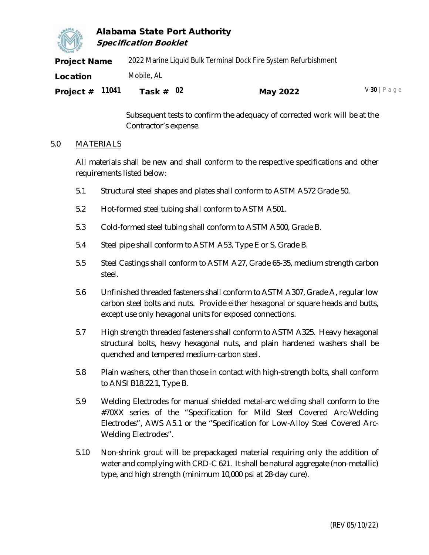

| <b>Project Name</b> | 2022 Marine Liquid Bulk Terminal Dock Fire System Refurbishment |          |                  |  |
|---------------------|-----------------------------------------------------------------|----------|------------------|--|
| Location            | Mobile, AL                                                      |          |                  |  |
| Project $#$ 11041   | Task $# 02$                                                     | May 2022 | $V-30$   P a g e |  |

Subsequent tests to confirm the adequacy of corrected work will be at the Contractor's expense.

### 5.0 MATERIALS

All materials shall be new and shall conform to the respective specifications and other requirements listed below:

- 5.1 Structural steel shapes and plates shall conform to ASTM A572 Grade 50.
- 5.2 Hot-formed steel tubing shall conform to ASTM A501.
- 5.3 Cold-formed steel tubing shall conform to ASTM A500, Grade B.
- 5.4 Steel pipe shall conform to ASTM A53, Type E or S, Grade B.
- 5.5 Steel Castings shall conform to ASTM A27, Grade 65-35, medium strength carbon steel.
- 5.6 Unfinished threaded fasteners shall conform to ASTM A307, Grade A, regular low carbon steel bolts and nuts. Provide either hexagonal or square heads and butts, except use only hexagonal units for exposed connections.
- 5.7 High strength threaded fasteners shall conform to ASTM A325. Heavy hexagonal structural bolts, heavy hexagonal nuts, and plain hardened washers shall be quenched and tempered medium-carbon steel.
- 5.8 Plain washers, other than those in contact with high-strength bolts, shall conform to ANSI B18.22.1, Type B.
- 5.9 Welding Electrodes for manual shielded metal-arc welding shall conform to the #70XX series of the "Specification for Mild Steel Covered Arc-Welding Electrodes", AWS A5.1 or the "Specification for Low-Alloy Steel Covered Arc-Welding Electrodes".
- 5.10 Non-shrink grout will be prepackaged material requiring only the addition of water and complying with CRD-C 621. It shall be natural aggregate (non-metallic) type, and high strength (minimum 10,000 psi at 28-day cure).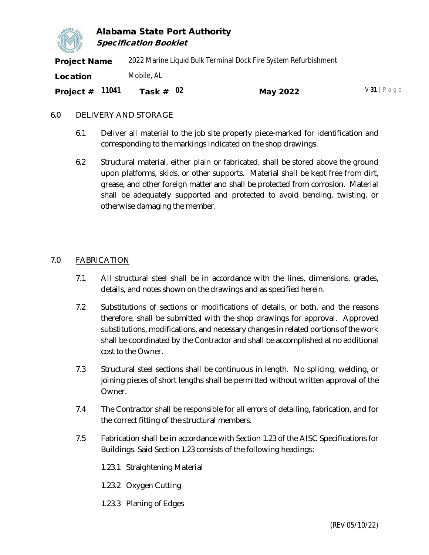

**Project Name** 2022 Marine Liquid Bulk Terminal Dock Fire System Refurbishment **Location** Mobile, AL **Project # 11041 Task # 02 May 2022** V-31 | Page

### 6.0 DELIVERY AND STORAGE

- 6.1 Deliver all material to the job site properly piece-marked for identification and corresponding to the markings indicated on the shop drawings.
- 6.2 Structural material, either plain or fabricated, shall be stored above the ground upon platforms, skids, or other supports. Material shall be kept free from dirt, grease, and other foreign matter and shall be protected from corrosion. Material shall be adequately supported and protected to avoid bending, twisting, or otherwise damaging the member.

### 7.0 FABRICATION

- 7.1 All structural steel shall be in accordance with the lines, dimensions, grades, details, and notes shown on the drawings and as specified herein.
- 7.2 Substitutions of sections or modifications of details, or both, and the reasons therefore, shall be submitted with the shop drawings for approval. Approved substitutions, modifications, and necessary changes in related portions of the work shall be coordinated by the Contractor and shall be accomplished at no additional cost to the Owner.
- 7.3 Structural steel sections shall be continuous in length. No splicing, welding, or joining pieces of short lengths shall be permitted without written approval of the Owner.
- 7.4 The Contractor shall be responsible for all errors of detailing, fabrication, and for the correct fitting of the structural members.
- 7.5 Fabrication shall be in accordance with Section 1.23 of the AISC Specifications for Buildings. Said Section 1.23 consists of the following headings:
	- 1.23.1 Straightening Material
	- 1.23.2 Oxygen Cutting
	- 1.23.3 Planing of Edges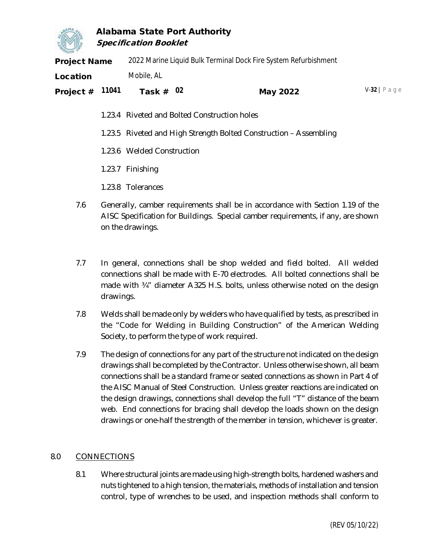

**Project Name** 2022 Marine Liquid Bulk Terminal Dock Fire System Refurbishment **Location** Mobile, AL **Project # 11041 Task # 02** May 2022 V-32 | Page 1.23.4 Riveted and Bolted Construction holes 1.23.5 Riveted and High Strength Bolted Construction – Assembling 1.23.6 Welded Construction 1.23.7 Finishing 1.23.8 Tolerances

- 7.6 Generally, camber requirements shall be in accordance with Section 1.19 of the AISC Specification for Buildings. Special camber requirements, if any, are shown on the drawings.
- 7.7 In general, connections shall be shop welded and field bolted. All welded connections shall be made with E-70 electrodes. All bolted connections shall be made with ¾" diameter A325 H.S. bolts, unless otherwise noted on the design drawings.
- 7.8 Welds shall be made only by welders who have qualified by tests, as prescribed in the "Code for Welding in Building Construction" of the American Welding Society, to perform the type of work required.
- 7.9 The design of connections for any part of the structure not indicated on the design drawings shall be completed by the Contractor. Unless otherwise shown, all beam connections shall be a standard frame or seated connections as shown in Part 4 of the AISC Manual of Steel Construction. Unless greater reactions are indicated on the design drawings, connections shall develop the full "T" distance of the beam web. End connections for bracing shall develop the loads shown on the design drawings or one-half the strength of the member in tension, whichever is greater.

## 8.0 CONNECTIONS

8.1 Where structural joints are made using high-strength bolts, hardened washers and nuts tightened to a high tension, the materials, methods of installation and tension control, type of wrenches to be used, and inspection methods shall conform to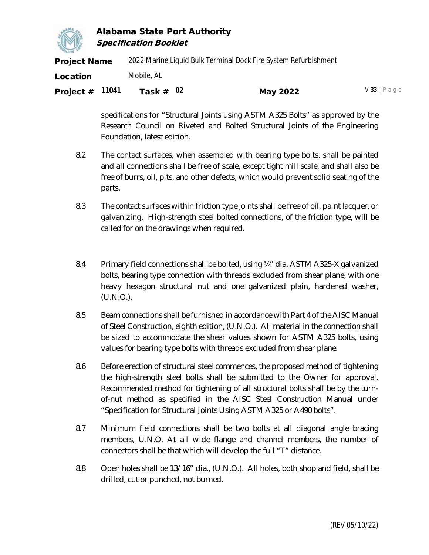

**Project Name** 2022 Marine Liquid Bulk Terminal Dock Fire System Refurbishment

**Location** Mobile, AL

**Project # 11041 Task # 02 May 2022** V-33 | Page

specifications for "Structural Joints using ASTM A325 Bolts" as approved by the Research Council on Riveted and Bolted Structural Joints of the Engineering Foundation, latest edition.

- 8.2 The contact surfaces, when assembled with bearing type bolts, shall be painted and all connections shall be free of scale, except tight mill scale, and shall also be free of burrs, oil, pits, and other defects, which would prevent solid seating of the parts.
- 8.3 The contact surfaces within friction type joints shall be free of oil, paint lacquer, or galvanizing. High-strength steel bolted connections, of the friction type, will be called for on the drawings when required.
- 8.4 Primary field connections shall be bolted, using ¾" dia. ASTM A325-X galvanized bolts, bearing type connection with threads excluded from shear plane, with one heavy hexagon structural nut and one galvanized plain, hardened washer, (U.N.O.).
- 8.5 Beam connections shall be furnished in accordance with Part 4 of the AISC Manual of Steel Construction, eighth edition, (U.N.O.). All material in the connection shall be sized to accommodate the shear values shown for ASTM A325 bolts, using values for bearing type bolts with threads excluded from shear plane.
- 8.6 Before erection of structural steel commences, the proposed method of tightening the high-strength steel bolts shall be submitted to the Owner for approval. Recommended method for tightening of all structural bolts shall be by the turnof-nut method as specified in the AISC Steel Construction Manual under "Specification for Structural Joints Using ASTM A325 or A490 bolts".
- 8.7 Minimum field connections shall be two bolts at all diagonal angle bracing members, U.N.O. At all wide flange and channel members, the number of connectors shall be that which will develop the full "T" distance.
- 8.8 Open holes shall be 13/16" dia., (U.N.O.). All holes, both shop and field, shall be drilled, cut or punched, not burned.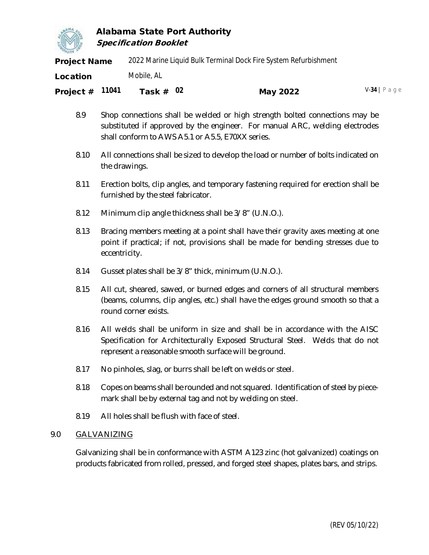

**Project Name** 2022 Marine Liquid Bulk Terminal Dock Fire System Refurbishment

**Location** Mobile, AL

**Project # 11041 Task # 02 May 2022** V-34 | Page

- 8.9 Shop connections shall be welded or high strength bolted connections may be substituted if approved by the engineer. For manual ARC, welding electrodes shall conform to AWS A5.1 or A5.5, E70XX series.
- 8.10 All connections shall be sized to develop the load or number of bolts indicated on the drawings.
- 8.11 Erection bolts, clip angles, and temporary fastening required for erection shall be furnished by the steel fabricator.
- 8.12 Minimum clip angle thickness shall be 3/8" (U.N.O.).
- 8.13 Bracing members meeting at a point shall have their gravity axes meeting at one point if practical; if not, provisions shall be made for bending stresses due to eccentricity.
- 8.14 Gusset plates shall be 3/8" thick, minimum (U.N.O.).
- 8.15 All cut, sheared, sawed, or burned edges and corners of all structural members (beams, columns, clip angles, etc.) shall have the edges ground smooth so that a round corner exists.
- 8.16 All welds shall be uniform in size and shall be in accordance with the AISC Specification for Architecturally Exposed Structural Steel. Welds that do not represent a reasonable smooth surface will be ground.
- 8.17 No pinholes, slag, or burrs shall be left on welds or steel.
- 8.18 Copes on beams shall be rounded and not squared. Identification of steel by piecemark shall be by external tag and not by welding on steel.
- 8.19 All holes shall be flush with face of steel.

### 9.0 GALVANIZING

Galvanizing shall be in conformance with ASTM A123 zinc (hot galvanized) coatings on products fabricated from rolled, pressed, and forged steel shapes, plates bars, and strips.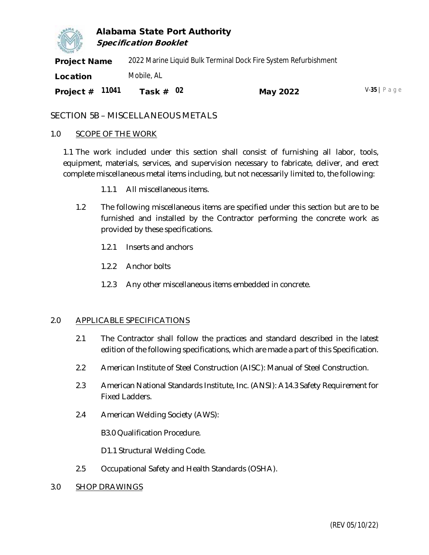

**Project Name** 2022 Marine Liquid Bulk Terminal Dock Fire System Refurbishment **Location** Mobile, AL Project # **11041** Task # **02** May 2022 V-**35** | Page

SECTION 5B – MISCELLANEOUS METALS

### 1.0 SCOPE OF THE WORK

1.1 The work included under this section shall consist of furnishing all labor, tools, equipment, materials, services, and supervision necessary to fabricate, deliver, and erect complete miscellaneous metal items including, but not necessarily limited to, the following:

- 1.1.1 All miscellaneous items.
- 1.2 The following miscellaneous items are specified under this section but are to be furnished and installed by the Contractor performing the concrete work as provided by these specifications.
	- 1.2.1 Inserts and anchors
	- 1.2.2 Anchor bolts
	- 1.2.3 Any other miscellaneous items embedded in concrete.

### 2.0 APPLICABLE SPECIFICATIONS

- 2.1 The Contractor shall follow the practices and standard described in the latest edition of the following specifications, which are made a part of this Specification.
- 2.2 American Institute of Steel Construction (AISC): Manual of Steel Construction.
- 2.3 American National Standards Institute, Inc. (ANSI): A14.3 Safety Requirement for Fixed Ladders.
- 2.4 American Welding Society (AWS):

B3.0 Qualification Procedure.

D1.1 Structural Welding Code.

- 2.5 Occupational Safety and Health Standards (OSHA).
- 3.0 SHOP DRAWINGS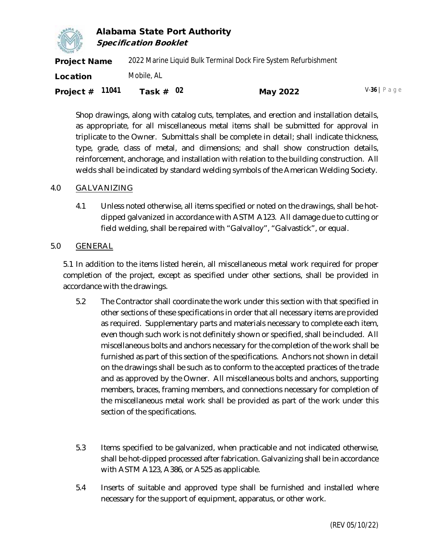

Shop drawings, along with catalog cuts, templates, and erection and installation details, as appropriate, for all miscellaneous metal items shall be submitted for approval in triplicate to the Owner. Submittals shall be complete in detail; shall indicate thickness, type, grade, class of metal, and dimensions; and shall show construction details, reinforcement, anchorage, and installation with relation to the building construction. All welds shall be indicated by standard welding symbols of the American Welding Society.

### 4.0 GALVANIZING

4.1 Unless noted otherwise, all items specified or noted on the drawings, shall be hotdipped galvanized in accordance with ASTM A123. All damage due to cutting or field welding, shall be repaired with "Galvalloy", "Galvastick", or equal.

### 5.0 GENERAL

5.1 In addition to the items listed herein, all miscellaneous metal work required for proper completion of the project, except as specified under other sections, shall be provided in accordance with the drawings.

- 5.2 The Contractor shall coordinate the work under this section with that specified in other sections of these specifications in order that all necessary items are provided as required. Supplementary parts and materials necessary to complete each item, even though such work is not definitely shown or specified, shall be included. All miscellaneous bolts and anchors necessary for the completion of the work shall be furnished as part of this section of the specifications. Anchors not shown in detail on the drawings shall be such as to conform to the accepted practices of the trade and as approved by the Owner. All miscellaneous bolts and anchors, supporting members, braces, framing members, and connections necessary for completion of the miscellaneous metal work shall be provided as part of the work under this section of the specifications.
- 5.3 Items specified to be galvanized, when practicable and not indicated otherwise, shall be hot-dipped processed after fabrication. Galvanizing shall be in accordance with ASTM A123, A386, or A525 as applicable.
- 5.4 Inserts of suitable and approved type shall be furnished and installed where necessary for the support of equipment, apparatus, or other work.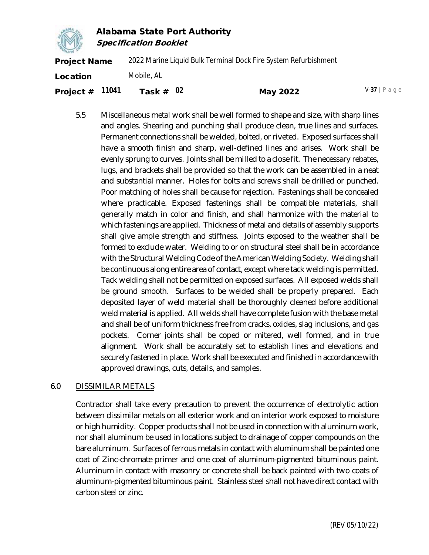

**Project Name** 2022 Marine Liquid Bulk Terminal Dock Fire System Refurbishment **Location** Mobile, AL **Project # 11041 Task # 02 May 2022** V-37 | Page

5.5 Miscellaneous metal work shall be well formed to shape and size, with sharp lines and angles. Shearing and punching shall produce clean, true lines and surfaces. Permanent connections shall be welded, bolted, or riveted. Exposed surfaces shall have a smooth finish and sharp, well-defined lines and arises. Work shall be evenly sprung to curves. Joints shall be milled to a close fit. The necessary rebates, lugs, and brackets shall be provided so that the work can be assembled in a neat and substantial manner. Holes for bolts and screws shall be drilled or punched. Poor matching of holes shall be cause for rejection. Fastenings shall be concealed where practicable. Exposed fastenings shall be compatible materials, shall generally match in color and finish, and shall harmonize with the material to which fastenings are applied. Thickness of metal and details of assembly supports shall give ample strength and stiffness. Joints exposed to the weather shall be formed to exclude water. Welding to or on structural steel shall be in accordance with the Structural Welding Code of the American Welding Society. Welding shall be continuous along entire area of contact, except where tack welding is permitted. Tack welding shall not be permitted on exposed surfaces. All exposed welds shall be ground smooth. Surfaces to be welded shall be properly prepared. Each deposited layer of weld material shall be thoroughly cleaned before additional weld material is applied. All welds shall have complete fusion with the base metal and shall be of uniform thickness free from cracks, oxides, slag inclusions, and gas pockets. Corner joints shall be coped or mitered, well formed, and in true alignment. Work shall be accurately set to establish lines and elevations and securely fastened in place. Work shall be executed and finished in accordance with approved drawings, cuts, details, and samples.

### 6.0 DISSIMILAR METALS

Contractor shall take every precaution to prevent the occurrence of electrolytic action between dissimilar metals on all exterior work and on interior work exposed to moisture or high humidity. Copper products shall not be used in connection with aluminum work, nor shall aluminum be used in locations subject to drainage of copper compounds on the bare aluminum. Surfaces of ferrous metals in contact with aluminum shall be painted one coat of Zinc-chromate primer and one coat of aluminum-pigmented bituminous paint. Aluminum in contact with masonry or concrete shall be back painted with two coats of aluminum-pigmented bituminous paint. Stainless steel shall not have direct contact with carbon steel or zinc.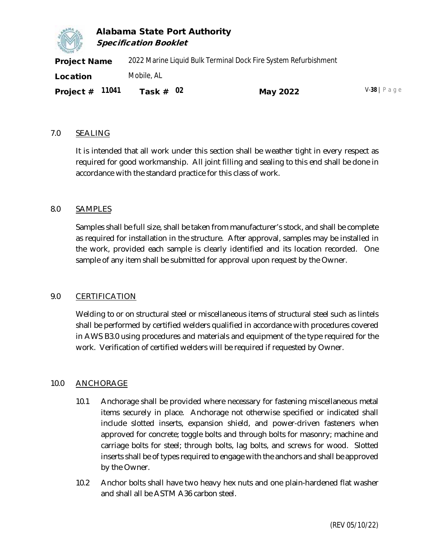

Project # **11041** Task # **02** May 2022 V-**38** | Page

#### 7.0 SEALING

It is intended that all work under this section shall be weather tight in every respect as required for good workmanship. All joint filling and sealing to this end shall be done in accordance with the standard practice for this class of work.

#### 8.0 SAMPLES

Samples shall be full size, shall be taken from manufacturer's stock, and shall be complete as required for installation in the structure. After approval, samples may be installed in the work, provided each sample is clearly identified and its location recorded. One sample of any item shall be submitted for approval upon request by the Owner.

#### 9.0 CERTIFICATION

Welding to or on structural steel or miscellaneous items of structural steel such as lintels shall be performed by certified welders qualified in accordance with procedures covered in AWS B3.0 using procedures and materials and equipment of the type required for the work. Verification of certified welders will be required if requested by Owner.

### 10.0 ANCHORAGE

- 10.1 Anchorage shall be provided where necessary for fastening miscellaneous metal items securely in place. Anchorage not otherwise specified or indicated shall include slotted inserts, expansion shield, and power-driven fasteners when approved for concrete; toggle bolts and through bolts for masonry; machine and carriage bolts for steel; through bolts, lag bolts, and screws for wood. Slotted inserts shall be of types required to engage with the anchors and shall be approved by the Owner.
- 10.2 Anchor bolts shall have two heavy hex nuts and one plain-hardened flat washer and shall all be ASTM A36 carbon steel.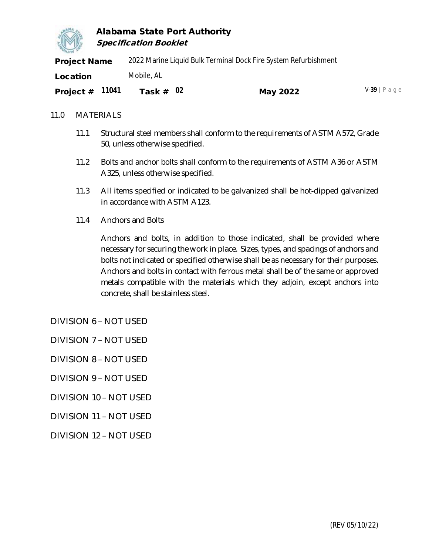

**Project Name** 2022 Marine Liquid Bulk Terminal Dock Fire System Refurbishment **Location** Mobile, AL

Project # **11041** Task # **02** May 2022 V-**39** | Page

### 11.0 MATERIALS

- 11.1 Structural steel members shall conform to the requirements of ASTM A572, Grade 50, unless otherwise specified.
- 11.2 Bolts and anchor bolts shall conform to the requirements of ASTM A36 or ASTM A325, unless otherwise specified.
- 11.3 All items specified or indicated to be galvanized shall be hot-dipped galvanized in accordance with ASTM A123.
- 11.4 Anchors and Bolts

Anchors and bolts, in addition to those indicated, shall be provided where necessary for securing the work in place. Sizes, types, and spacings of anchors and bolts not indicated or specified otherwise shall be as necessary for their purposes. Anchors and bolts in contact with ferrous metal shall be of the same or approved metals compatible with the materials which they adjoin, except anchors into concrete, shall be stainless steel.

DIVISION 6 – NOT USED

- DIVISION 7 NOT USED
- DIVISION 8 NOT USED
- DIVISION 9 NOT USED
- DIVISION 10 NOT USED
- DIVISION 11 NOT USED
- DIVISION 12 NOT USED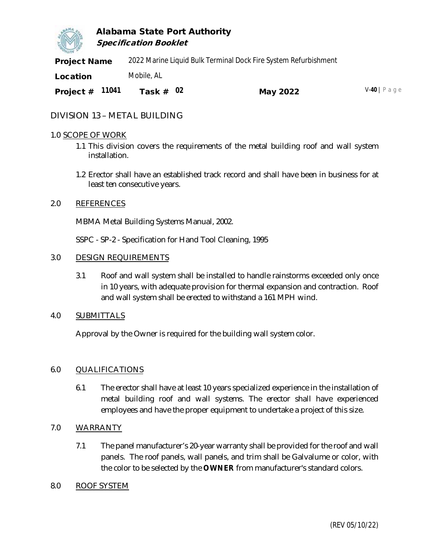

**Project Name** 2022 Marine Liquid Bulk Terminal Dock Fire System Refurbishment **Location** Mobile, AL **Project # 11041 Task # 02 May 2022** V-40 | Page

# DIVISION 13 – METAL BUILDING

### 1.0 SCOPE OF WORK

- 1.1 This division covers the requirements of the metal building roof and wall system installation.
- 1.2 Erector shall have an established track record and shall have been in business for at least ten consecutive years.

#### 2.0 REFERENCES

MBMA Metal Building Systems Manual, 2002.

SSPC - SP-2 - Specification for Hand Tool Cleaning, 1995

#### 3.0 DESIGN REQUIREMENTS

3.1 Roof and wall system shall be installed to handle rainstorms exceeded only once in 10 years, with adequate provision for thermal expansion and contraction. Roof and wall system shall be erected to withstand a 161 MPH wind.

#### 4.0 SUBMITTALS

Approval by the Owner is required for the building wall system color.

### 6.0 QUALIFICATIONS

6.1 The erector shall have at least 10 years specialized experience in the installation of metal building roof and wall systems. The erector shall have experienced employees and have the proper equipment to undertake a project of this size.

#### 7.0 WARRANTY

- 7.1 The panel manufacturer's 20-year warranty shall be provided for the roof and wall panels. The roof panels, wall panels, and trim shall be Galvalume or color, with the color to be selected by the **OWNER** from manufacturer's standard colors.
- 8.0 ROOF SYSTEM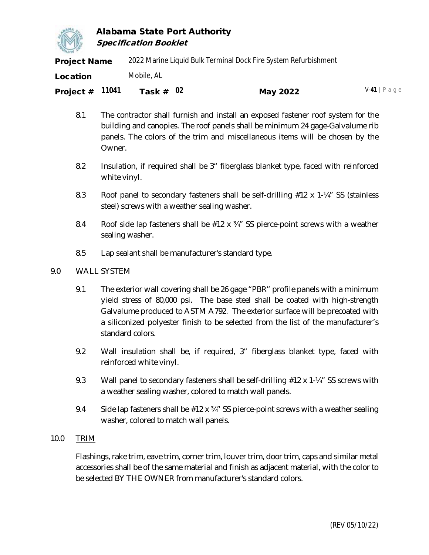

**Project Name** 2022 Marine Liquid Bulk Terminal Dock Fire System Refurbishment

**Location** Mobile, AL

**Project # 11041 Task # 02 May 2022** V-41 | Page

- 8.1 The contractor shall furnish and install an exposed fastener roof system for the building and canopies. The roof panels shall be minimum 24 gage-Galvalume rib panels. The colors of the trim and miscellaneous items will be chosen by the Owner.
- 8.2 Insulation, if required shall be 3" fiberglass blanket type, faced with reinforced white vinyl.
- 8.3 Roof panel to secondary fasteners shall be self-drilling #12 x 1-¼" SS (stainless steel) screws with a weather sealing washer.
- 8.4 Roof side lap fasteners shall be  $#12 \times 34$ " SS pierce-point screws with a weather sealing washer.
- 8.5 Lap sealant shall be manufacturer's standard type.

### 9.0 WALL SYSTEM

- 9.1 The exterior wall covering shall be 26 gage "PBR" profile panels with a minimum yield stress of 80,000 psi. The base steel shall be coated with high-strength Galvalume produced to ASTM A792. The exterior surface will be precoated with a siliconized polyester finish to be selected from the list of the manufacturer's standard colors.
- 9.2 Wall insulation shall be, if required, 3" fiberglass blanket type, faced with reinforced white vinyl.
- 9.3 Wall panel to secondary fasteners shall be self-drilling #12 x 1-¼" SS screws with a weather sealing washer, colored to match wall panels.
- 9.4 Side lap fasteners shall be  $#12 \times 4$ " SS pierce-point screws with a weather sealing washer, colored to match wall panels.

### 10.0 TRIM

Flashings, rake trim, eave trim, corner trim, louver trim, door trim, caps and similar metal accessories shall be of the same material and finish as adjacent material, with the color to be selected BY THE OWNER from manufacturer's standard colors.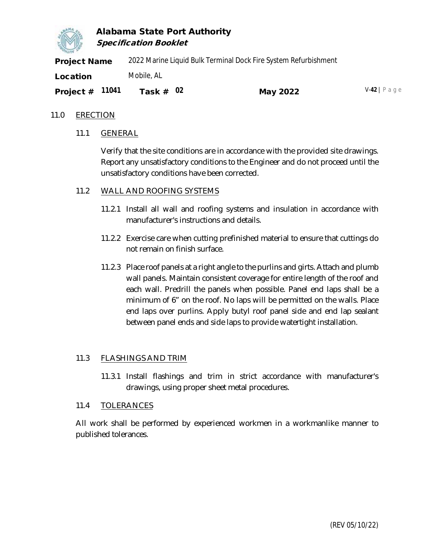

**Project Name** 2022 Marine Liquid Bulk Terminal Dock Fire System Refurbishment

**Location** Mobile, AL

**Project # 11041 Task # 02 May 2022** V-42 | Page

### 11.0 ERECTION

11.1 GENERAL

Verify that the site conditions are in accordance with the provided site drawings. Report any unsatisfactory conditions to the Engineer and do not proceed until the unsatisfactory conditions have been corrected.

### 11.2 WALL AND ROOFING SYSTEMS

- 11.2.1 Install all wall and roofing systems and insulation in accordance with manufacturer's instructions and details.
- 11.2.2 Exercise care when cutting prefinished material to ensure that cuttings do not remain on finish surface.
- 11.2.3 Place roof panels at a right angle to the purlins and girts. Attach and plumb wall panels. Maintain consistent coverage for entire length of the roof and each wall. Predrill the panels when possible. Panel end laps shall be a minimum of 6" on the roof. No laps will be permitted on the walls. Place end laps over purlins. Apply butyl roof panel side and end lap sealant between panel ends and side laps to provide watertight installation.

### 11.3 FLASHINGS AND TRIM

11.3.1 Install flashings and trim in strict accordance with manufacturer's drawings, using proper sheet metal procedures.

#### 11.4 TOLERANCES

All work shall be performed by experienced workmen in a workmanlike manner to published tolerances.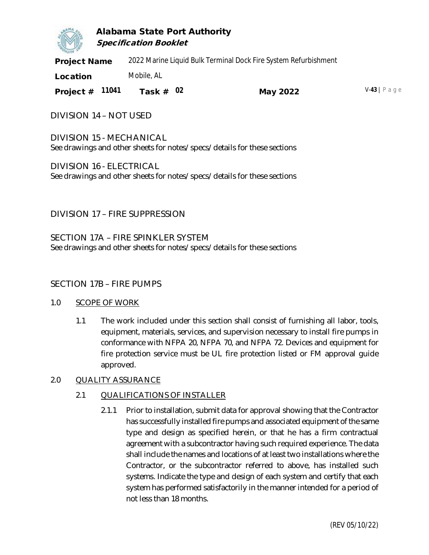

**Project Name** 2022 Marine Liquid Bulk Terminal Dock Fire System Refurbishment **Location** Mobile, AL **Project # 11041 Task # 02 May 2022** V-43 | Page

DIVISION 14 – NOT USED

DIVISION 15 - MECHANICAL See drawings and other sheets for notes/specs/details for these sections

DIVISION 16 - ELECTRICAL See drawings and other sheets for notes/specs/details for these sections

# DIVISION 17 – FIRE SUPPRESSION

SECTION 17A – FIRE SPINKLER SYSTEM See drawings and other sheets for notes/specs/details for these sections

## SECTION 17B – FIRE PUMPS

### 1.0 SCOPE OF WORK

1.1 The work included under this section shall consist of furnishing all labor, tools, equipment, materials, services, and supervision necessary to install fire pumps in conformance with NFPA 20, NFPA 70, and NFPA 72. Devices and equipment for fire protection service must be UL fire protection listed or FM approval guide approved.

## 2.0 QUALITY ASSURANCE

## 2.1 QUALIFICATIONS OF INSTALLER

2.1.1 Prior to installation, submit data for approval showing that the Contractor has successfully installed fire pumps and associated equipment of the same type and design as specified herein, or that he has a firm contractual agreement with a subcontractor having such required experience. The data shall include the names and locations of at least two installations where the Contractor, or the subcontractor referred to above, has installed such systems. Indicate the type and design of each system and certify that each system has performed satisfactorily in the manner intended for a period of not less than 18 months.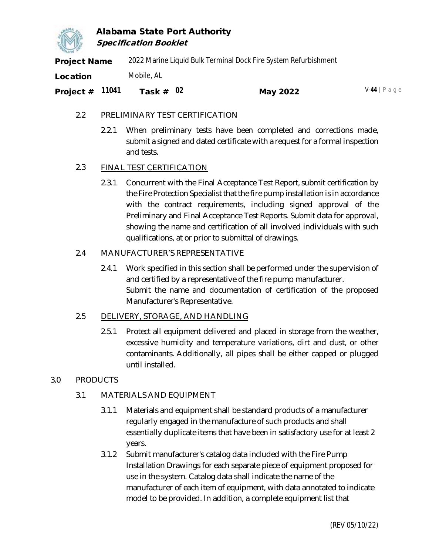

**Project Name** 2022 Marine Liquid Bulk Terminal Dock Fire System Refurbishment

**Location** Mobile, AL

**Project # 11041 Task # 02 May 2022** V-44 | Page

### 2.2 PRELIMINARY TEST CERTIFICATION

2.2.1 When preliminary tests have been completed and corrections made, submit a signed and dated certificate with a request for a formal inspection and tests.

### 2.3 FINAL TEST CERTIFICATION

2.3.1 Concurrent with the Final Acceptance Test Report, submit certification by the Fire Protection Specialist that the fire pump installation is in accordance with the contract requirements, including signed approval of the Preliminary and Final Acceptance Test Reports. Submit data for approval, showing the name and certification of all involved individuals with such qualifications, at or prior to submittal of drawings.

### 2.4 MANUFACTURER'S REPRESENTATIVE

2.4.1 Work specified in this section shall be performed under the supervision of and certified by a representative of the fire pump manufacturer. Submit the name and documentation of certification of the proposed Manufacturer's Representative.

### 2.5 DELIVERY, STORAGE, AND HANDLING

2.5.1 Protect all equipment delivered and placed in storage from the weather, excessive humidity and temperature variations, dirt and dust, or other contaminants. Additionally, all pipes shall be either capped or plugged until installed.

## 3.0 PRODUCTS

## 3.1 MATERIALS AND EQUIPMENT

- 3.1.1 Materials and equipment shall be standard products of a manufacturer regularly engaged in the manufacture of such products and shall essentially duplicate items that have been in satisfactory use for at least 2 years.
- 3.1.2 Submit manufacturer's catalog data included with the Fire Pump Installation Drawings for each separate piece of equipment proposed for use in the system. Catalog data shall indicate the name of the manufacturer of each item of equipment, with data annotated to indicate model to be provided. In addition, a complete equipment list that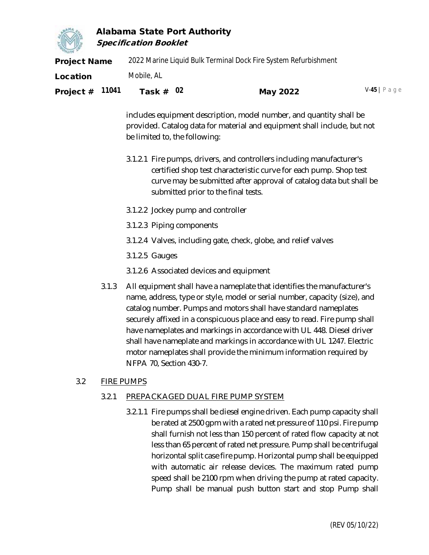

**Project # 11041 Task # 02 May 2022** V-45 | Page

includes equipment description, model number, and quantity shall be provided. Catalog data for material and equipment shall include, but not be limited to, the following:

- 3.1.2.1 Fire pumps, drivers, and controllers including manufacturer's certified shop test characteristic curve for each pump. Shop test curve may be submitted after approval of catalog data but shall be submitted prior to the final tests.
- 3.1.2.2 Jockey pump and controller
- 3.1.2.3 Piping components
- 3.1.2.4 Valves, including gate, check, globe, and relief valves
- 3.1.2.5 Gauges
- 3.1.2.6 Associated devices and equipment
- 3.1.3 All equipment shall have a nameplate that identifies the manufacturer's name, address, type or style, model or serial number, capacity (size), and catalog number. Pumps and motors shall have standard nameplates securely affixed in a conspicuous place and easy to read. Fire pump shall have nameplates and markings in accordance with UL 448. Diesel driver shall have nameplate and markings in accordance with UL 1247. Electric motor nameplates shall provide the minimum information required by NFPA 70, Section 430-7.

## 3.2 FIRE PUMPS

## 3.2.1 PREPACKAGED DUAL FIRE PUMP SYSTEM

3.2.1.1 Fire pumps shall be diesel engine driven. Each pump capacity shall be rated at 2500 gpm with a rated net pressure of 110 psi. Fire pump shall furnish not less than 150 percent of rated flow capacity at not less than 65 percent of rated net pressure. Pump shall be centrifugal horizontal split case fire pump. Horizontal pump shall be equipped with automatic air release devices. The maximum rated pump speed shall be 2100 rpm when driving the pump at rated capacity. Pump shall be manual push button start and stop Pump shall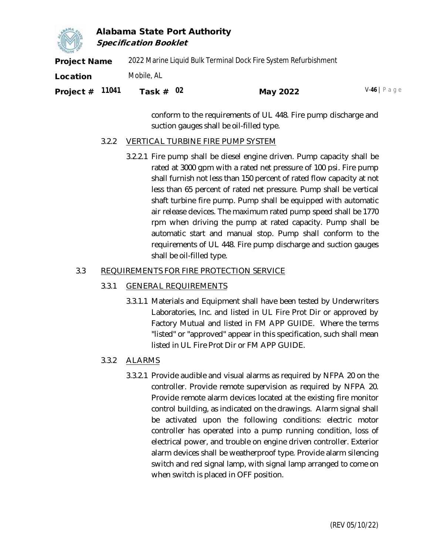

**Project Name** 2022 Marine Liquid Bulk Terminal Dock Fire System Refurbishment

**Location** Mobile, AL

**Project # 11041 Task # 02 May 2022** V-46 | Page

conform to the requirements of UL 448. Fire pump discharge and suction gauges shall be oil-filled type.

## 3.2.2 VERTICAL TURBINE FIRE PUMP SYSTEM

3.2.2.1 Fire pump shall be diesel engine driven. Pump capacity shall be rated at 3000 gpm with a rated net pressure of 100 psi. Fire pump shall furnish not less than 150 percent of rated flow capacity at not less than 65 percent of rated net pressure. Pump shall be vertical shaft turbine fire pump. Pump shall be equipped with automatic air release devices. The maximum rated pump speed shall be 1770 rpm when driving the pump at rated capacity. Pump shall be automatic start and manual stop. Pump shall conform to the requirements of UL 448. Fire pump discharge and suction gauges shall be oil-filled type.

### 3.3 REQUIREMENTS FOR FIRE PROTECTION SERVICE

## 3.3.1 GENERAL REQUIREMENTS

3.3.1.1 Materials and Equipment shall have been tested by Underwriters Laboratories, Inc. and listed in UL Fire Prot Dir or approved by Factory Mutual and listed in FM APP GUIDE. Where the terms "listed" or "approved" appear in this specification, such shall mean listed in UL Fire Prot Dir or FM APP GUIDE.

## 3.3.2 ALARMS

3.3.2.1 Provide audible and visual alarms as required by NFPA 20 on the controller. Provide remote supervision as required by NFPA 20. Provide remote alarm devices located at the existing fire monitor control building, as indicated on the drawings. Alarm signal shall be activated upon the following conditions: electric motor controller has operated into a pump running condition, loss of electrical power, and trouble on engine driven controller. Exterior alarm devices shall be weatherproof type. Provide alarm silencing switch and red signal lamp, with signal lamp arranged to come on when switch is placed in OFF position.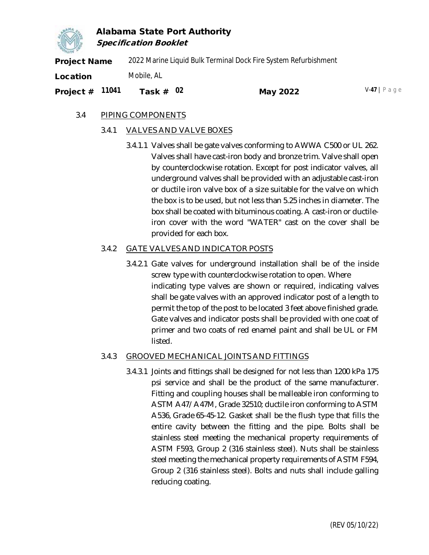

**Project Name** 2022 Marine Liquid Bulk Terminal Dock Fire System Refurbishment

**Location** Mobile, AL

**Project # 11041 Task # 02 May 2022** V-47 | Page

## 3.4 PIPING COMPONENTS

## 3.4.1 VALVES AND VALVE BOXES

3.4.1.1 Valves shall be gate valves conforming to AWWA C500 or UL 262. Valves shall have cast-iron body and bronze trim. Valve shall open by counterclockwise rotation. Except for post indicator valves, all underground valves shall be provided with an adjustable cast-iron or ductile iron valve box of a size suitable for the valve on which the box is to be used, but not less than 5.25 inches in diameter. The box shall be coated with bituminous coating. A cast-iron or ductileiron cover with the word "WATER" cast on the cover shall be provided for each box.

## 3.4.2 GATE VALVES AND INDICATOR POSTS

3.4.2.1 Gate valves for underground installation shall be of the inside screw type with counterclockwise rotation to open. Where indicating type valves are shown or required, indicating valves shall be gate valves with an approved indicator post of a length to permit the top of the post to be located 3 feet above finished grade. Gate valves and indicator posts shall be provided with one coat of primer and two coats of red enamel paint and shall be UL or FM listed.

### 3.4.3 GROOVED MECHANICAL JOINTS AND FITTINGS

3.4.3.1 Joints and fittings shall be designed for not less than 1200 kPa 175 psi service and shall be the product of the same manufacturer. Fitting and coupling houses shall be malleable iron conforming to ASTM A47/A47M, Grade 32510; ductile iron conforming to ASTM A536, Grade 65-45-12. Gasket shall be the flush type that fills the entire cavity between the fitting and the pipe. Bolts shall be stainless steel meeting the mechanical property requirements of ASTM F593, Group 2 (316 stainless steel). Nuts shall be stainless steel meeting the mechanical property requirements of ASTM F594, Group 2 (316 stainless steel). Bolts and nuts shall include galling reducing coating.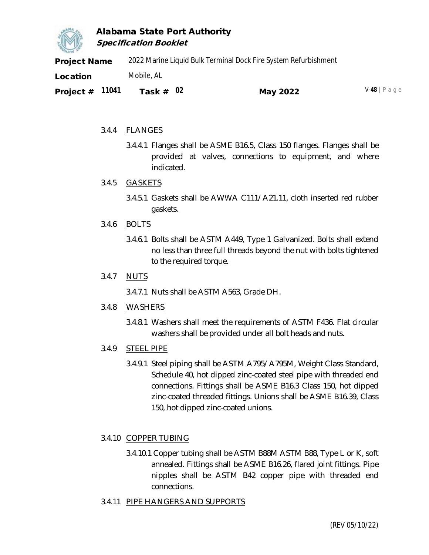

**Project Name** 2022 Marine Liquid Bulk Terminal Dock Fire System Refurbishment

**Location** Mobile, AL

**Project # 11041 Task # 02 May 2022** V-48 | Page

## 3.4.4 FLANGES

- 3.4.4.1 Flanges shall be ASME B16.5, Class 150 flanges. Flanges shall be provided at valves, connections to equipment, and where indicated.
- 3.4.5 GASKETS
	- 3.4.5.1 Gaskets shall be AWWA C111/A21.11, cloth inserted red rubber gaskets.
- 3.4.6 BOLTS
	- 3.4.6.1 Bolts shall be ASTM A449, Type 1 Galvanized. Bolts shall extend no less than three full threads beyond the nut with bolts tightened to the required torque.
- 3.4.7 NUTS
	- 3.4.7.1 Nuts shall be ASTM A563, Grade DH.
- 3.4.8 WASHERS
	- 3.4.8.1 Washers shall meet the requirements of ASTM F436. Flat circular washers shall be provided under all bolt heads and nuts.
- 3.4.9 STEEL PIPE
	- 3.4.9.1 Steel piping shall be ASTM A795/A795M, Weight Class Standard, Schedule 40, hot dipped zinc-coated steel pipe with threaded end connections. Fittings shall be ASME B16.3 Class 150, hot dipped zinc-coated threaded fittings. Unions shall be ASME B16.39, Class 150, hot dipped zinc-coated unions.

## 3.4.10 COPPER TUBING

- 3.4.10.1 Copper tubing shall be ASTM B88M ASTM B88, Type L or K, soft annealed. Fittings shall be ASME B16.26, flared joint fittings. Pipe nipples shall be ASTM B42 copper pipe with threaded end connections.
- 3.4.11 PIPE HANGERS AND SUPPORTS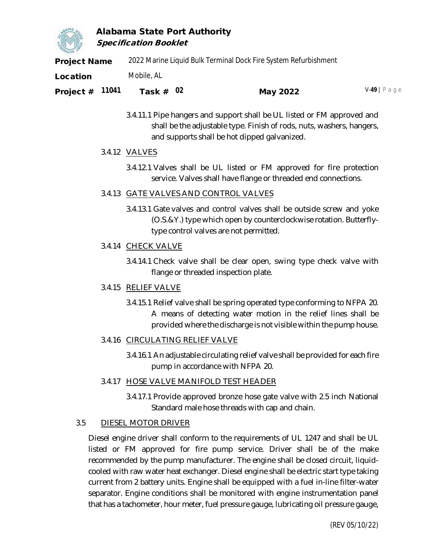

**Project Name** 2022 Marine Liquid Bulk Terminal Dock Fire System Refurbishment

**Location** Mobile, AL

**Project # 11041 Task # 02 May 2022** V-49 | Page

3.4.11.1 Pipe hangers and support shall be UL listed or FM approved and shall be the adjustable type. Finish of rods, nuts, washers, hangers, and supports shall be hot dipped galvanized.

### 3.4.12 VALVES

3.4.12.1 Valves shall be UL listed or FM approved for fire protection service. Valves shall have flange or threaded end connections.

### 3.4.13 GATE VALVES AND CONTROL VALVES

3.4.13.1 Gate valves and control valves shall be outside screw and yoke (O.S.&Y.) type which open by counterclockwise rotation. Butterflytype control valves are not permitted.

### 3.4.14 CHECK VALVE

3.4.14.1 Check valve shall be clear open, swing type check valve with flange or threaded inspection plate.

### 3.4.15 RELIEF VALVE

3.4.15.1 Relief valve shall be spring operated type conforming to NFPA 20. A means of detecting water motion in the relief lines shall be provided where the discharge is not visible within the pump house.

## 3.4.16 CIRCULATING RELIEF VALVE

3.4.16.1 An adjustable circulating relief valve shall be provided for each fire pump in accordance with NFPA 20.

### 3.4.17 HOSE VALVE MANIFOLD TEST HEADER

3.4.17.1 Provide approved bronze hose gate valve with 2.5 inch National Standard male hose threads with cap and chain.

### 3.5 DIESEL MOTOR DRIVER

Diesel engine driver shall conform to the requirements of UL 1247 and shall be UL listed or FM approved for fire pump service. Driver shall be of the make recommended by the pump manufacturer. The engine shall be closed circuit, liquidcooled with raw water heat exchanger. Diesel engine shall be electric start type taking current from 2 battery units. Engine shall be equipped with a fuel in-line filter-water separator. Engine conditions shall be monitored with engine instrumentation panel that has a tachometer, hour meter, fuel pressure gauge, lubricating oil pressure gauge,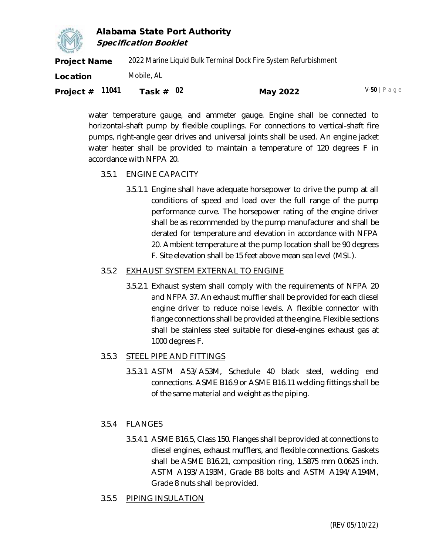

Project # **11041** Task # **02** May 2022 V-**50** | Page

water temperature gauge, and ammeter gauge. Engine shall be connected to horizontal-shaft pump by flexible couplings. For connections to vertical-shaft fire pumps, right-angle gear drives and universal joints shall be used. An engine jacket water heater shall be provided to maintain a temperature of 120 degrees F in accordance with NFPA 20.

- 3.5.1 ENGINE CAPACITY
	- 3.5.1.1 Engine shall have adequate horsepower to drive the pump at all conditions of speed and load over the full range of the pump performance curve. The horsepower rating of the engine driver shall be as recommended by the pump manufacturer and shall be derated for temperature and elevation in accordance with NFPA 20. Ambient temperature at the pump location shall be 90 degrees F. Site elevation shall be 15 feet above mean sea level (MSL).

#### 3.5.2 EXHAUST SYSTEM EXTERNAL TO ENGINE

3.5.2.1 Exhaust system shall comply with the requirements of NFPA 20 and NFPA 37. An exhaust muffler shall be provided for each diesel engine driver to reduce noise levels. A flexible connector with flange connections shall be provided at the engine. Flexible sections shall be stainless steel suitable for diesel-engines exhaust gas at 1000 degrees F.

### 3.5.3 STEEL PIPE AND FITTINGS

3.5.3.1 ASTM A53/A53M, Schedule 40 black steel, welding end connections. ASME B16.9 or ASME B16.11 welding fittings shall be of the same material and weight as the piping.

### 3.5.4 FLANGES

- 3.5.4.1 ASME B16.5, Class 150. Flanges shall be provided at connections to diesel engines, exhaust mufflers, and flexible connections. Gaskets shall be ASME B16.21, composition ring, 1.5875 mm 0.0625 inch. ASTM A193/A193M, Grade B8 bolts and ASTM A194/A194M, Grade 8 nuts shall be provided.
- 3.5.5 PIPING INSULATION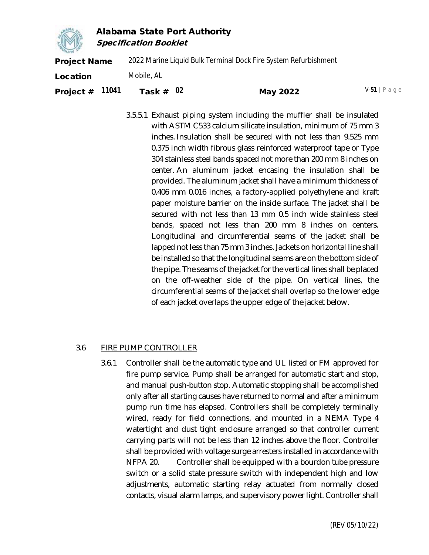

Project # **11041** Task # **02** May 2022 V-**51** | Page

3.5.5.1 Exhaust piping system including the muffler shall be insulated with ASTM C533 calcium silicate insulation, minimum of 75 mm 3 inches. Insulation shall be secured with not less than 9.525 mm 0.375 inch width fibrous glass reinforced waterproof tape or Type 304 stainless steel bands spaced not more than 200 mm 8 inches on center. An aluminum jacket encasing the insulation shall be provided. The aluminum jacket shall have a minimum thickness of 0.406 mm 0.016 inches, a factory-applied polyethylene and kraft paper moisture barrier on the inside surface. The jacket shall be secured with not less than 13 mm 0.5 inch wide stainless steel bands, spaced not less than 200 mm 8 inches on centers. Longitudinal and circumferential seams of the jacket shall be lapped not less than 75 mm 3 inches. Jackets on horizontal line shall be installed so that the longitudinal seams are on the bottom side of the pipe. The seams of the jacket for the vertical lines shall be placed on the off-weather side of the pipe. On vertical lines, the circumferential seams of the jacket shall overlap so the lower edge of each jacket overlaps the upper edge of the jacket below.

### 3.6 FIRE PUMP CONTROLLER

3.6.1 Controller shall be the automatic type and UL listed or FM approved for fire pump service. Pump shall be arranged for automatic start and stop, and manual push-button stop. Automatic stopping shall be accomplished only after all starting causes have returned to normal and after a minimum pump run time has elapsed. Controllers shall be completely terminally wired, ready for field connections, and mounted in a NEMA Type 4 watertight and dust tight enclosure arranged so that controller current carrying parts will not be less than 12 inches above the floor. Controller shall be provided with voltage surge arresters installed in accordance with NFPA 20. Controller shall be equipped with a bourdon tube pressure switch or a solid state pressure switch with independent high and low adjustments, automatic starting relay actuated from normally closed contacts, visual alarm lamps, and supervisory power light. Controller shall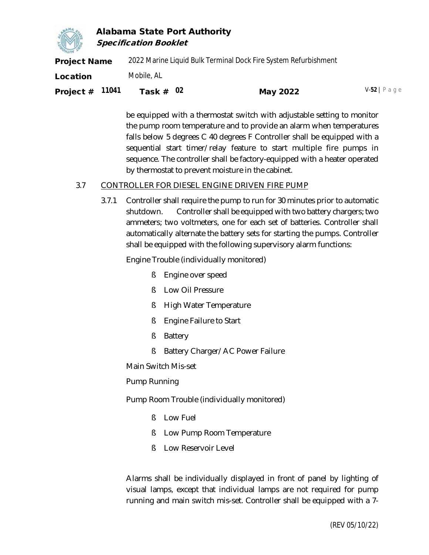

**Project # 11041 Task # 02** May 2022 V-52 | Page

be equipped with a thermostat switch with adjustable setting to monitor the pump room temperature and to provide an alarm when temperatures falls below 5 degrees C 40 degrees F Controller shall be equipped with a sequential start timer/relay feature to start multiple fire pumps in sequence. The controller shall be factory-equipped with a heater operated by thermostat to prevent moisture in the cabinet.

### 3.7 CONTROLLER FOR DIESEL ENGINE DRIVEN FIRE PUMP

3.7.1 Controller shall require the pump to run for 30 minutes prior to automatic shutdown. Controller shall be equipped with two battery chargers; two ammeters; two voltmeters, one for each set of batteries. Controller shall automatically alternate the battery sets for starting the pumps. Controller shall be equipped with the following supervisory alarm functions:

Engine Trouble (individually monitored)

- § Engine over speed
- § Low Oil Pressure
- § High Water Temperature
- § Engine Failure to Start
- § Battery
- § Battery Charger/AC Power Failure

Main Switch Mis-set

Pump Running

Pump Room Trouble (individually monitored)

- § Low Fuel
- **§** Low Pump Room Temperature
- § Low Reservoir Level

Alarms shall be individually displayed in front of panel by lighting of visual lamps, except that individual lamps are not required for pump running and main switch mis-set. Controller shall be equipped with a 7-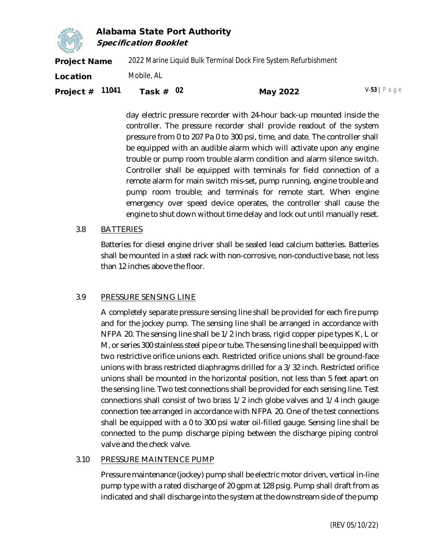

day electric pressure recorder with 24-hour back-up mounted inside the controller. The pressure recorder shall provide readout of the system pressure from 0 to 207 Pa 0 to 300 psi, time, and date. The controller shall be equipped with an audible alarm which will activate upon any engine trouble or pump room trouble alarm condition and alarm silence switch. Controller shall be equipped with terminals for field connection of a remote alarm for main switch mis-set, pump running, engine trouble and pump room trouble; and terminals for remote start. When engine emergency over speed device operates, the controller shall cause the engine to shut down without time delay and lock out until manually reset.

### 3.8 BATTERIES

Batteries for diesel engine driver shall be sealed lead calcium batteries. Batteries shall be mounted in a steel rack with non-corrosive, non-conductive base, not less than 12 inches above the floor.

### 3.9 PRESSURE SENSING LINE

A completely separate pressure sensing line shall be provided for each fire pump and for the jockey pump. The sensing line shall be arranged in accordance with NFPA 20. The sensing line shall be 1/2 inch brass, rigid copper pipe types K, L or M, or series 300 stainless steel pipe or tube. The sensing line shall be equipped with two restrictive orifice unions each. Restricted orifice unions shall be ground-face unions with brass restricted diaphragms drilled for a 3/32 inch. Restricted orifice unions shall be mounted in the horizontal position, not less than 5 feet apart on the sensing line. Two test connections shall be provided for each sensing line. Test connections shall consist of two brass 1/2 inch globe valves and 1/4 inch gauge connection tee arranged in accordance with NFPA 20. One of the test connections shall be equipped with a 0 to 300 psi water oil-filled gauge. Sensing line shall be connected to the pump discharge piping between the discharge piping control valve and the check valve.

#### 3.10 PRESSURE MAINTENCE PUMP

Pressure maintenance (jockey) pump shall be electric motor driven, vertical in-line pump type with a rated discharge of 20 gpm at 128 psig. Pump shall draft from as indicated and shall discharge into the system at the downstream side of the pump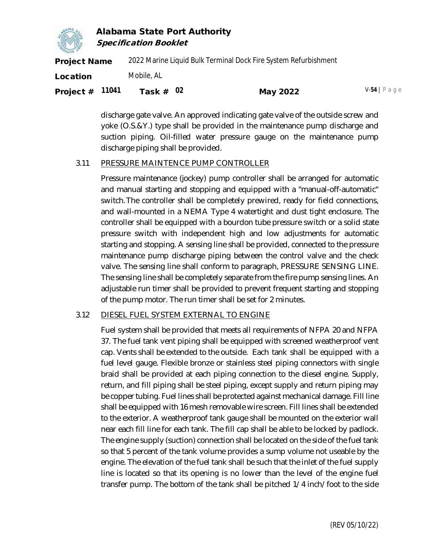

**Project Name** 2022 Marine Liquid Bulk Terminal Dock Fire System Refurbishment

**Location** Mobile, AL

**Project # 11041 Task # 02 May 2022** V-54 | Page

discharge gate valve. An approved indicating gate valve of the outside screw and yoke (O.S.&Y.) type shall be provided in the maintenance pump discharge and suction piping. Oil-filled water pressure gauge on the maintenance pump discharge piping shall be provided.

#### 3.11 PRESSURE MAINTENCE PUMP CONTROLLER

Pressure maintenance (jockey) pump controller shall be arranged for automatic and manual starting and stopping and equipped with a "manual-off-automatic" switch.The controller shall be completely prewired, ready for field connections, and wall-mounted in a NEMA Type 4 watertight and dust tight enclosure. The controller shall be equipped with a bourdon tube pressure switch or a solid state pressure switch with independent high and low adjustments for automatic starting and stopping. A sensing line shall be provided, connected to the pressure maintenance pump discharge piping between the control valve and the check valve. The sensing line shall conform to paragraph, PRESSURE SENSING LINE. The sensing line shall be completely separate from the fire pump sensing lines. An adjustable run timer shall be provided to prevent frequent starting and stopping of the pump motor. The run timer shall be set for 2 minutes.

### 3.12 DIESEL FUEL SYSTEM EXTERNAL TO ENGINE

Fuel system shall be provided that meets all requirements of NFPA 20 and NFPA 37. The fuel tank vent piping shall be equipped with screened weatherproof vent cap. Vents shall be extended to the outside. Each tank shall be equipped with a fuel level gauge. Flexible bronze or stainless steel piping connectors with single braid shall be provided at each piping connection to the diesel engine. Supply, return, and fill piping shall be steel piping, except supply and return piping may be copper tubing. Fuel lines shall be protected against mechanical damage. Fill line shall be equipped with 16 mesh removable wire screen. Fill lines shall be extended to the exterior. A weatherproof tank gauge shall be mounted on the exterior wall near each fill line for each tank. The fill cap shall be able to be locked by padlock. The engine supply (suction) connection shall be located on the side of the fuel tank so that 5 percent of the tank volume provides a sump volume not useable by the engine. The elevation of the fuel tank shall be such that the inlet of the fuel supply line is located so that its opening is no lower than the level of the engine fuel transfer pump. The bottom of the tank shall be pitched 1/4 inch/foot to the side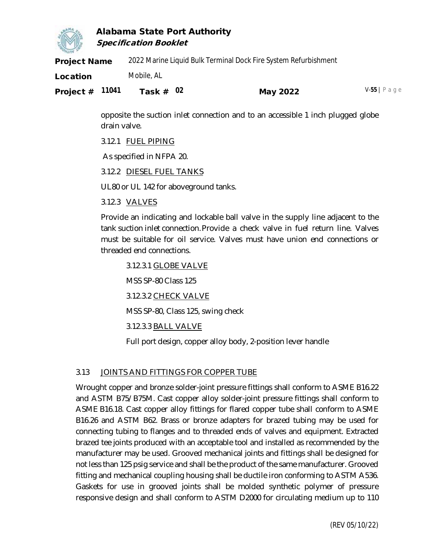

**Project Name** 2022 Marine Liquid Bulk Terminal Dock Fire System Refurbishment **Location** Mobile, AL Project # **11041** Task # **02** May 2022 V-**55** | Page

> opposite the suction inlet connection and to an accessible 1 inch plugged globe drain valve.

3.12.1 FUEL PIPING

As specified in NFPA 20.

3.12.2 DIESEL FUEL TANKS

UL80 or UL 142 for aboveground tanks.

3.12.3 VALVES

Provide an indicating and lockable ball valve in the supply line adjacent to the tank suction inlet connection.Provide a check valve in fuel return line. Valves must be suitable for oil service. Valves must have union end connections or threaded end connections.

3.12.3.1 GLOBE VALVE MSS SP-80 Class 125 3.12.3.2 CHECK VALVE MSS SP-80, Class 125, swing check 3.12.3.3 BALL VALVE

Full port design, copper alloy body, 2-position lever handle

# 3.13 JOINTS AND FITTINGS FOR COPPER TUBE

Wrought copper and bronze solder-joint pressure fittings shall conform to ASME B16.22 and ASTM B75/B75M. Cast copper alloy solder-joint pressure fittings shall conform to ASME B16.18. Cast copper alloy fittings for flared copper tube shall conform to ASME B16.26 and ASTM B62. Brass or bronze adapters for brazed tubing may be used for connecting tubing to flanges and to threaded ends of valves and equipment. Extracted brazed tee joints produced with an acceptable tool and installed as recommended by the manufacturer may be used. Grooved mechanical joints and fittings shall be designed for not less than 125 psig service and shall be the product of the same manufacturer. Grooved fitting and mechanical coupling housing shall be ductile iron conforming to ASTM A536. Gaskets for use in grooved joints shall be molded synthetic polymer of pressure responsive design and shall conform to ASTM D2000 for circulating medium up to 110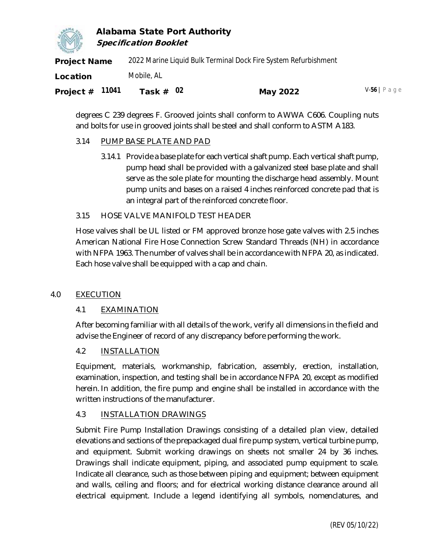

**Project Name** 2022 Marine Liquid Bulk Terminal Dock Fire System Refurbishment **Location** Mobile, AL Project # **11041** Task # **02** May 2022 V-**56** | Page

degrees C 239 degrees F. Grooved joints shall conform to AWWA C606. Coupling nuts and bolts for use in grooved joints shall be steel and shall conform to ASTM A183.

## 3.14 PUMP BASE PLATE AND PAD

3.14.1 Provide a base plate for each vertical shaft pump. Each vertical shaft pump, pump head shall be provided with a galvanized steel base plate and shall serve as the sole plate for mounting the discharge head assembly. Mount pump units and bases on a raised 4 inches reinforced concrete pad that is an integral part of the reinforced concrete floor.

## 3.15 HOSE VALVE MANIFOLD TEST HEADER

Hose valves shall be UL listed or FM approved bronze hose gate valves with 2.5 inches American National Fire Hose Connection Screw Standard Threads (NH) in accordance with NFPA 1963. The number of valves shall be in accordance with NFPA 20, as indicated. Each hose valve shall be equipped with a cap and chain.

## 4.0 EXECUTION

## 4.1 EXAMINATION

After becoming familiar with all details of the work, verify all dimensions in the field and advise the Engineer of record of any discrepancy before performing the work.

## 4.2 INSTALLATION

Equipment, materials, workmanship, fabrication, assembly, erection, installation, examination, inspection, and testing shall be in accordance NFPA 20, except as modified herein. In addition, the fire pump and engine shall be installed in accordance with the written instructions of the manufacturer.

### 4.3 INSTALLATION DRAWINGS

Submit Fire Pump Installation Drawings consisting of a detailed plan view, detailed elevations and sections of the prepackaged dual fire pump system, vertical turbine pump, and equipment. Submit working drawings on sheets not smaller 24 by 36 inches. Drawings shall indicate equipment, piping, and associated pump equipment to scale. Indicate all clearance, such as those between piping and equipment; between equipment and walls, ceiling and floors; and for electrical working distance clearance around all electrical equipment. Include a legend identifying all symbols, nomenclatures, and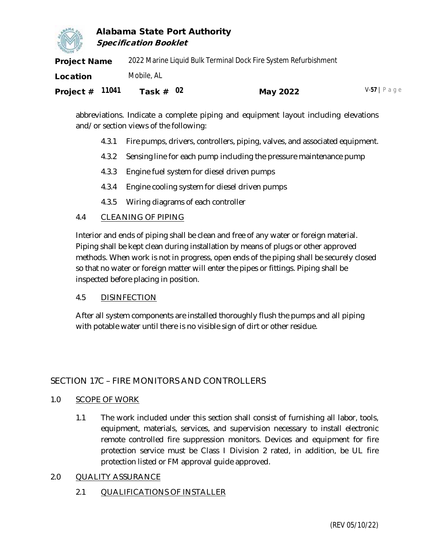

**Project Name** 2022 Marine Liquid Bulk Terminal Dock Fire System Refurbishment

**Location** Mobile, AL

**Project # 11041 Task # 02 May 2022** V-57 | Page

abbreviations. Indicate a complete piping and equipment layout including elevations and/or section views of the following:

- 4.3.1 Fire pumps, drivers, controllers, piping, valves, and associated equipment.
- 4.3.2 Sensing line for each pump including the pressure maintenance pump
- 4.3.3 Engine fuel system for diesel driven pumps
- 4.3.4 Engine cooling system for diesel driven pumps
- 4.3.5 Wiring diagrams of each controller

### 4.4 CLEANING OF PIPING

Interior and ends of piping shall be clean and free of any water or foreign material. Piping shall be kept clean during installation by means of plugs or other approved methods. When work is not in progress, open ends of the piping shall be securely closed so that no water or foreign matter will enter the pipes or fittings. Piping shall be inspected before placing in position.

### 4.5 DISINFECTION

After all system components are installed thoroughly flush the pumps and all piping with potable water until there is no visible sign of dirt or other residue.

## SECTION 17C – FIRE MONITORS AND CONTROLLERS

### 1.0 SCOPE OF WORK

1.1 The work included under this section shall consist of furnishing all labor, tools, equipment, materials, services, and supervision necessary to install electronic remote controlled fire suppression monitors. Devices and equipment for fire protection service must be Class I Division 2 rated, in addition, be UL fire protection listed or FM approval guide approved.

#### 2.0 QUALITY ASSURANCE

2.1 QUALIFICATIONS OF INSTALLER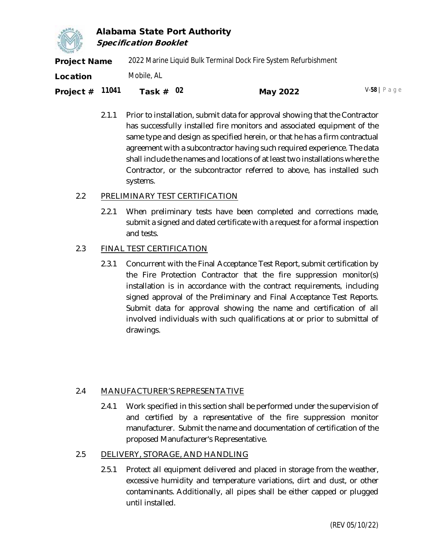

**Project Name** 2022 Marine Liquid Bulk Terminal Dock Fire System Refurbishment **Location** Mobile, AL Project # **11041** Task # **02** May 2022 V-**58** | Page

> 2.1.1 Prior to installation, submit data for approval showing that the Contractor has successfully installed fire monitors and associated equipment of the same type and design as specified herein, or that he has a firm contractual agreement with a subcontractor having such required experience. The data shall include the names and locations of at least two installations where the Contractor, or the subcontractor referred to above, has installed such systems.

## 2.2 PRELIMINARY TEST CERTIFICATION

2.2.1 When preliminary tests have been completed and corrections made, submit a signed and dated certificate with a request for a formal inspection and tests.

## 2.3 FINAL TEST CERTIFICATION

2.3.1 Concurrent with the Final Acceptance Test Report, submit certification by the Fire Protection Contractor that the fire suppression monitor(s) installation is in accordance with the contract requirements, including signed approval of the Preliminary and Final Acceptance Test Reports. Submit data for approval showing the name and certification of all involved individuals with such qualifications at or prior to submittal of drawings.

## 2.4 MANUFACTURER'S REPRESENTATIVE

2.4.1 Work specified in this section shall be performed under the supervision of and certified by a representative of the fire suppression monitor manufacturer. Submit the name and documentation of certification of the proposed Manufacturer's Representative.

## 2.5 DELIVERY, STORAGE, AND HANDLING

2.5.1 Protect all equipment delivered and placed in storage from the weather, excessive humidity and temperature variations, dirt and dust, or other contaminants. Additionally, all pipes shall be either capped or plugged until installed.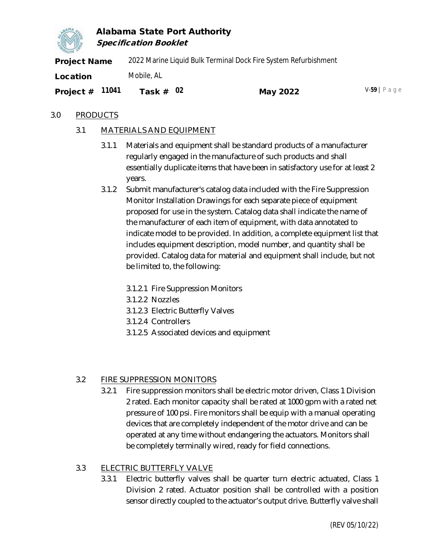

**Project Name** 2022 Marine Liquid Bulk Terminal Dock Fire System Refurbishment

**Location** Mobile, AL

Project # **11041** Task # **02** May 2022 V-**59** | Page

## 3.0 PRODUCTS

- 3.1 MATERIALS AND EQUIPMENT
	- 3.1.1 Materials and equipment shall be standard products of a manufacturer regularly engaged in the manufacture of such products and shall essentially duplicate items that have been in satisfactory use for at least 2 years.
	- 3.1.2 Submit manufacturer's catalog data included with the Fire Suppression Monitor Installation Drawings for each separate piece of equipment proposed for use in the system. Catalog data shall indicate the name of the manufacturer of each item of equipment, with data annotated to indicate model to be provided. In addition, a complete equipment list that includes equipment description, model number, and quantity shall be provided. Catalog data for material and equipment shall include, but not be limited to, the following:
		- 3.1.2.1 Fire Suppression Monitors
		- 3.1.2.2 Nozzles
		- 3.1.2.3 Electric Butterfly Valves
		- 3.1.2.4 Controllers
		- 3.1.2.5 Associated devices and equipment

## 3.2 FIRE SUPPRESSION MONITORS

3.2.1 Fire suppression monitors shall be electric motor driven, Class 1 Division 2 rated. Each monitor capacity shall be rated at 1000 gpm with a rated net pressure of 100 psi. Fire monitors shall be equip with a manual operating devices that are completely independent of the motor drive and can be operated at any time without endangering the actuators. Monitors shall be completely terminally wired, ready for field connections.

### 3.3 ELECTRIC BUTTERFLY VALVE

3.3.1 Electric butterfly valves shall be quarter turn electric actuated, Class 1 Division 2 rated. Actuator position shall be controlled with a position sensor directly coupled to the actuator's output drive. Butterfly valve shall